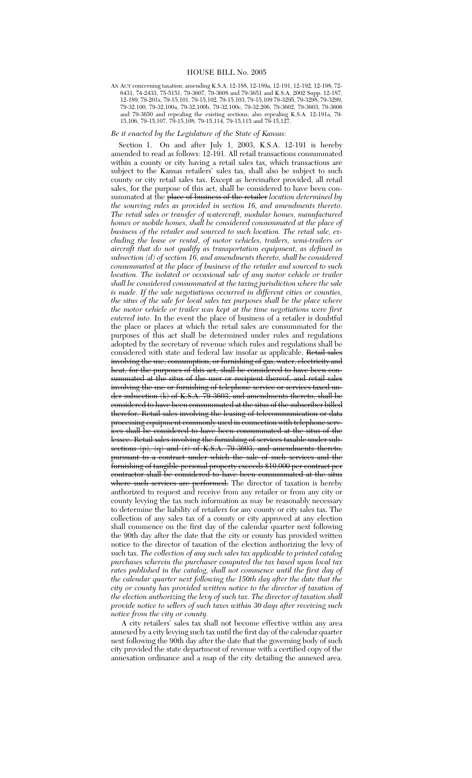# HOUSE BILL No. 2005

AN ACT concerning taxation; amending K.S.A. 12-188, 12-189a, 12-191, 12-192, 12-198, 72- 6431, 74-2433, 75-5151, 79-3607, 79-3608 and 79-3651 and K.S.A. 2002 Supp. 12-187, 12-189, 79-201x, 79-15,101, 79-15,102, 79-15,103, 79-15,109 79-3295, 79-3298, 79-3299, 79-32,100, 79-32,100a, 79-32,100b, 79-32,100c, 79-32,206, 79-3602, 79-3603, 79-3606 and 79-3650 and repealing the existing sections; also repealing K.S.A. 12-191a, 79- 15,106, 79-15,107, 79-15,108, 79-15,114, 79-15,115 and 79-15,127.

# *Be it enacted by the Legislature of the State of Kansas:*

Section 1. On and after July 1, 2003, K.S.A. 12-191 is hereby amended to read as follows: 12-191. All retail transactions consummated within a county or city having a retail sales tax, which transactions are subject to the Kansas retailers' sales tax, shall also be subject to such county or city retail sales tax. Except as hereinafter provided, all retail sales, for the purpose of this act, shall be considered to have been consummated at the place of business of the retailer *location determined by the sourcing rules as provided in section 16, and amendments thereto*. *The retail sales or transfer of watercraft, modular homes, manufactured homes or mobile homes, shall be considered consummated at the place of business of the retailer and sourced to such location. The retail sale, excluding the lease or rental, of motor vehicles, trailers, semi-trailers or aircraft that do not qualify as transportation equipment, as defined in subsection (d) of section 16, and amendments thereto, shall be considered consummated at the place of business of the retailer and sourced to such location. The isolated or occasional sale of any motor vehicle or trailer shall be considered consummated at the taxing jurisdiction where the sale is made. If the sale negotiations occurred in different cities or counties, the situs of the sale for local sales tax purposes shall be the place where the motor vehicle or trailer was kept at the time negotiations were first entered into.* In the event the place of business of a retailer is doubtful the place or places at which the retail sales are consummated for the purposes of this act shall be determined under rules and regulations adopted by the secretary of revenue which rules and regulations shall be considered with state and federal law insofar as applicable. Retail sales involving the use, consumption, or furnishing of gas, water, electricity and heat, for the purposes of this act, shall be considered to have been consummated at the situs of the user or recipient thereof, and retail sales involving the use or furnishing of telephone service or services taxed under subsection (k) of K.S.A. 79-3603, and amendments thereto, shall be considered to have been consummated at the situs of the subscriber billed therefor. Retail sales involving the leasing of telecommunication or data processing equipment commonly used in connection with telephone services shall be considered to have been consummated at the situs of the lessee. Retail sales involving the furnishing of services taxable under subsections  $(p)$ ,  $(q)$  and  $(r)$  of K.S.A. 79-3603, and amendments thereto, pursuant to a contract under which the sale of such services and the furnishing of tangible personal property exceeds \$10,000 per contract per contractor shall be considered to have been consummated at the situs where such services are performed. The director of taxation is hereby authorized to request and receive from any retailer or from any city or county levying the tax such information as may be reasonably necessary to determine the liability of retailers for any county or city sales tax. The collection of any sales tax of a county or city approved at any election shall commence on the first day of the calendar quarter next following the 90th day after the date that the city or county has provided written notice to the director of taxation of the election authorizing the levy of such tax. *The collection of any such sales tax applicable to printed catalog purchases wherein the purchaser computed the tax based upon local tax rates published in the catalog, shall not commence until the first day of the calendar quarter next following the 150th day after the date that the city or county has provided written notice to the director of taxation of the election authorizing the levy of such tax. The director of taxation shall provide notice to sellers of such taxes within 30 days after receiving such notice from the city or county.*

A city retailers' sales tax shall not become effective within any area annexed by a city levying such tax until the first day of the calendar quarter next following the 90th day after the date that the governing body of such city provided the state department of revenue with a certified copy of the annexation ordinance and a map of the city detailing the annexed area.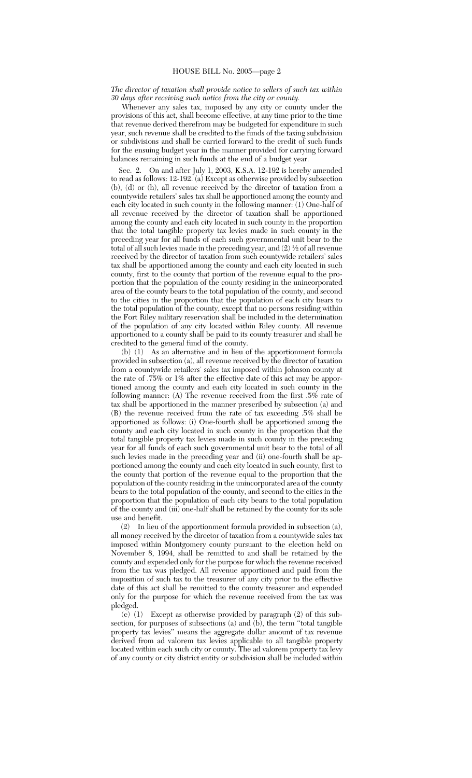# *The director of taxation shall provide notice to sellers of such tax within 30 days after receiving such notice from the city or county.*

Whenever any sales tax, imposed by any city or county under the provisions of this act, shall become effective, at any time prior to the time that revenue derived therefrom may be budgeted for expenditure in such year, such revenue shall be credited to the funds of the taxing subdivision or subdivisions and shall be carried forward to the credit of such funds for the ensuing budget year in the manner provided for carrying forward balances remaining in such funds at the end of a budget year.

Sec. 2. On and after July 1, 2003, K.S.A. 12-192 is hereby amended to read as follows:  $12-192$ . (a) Except as otherwise provided by subsection (b), (d) or (h), all revenue received by the director of taxation from a countywide retailers' sales tax shall be apportioned among the county and each city located in such county in the following manner: (1) One-half of all revenue received by the director of taxation shall be apportioned among the county and each city located in such county in the proportion that the total tangible property tax levies made in such county in the preceding year for all funds of each such governmental unit bear to the total of all such levies made in the preceding year, and  $(2) \frac{1}{2}$  of all revenue received by the director of taxation from such countywide retailers' sales tax shall be apportioned among the county and each city located in such county, first to the county that portion of the revenue equal to the proportion that the population of the county residing in the unincorporated area of the county bears to the total population of the county, and second to the cities in the proportion that the population of each city bears to the total population of the county, except that no persons residing within the Fort Riley military reservation shall be included in the determination of the population of any city located within Riley county. All revenue apportioned to a county shall be paid to its county treasurer and shall be credited to the general fund of the county.

(b) (1) As an alternative and in lieu of the apportionment formula provided in subsection (a), all revenue received by the director of taxation from a countywide retailers' sales tax imposed within Johnson county at the rate of .75% or 1% after the effective date of this act may be apportioned among the county and each city located in such county in the following manner: (A) The revenue received from the first .5% rate of tax shall be apportioned in the manner prescribed by subsection (a) and (B) the revenue received from the rate of tax exceeding .5% shall be apportioned as follows: (i) One-fourth shall be apportioned among the county and each city located in such county in the proportion that the total tangible property tax levies made in such county in the preceding year for all funds of each such governmental unit bear to the total of all such levies made in the preceding year and (ii) one-fourth shall be apportioned among the county and each city located in such county, first to the county that portion of the revenue equal to the proportion that the population of the county residing in the unincorporated area of the county bears to the total population of the county, and second to the cities in the proportion that the population of each city bears to the total population of the county and (iii) one-half shall be retained by the county for its sole use and benefit.

(2) In lieu of the apportionment formula provided in subsection (a), all money received by the director of taxation from a countywide sales tax imposed within Montgomery county pursuant to the election held on November 8, 1994, shall be remitted to and shall be retained by the county and expended only for the purpose for which the revenue received from the tax was pledged. All revenue apportioned and paid from the imposition of such tax to the treasurer of any city prior to the effective date of this act shall be remitted to the county treasurer and expended only for the purpose for which the revenue received from the tax was pledged.

(c) (1) Except as otherwise provided by paragraph (2) of this subsection, for purposes of subsections (a) and (b), the term ''total tangible property tax levies'' means the aggregate dollar amount of tax revenue derived from ad valorem tax levies applicable to all tangible property located within each such city or county. The ad valorem property tax levy of any county or city district entity or subdivision shall be included within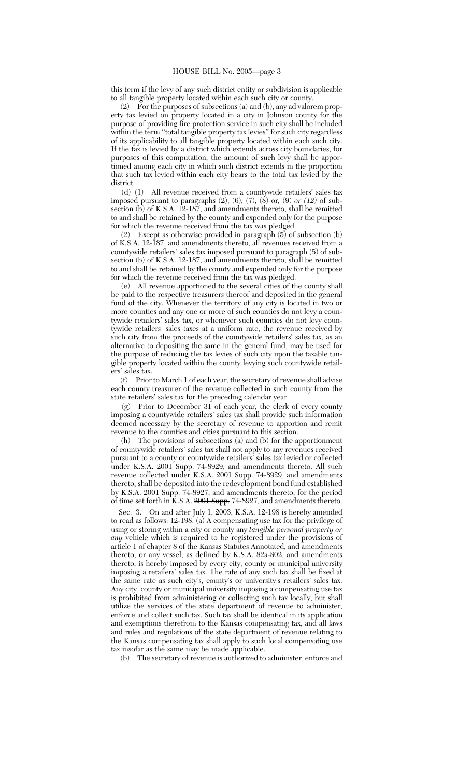this term if the levy of any such district entity or subdivision is applicable to all tangible property located within each such city or county

(2) For the purposes of subsections (a) and (b), any ad valorem property tax levied on property located in a city in Johnson county for the purpose of providing fire protection service in such city shall be included within the term ''total tangible property tax levies'' for such city regardless of its applicability to all tangible property located within each such city. If the tax is levied by a district which extends across city boundaries, for purposes of this computation, the amount of such levy shall be apportioned among each city in which such district extends in the proportion that such tax levied within each city bears to the total tax levied by the district.

(d) (1) All revenue received from a countywide retailers' sales tax imposed pursuant to paragraphs (2), (6), (7), (8) or*,* (9) *or (12)* of subsection (b) of K.S.A. 12-187, and amendments thereto, shall be remitted to and shall be retained by the county and expended only for the purpose for which the revenue received from the tax was pledged.

(2) Except as otherwise provided in paragraph (5) of subsection (b) of K.S.A. 12-187, and amendments thereto, all revenues received from a countywide retailers' sales tax imposed pursuant to paragraph (5) of subsection (b) of K.S.A. 12-187, and amendments thereto, shall be remitted to and shall be retained by the county and expended only for the purpose for which the revenue received from the tax was pledged.

(e) All revenue apportioned to the several cities of the county shall be paid to the respective treasurers thereof and deposited in the general fund of the city. Whenever the territory of any city is located in two or more counties and any one or more of such counties do not levy a countywide retailers' sales tax, or whenever such counties do not levy countywide retailers' sales taxes at a uniform rate, the revenue received by such city from the proceeds of the countywide retailers' sales tax, as an alternative to depositing the same in the general fund, may be used for the purpose of reducing the tax levies of such city upon the taxable tangible property located within the county levying such countywide retailers' sales tax.

(f) Prior to March 1 of each year, the secretary of revenue shall advise each county treasurer of the revenue collected in such county from the state retailers' sales tax for the preceding calendar year.

(g) Prior to December 31 of each year, the clerk of every county imposing a countywide retailers' sales tax shall provide such information deemed necessary by the secretary of revenue to apportion and remit revenue to the counties and cities pursuant to this section.

(h) The provisions of subsections (a) and (b) for the apportionment of countywide retailers' sales tax shall not apply to any revenues received pursuant to a county or countywide retailers' sales tax levied or collected under K.S.A. 2001 Supp. 74-8929, and amendments thereto. All such revenue collected under K.S.A. 2001 Supp. 74-8929, and amendments thereto, shall be deposited into the redevelopment bond fund established by K.S.A. <del>2001 Supp.</del> 74-8927, and amendments thereto, for the period of time set forth in K.S.A. <del>2001 Supp.</del> 74-8927, and amendments thereto.

Sec. 3. On and after July 1, 2003, K.S.A. 12-198 is hereby amended to read as follows: 12-198. (a) A compensating use tax for the privilege of using or storing within a city or county any *tangible personal property or any* vehicle which is required to be registered under the provisions of article 1 of chapter 8 of the Kansas Statutes Annotated, and amendments thereto, or any vessel, as defined by K.S.A. 82a-802, and amendments thereto, is hereby imposed by every city, county or municipal university imposing a retailers' sales tax. The rate of any such tax shall be fixed at the same rate as such city's, county's or university's retailers' sales tax. Any city, county or municipal university imposing a compensating use tax is prohibited from administering or collecting such tax locally, but shall utilize the services of the state department of revenue to administer, enforce and collect such tax. Such tax shall be identical in its application and exemptions therefrom to the Kansas compensating tax, and all laws and rules and regulations of the state department of revenue relating to the Kansas compensating tax shall apply to such local compensating use tax insofar as the same may be made applicable.

The secretary of revenue is authorized to administer, enforce and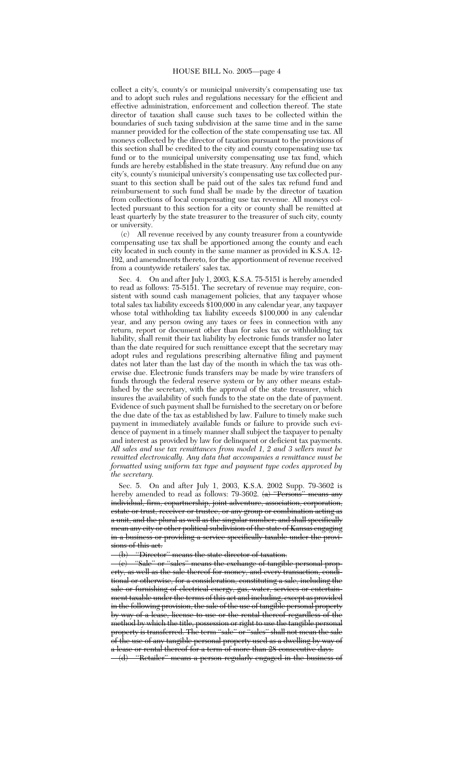collect a city's, county's or municipal university's compensating use tax and to adopt such rules and regulations necessary for the efficient and effective administration, enforcement and collection thereof. The state director of taxation shall cause such taxes to be collected within the boundaries of such taxing subdivision at the same time and in the same manner provided for the collection of the state compensating use tax. All moneys collected by the director of taxation pursuant to the provisions of this section shall be credited to the city and county compensating use tax fund or to the municipal university compensating use tax fund, which funds are hereby established in the state treasury. Any refund due on any city's, county's municipal university's compensating use tax collected pursuant to this section shall be paid out of the sales tax refund fund and reimbursement to such fund shall be made by the director of taxation from collections of local compensating use tax revenue. All moneys collected pursuant to this section for a city or county shall be remitted at least quarterly by the state treasurer to the treasurer of such city, county or university.

(c) All revenue received by any county treasurer from a countywide compensating use tax shall be apportioned among the county and each city located in such county in the same manner as provided in K.S.A. 12- 192, and amendments thereto, for the apportionment of revenue received from a countywide retailers' sales tax.

Sec. 4. On and after July 1, 2003, K.S.A. 75-5151 is hereby amended to read as follows: 75-5151. The secretary of revenue may require, consistent with sound cash management policies, that any taxpayer whose total sales tax liability exceeds \$100,000 in any calendar year, any taxpayer whose total withholding tax liability exceeds \$100,000 in any calendar year, and any person owing any taxes or fees in connection with any return, report or document other than for sales tax or withholding tax liability, shall remit their tax liability by electronic funds transfer no later than the date required for such remittance except that the secretary may adopt rules and regulations prescribing alternative filing and payment dates not later than the last day of the month in which the tax was otherwise due. Electronic funds transfers may be made by wire transfers of funds through the federal reserve system or by any other means established by the secretary, with the approval of the state treasurer, which insures the availability of such funds to the state on the date of payment. Evidence of such payment shall be furnished to the secretary on or before the due date of the tax as established by law. Failure to timely make such payment in immediately available funds or failure to provide such evidence of payment in a timely manner shall subject the taxpayer to penalty and interest as provided by law for delinquent or deficient tax payments. *All sales and use tax remittances from model 1, 2 and 3 sellers must be remitted electronically. Any data that accompanies a remittance must be formatted using uniform tax type and payment type codes approved by the secretary.*

Sec. 5. On and after July 1, 2003, K.S.A. 2002 Supp. 79-3602 is hereby amended to read as follows: 79-3602.  $(a)$  "Persons" means any individual, firm, copartnership, joint adventure, association, corporation, estate or trust, receiver or trustee, or any group or combination acting as a unit, and the plural as well as the singular number; and shall specifically mean any city or other political subdivision of the state of Kansas engaging in a business or providing a service specifically taxable under the provisions of this act.

(b) ''Director'' means the state director of taxation.

"Sale" or "sales" means the exchange of tangible personal erty, as well as the sale thereof for money, and every transaction tional or otherwise, for a consideration, constituting a sale, including the sale or furnishing of electrical energy, gas, water, services or entertainment taxable under the terms of this act and including, except as provided in the following provision, the sale of the use of tangible personal property by way of a lease, license to use or the rental thereof regardless of the method by which the title, possession or right to use the tangible personal property is transferred. The term "sale" or "sales" shall not mean the sale of the use of any tangible personal property used as a dwelling by way of a lease or rental thereof for a term of more than 28 consecutive days.

<sup>(</sup>d) "Retailer" means a person regularly engaged in the business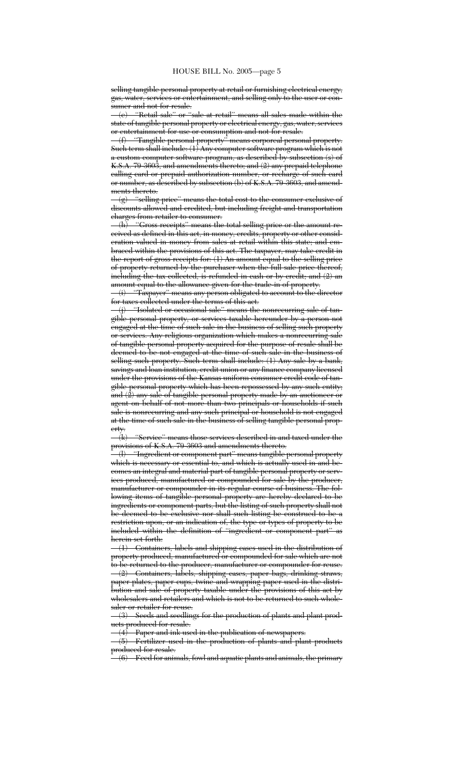selling tangible personal property at retail or furnishing electrical energy, gas, water, services or entertainment, and selling only to the user or consumer and not for resale.

(e) ''Retail sale'' or ''sale at retail'' means all sales made within the state of tangible personal property or electrical energy, gas, water, services or entertainment for use or consumption and not for resale.

"Tangible personal property" means corporeal personal property. Such term shall include: (1) Any computer software program which is not a custom computer software program, as described by subsection (s) of K.S.A. 79-3603, and amendments thereto; and (2) any prepaid telephone calling card or prepaid authorization number, or recharge of such card or number, as described by subsection (b) of K.S.A. 79-3603, and amend-

ments thereto.<br> $-(g)$  "selling" "selling price" means the total cost to the consumer exclusive of discounts allowed and credited, but including freight and transportation charges from retailer to consumer.

"Gross receipts" means the total selling price or the amount received as defined in this act, in money, credits, property or other consideration valued in money from sales at retail within this state; and embraced within the provisions of this act. The taxpayer, may take credit in the report of gross receipts for:  $(1)$  An amount equal to the selling price of property returned by the purchaser when the full sale price thereof, including the tax collected, is refunded in cash or by credit; and (2) an amount equal to the allowance given for the trade-in of property.

(i) ''Taxpayer'' means any person obligated to account to the director for taxes collected under the terms of this act.

(j) ''Isolated or occasional sale'' means the nonrecurring sale of tangible personal property, or services taxable hereunder by a person not engaged at the time of such sale in the business of selling such property or services. Any religious organization which makes a nonrecurring sale of tangible personal property acquired for the purpose of resale shall be deemed to be not engaged at the time of such sale in the business of selling such property. Such term shall include: (1) Any sale by a bank, savings and loan institution, credit union or any finance company licensed under the provisions of the Kansas uniform consumer credit code of tangible personal property which has been repossessed by any such entity; and (2) any sale of tangible personal property made by an auctioneer or agent on behalf of not more than two principals or households if such sale is nonrecurring and any such principal or household is not engaged at the time of such sale in the business of selling tangible personal prop- $\frac{\text{erty.}}{4}$ 

"Service" means those services described in and taxed under the provisions of K.S.A. 79-3603 and amendments thereto.

(l) ''Ingredient or component part'' means tangible personal property which is necessary or essential to, and which is actually used in and becomes an integral and material part of tangible personal property or services produced, manufactured or compounded for sale by the producer, manufacturer or compounder in its regular course of business. The following items of tangible personal property are hereby declared to be ingredients or component parts, but the listing of such property shall not be deemed to be exclusive nor shall such listing be construed to be a restriction upon, or an indication of, the type or types of property to be included within the definition of ''ingredient or component part'' as herein set forth:

(1) Containers, labels and shipping cases used in the distribution of property produced, manufactured or compounded for sale which are not to be returned to the producer, manufacturer or compounder for reuse.

Containers, labels, shipping cases, paper bags, drinking straws, paper plates, paper cups, twine and wrapping paper used in the distribution and sale of property taxable under the provisions of this act by wholesalers and retailers and which is not to be returned to such wholesaler or retailer for reuse.

(3) Seeds and seedlings for the production of plants and plant products produced for resale.

Paper and ink used in the publication of newspapers.

(5) Fertilizer used in the production of plants and plant products produced for resale.

<sup>(6)</sup> Feed for animals, fowl and aquatic plants and animals, the primary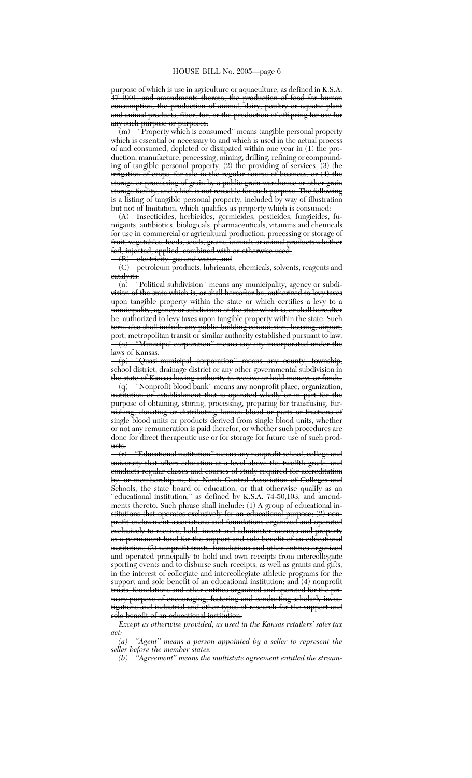purpose of which is use in agriculture or aquaculture, as defined in K.S.A. 47-1901, and amendments thereto, the production of food for human consumption, the production of animal, dairy, poultry or aquatic plant and animal products, fiber, fur, or the production of offspring for use for any such purpose or purposes.

 $\mathcal{L}_{\text{(m)}}$  ''Property which is consumed'' means tangible personal property which is essential or necessary to and which is used in the actual process of and consumed, depleted or dissipated within one year in (1) the production, manufacture, processing, mining, drilling, refining or compounding of tangible personal property, (2) the providing of services, (3) the irrigation of crops, for sale in the regular course of business, or (4) the storage or processing of grain by a public grain warehouse or other grain storage facility, and which is not reusable for such purpose. The following <del>is a listing of tangible personal property, included by way of illustration</del> but not of limitation, which qualifies as property which is consumed:

(A) Insecticides, herbicides, germicides, pesticides, fungicides, fumigants, antibiotics, biologicals, pharmaceuticals, vitamins and chemicals for use in commercial or agricultural production, processing or storage of fruit, vegetables, feeds, seeds, grains, animals or animal products whether f<del>ed, injected, applied, combined with or otherwise used;</del><br>—(B) electricity, gas and water; and

electricity, gas and water; and

(C) petroleum products, lubricants, chemicals, solvents, reagents and catalysts.

(n) ''Political subdivision'' means any municipality, agency or subdivision of the state which is, or shall hereafter be, authorized to levy taxes upon tangible property within the state or which certifies a levy to a municipality, agency or subdivision of the state which is, or shall hereafter be, authorized to levy taxes upon tangible property within the state. Such term also shall include any public building commission, housing, airport, port, metropolitan transit or similar authority established pursuant to law. "Municipal corporation" means any city incorporated under the laws of Kansas.

(p) ''Quasi-municipal corporation'' means any county, township, school district, drainage district or any other governmental subdivision in the state of Kansas having authority to receive or hold moneys or funds. (q) ''Nonprofit blood bank'' means any nonprofit place, organization, institution or establishment that is operated wholly or in part for the purpose of obtaining, storing, processing, preparing for transfusing, furnishing, donating or distributing human blood or parts or fractions of single blood units or products derived from single blood units, whether or not any remuneration is paid therefor, or whether such procedures are done for direct therapeutic use or for storage for future use of such products.

(r) ''Educational institution'' means any nonprofit school, college and university that offers education at a level above the twelfth grade, and conducts regular classes and courses of study required for accreditation by, or membership in, the North Central Association of Colleges and Schools, the state board of education, or that otherwise qualify as an "educational institution," as defined by K.S.A. 74-50,103, and amendments thereto. Such phrase shall include: (1) A group of educational institutions that operates exclusively for an educational purpose; (2) nonprofit endowment associations and foundations organized and operated exclusively to receive, hold, invest and administer moneys and property as a permanent fund for the support and sole benefit of an educational institution; (3) nonprofit trusts, foundations and other entities organized and operated principally to hold and own receipts from intercollegiate sporting events and to disburse such receipts, as well as grants and gifts, in the interest of collegiate and intercollegiate athletic programs for the support and sole benefit of an educational institution; and (4) nonprofit trusts, foundations and other entities organized and operated for the primary purpose of encouraging, fostering and conducting scholarly investigations and industrial and other types of research for the support and sole benefit of an educational institution.

*Except as otherwise provided, as used in the Kansas retailers' sales tax*  $\begin{array}{c} act: \ (a) \end{array}$ 

"Agent" means a person appointed by a seller to represent the *seller before the member states.*

*(b) ''Agreement'' means the multistate agreement entitled the stream-*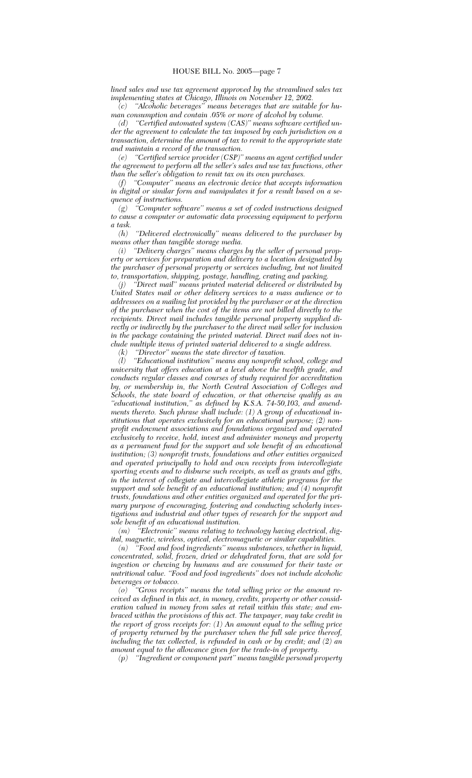*lined sales and use tax agreement approved by the streamlined sales tax implementing states at Chicago, Illinois on November 12, 2002.*

*(c) ''Alcoholic beverages'' means beverages that are suitable for human consumption and contain .05% or more of alcohol by volume.*

*(d) ''Certified automated system (CAS)'' means software certified under the agreement to calculate the tax imposed by each jurisdiction on a transaction, determine the amount of tax to remit to the appropriate state and maintain a record of the transaction.*

*(e) ''Certified service provider (CSP)'' means an agent certified under the agreement to perform all the seller's sales and use tax functions, other than the seller's obligation to remit tax on its own purchases.*

*(f) ''Computer'' means an electronic device that accepts information in digital or similar form and manipulates it for a result based on a sequence of instructions.*

*(g) ''Computer software'' means a set of coded instructions designed to cause a computer or automatic data processing equipment to perform a task.*

*(h) ''Delivered electronically'' means delivered to the purchaser by means other than tangible storage media.*

*(i) ''Delivery charges'' means charges by the seller of personal property or services for preparation and delivery to a location designated by the purchaser of personal property or services including, but not limited to, transportation, shipping, postage, handling, crating and packing.*

*(j) ''Direct mail'' means printed material delivered or distributed by United States mail or other delivery services to a mass audience or to addressees on a mailing list provided by the purchaser or at the direction of the purchaser when the cost of the items are not billed directly to the recipients. Direct mail includes tangible personal property supplied directly or indirectly by the purchaser to the direct mail seller for inclusion in the package containing the printed material. Direct mail does not include multiple items of printed material delivered to a single address.*

*(k) ''Director'' means the state director of taxation. (l) ''Educational institution'' means any nonprofit school, college and university that offers education at a level above the twelfth grade, and conducts regular classes and courses of study required for accreditation by, or membership in, the North Central Association of Colleges and Schools, the state board of education, or that otherwise qualify as an ''educational institution,'' as defined by K.S.A. 74-50,103, and amendments thereto. Such phrase shall include: (1) A group of educational institutions that operates exclusively for an educational purpose; (2) nonprofit endowment associations and foundations organized and operated exclusively to receive, hold, invest and administer moneys and property as a permanent fund for the support and sole benefit of an educational institution; (3) nonprofit trusts, foundations and other entities organized and operated principally to hold and own receipts from intercollegiate sporting events and to disburse such receipts, as well as grants and gifts, in the interest of collegiate and intercollegiate athletic programs for the support and sole benefit of an educational institution; and (4) nonprofit trusts, foundations and other entities organized and operated for the primary purpose of encouraging, fostering and conducting scholarly investigations and industrial and other types of research for the support and sole benefit of an educational institution.*

*(m) ''Electronic'' means relating to technology having electrical, digital, magnetic, wireless, optical, electromagnetic or similar capabilities.*

*(n) ''Food and food ingredients'' means substances, whether in liquid, concentrated, solid, frozen, dried or dehydrated form, that are sold for ingestion or chewing by humans and are consumed for their taste or nutritional value. ''Food and food ingredients'' does not include alcoholic beverages or tobacco.*

*(o) ''Gross receipts'' means the total selling price or the amount received as defined in this act, in money, credits, property or other consideration valued in money from sales at retail within this state; and embraced within the provisions of this act. The taxpayer, may take credit in the report of gross receipts for: (1) An amount equal to the selling price of property returned by the purchaser when the full sale price thereof, including the tax collected, is refunded in cash or by credit; and (2) an amount equal to the allowance given for the trade-in of property.*

*(p) ''Ingredient or component part'' means tangible personal property*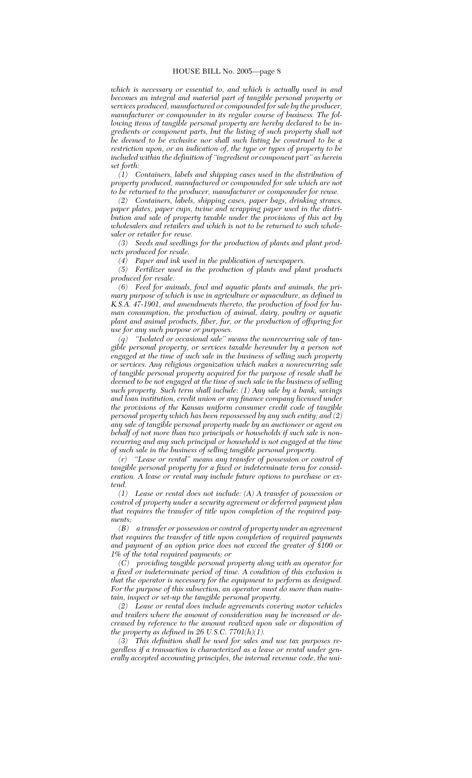*which is necessary or essential to, and which is actually used in and becomes an integral and material part of tangible personal property or services produced, manufactured or compounded for sale by the producer, manufacturer or compounder in its regular course of business. The following items of tangible personal property are hereby declared to be ingredients or component parts, but the listing of such property shall not be deemed to be exclusive nor shall such listing be construed to be a restriction upon, or an indication of, the type or types of property to be included within the definition of ''ingredient or component part'' as herein set forth:*

*(1) Containers, labels and shipping cases used in the distribution of property produced, manufactured or compounded for sale which are not to be returned to the producer, manufacturer or compounder for reuse.*

*(2) Containers, labels, shipping cases, paper bags, drinking straws, paper plates, paper cups, twine and wrapping paper used in the distribution and sale of property taxable under the provisions of this act by wholesalers and retailers and which is not to be returned to such wholesaler or retailer for reuse.*

*(3) Seeds and seedlings for the production of plants and plant products produced for resale.*

*(4) Paper and ink used in the publication of newspapers.*

*(5) Fertilizer used in the production of plants and plant products produced for resale.*

*(6) Feed for animals, fowl and aquatic plants and animals, the primary purpose of which is use in agriculture or aquaculture, as defined in K.S.A. 47-1901, and amendments thereto, the production of food for human consumption, the production of animal, dairy, poultry or aquatic plant and animal products, fiber, fur, or the production of offspring for use for any such purpose or purposes.*

*(q) ''Isolated or occasional sale'' means the nonrecurring sale of tangible personal property, or services taxable hereunder by a person not engaged at the time of such sale in the business of selling such property or services. Any religious organization which makes a nonrecurring sale of tangible personal property acquired for the purpose of resale shall be deemed to be not engaged at the time of such sale in the business of selling such property. Such term shall include: (1) Any sale by a bank, savings and loan institution, credit union or any finance company licensed under the provisions of the Kansas uniform consumer credit code of tangible personal property which has been repossessed by any such entity; and (2) any sale of tangible personal property made by an auctioneer or agent on behalf of not more than two principals or households if such sale is nonrecurring and any such principal or household is not engaged at the time of such sale in the business of selling tangible personal property.*

*(r) ''Lease or rental'' means any transfer of possession or control of tangible personal property for a fixed or indeterminate term for consideration. A lease or rental may include future options to purchase or extend.*

*(1) Lease or rental does not include: (A) A transfer of possession or control of property under a security agreement or deferred payment plan that requires the transfer of title upon completion of the required payments;*

*(B) a transfer or possession or control of property under an agreement that requires the transfer of title upon completion of required payments and payment of an option price does not exceed the greater of \$100 or 1% of the total required payments; or*

*(C) providing tangible personal property along with an operator for a fixed or indeterminate period of time. A condition of this exclusion is that the operator is necessary for the equipment to perform as designed. For the purpose of this subsection, an operator must do more than maintain, inspect or set-up the tangible personal property.*

*(2) Lease or rental does include agreements covering motor vehicles and trailers where the amount of consideration may be increased or decreased by reference to the amount realized upon sale or disposition of the property as defined in 26 U.S.C. 7701(h)(1).*

*(3) This definition shall be used for sales and use tax purposes regardless if a transaction is characterized as a lease or rental under generally accepted accounting principles, the internal revenue code, the uni-*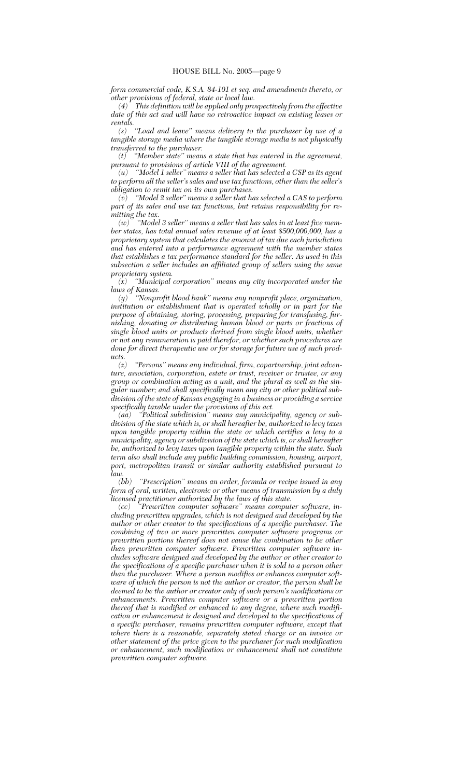*form commercial code, K.S.A. 84-101 et seq. and amendments thereto, or other provisions of federal, state or local law.*

*(4) This definition will be applied only prospectively from the effective date of this act and will have no retroactive impact on existing leases or rentals.*

*(s) ''Load and leave'' means delivery to the purchaser by use of a tangible storage media where the tangible storage media is not physically transferred to the purchaser.*

*(t) ''Member state'' means a state that has entered in the agreement, pursuant to provisions of article VIII of the agreement.*

*(u) ''Model 1 seller'' means a seller that has selected a CSP as its agent to perform all the seller's sales and use tax functions, other than the seller's obligation to remit tax on its own purchases.*

*(v) ''Model 2 seller'' means a seller that has selected a CAS to perform part of its sales and use tax functions, but retains responsibility for remitting the tax.*

*(w) ''Model 3 seller'' means a seller that has sales in at least five member states, has total annual sales revenue of at least \$500,000,000, has a proprietary system that calculates the amount of tax due each jurisdiction and has entered into a performance agreement with the member states that establishes a tax performance standard for the seller. As used in this subsection a seller includes an affiliated group of sellers using the same proprietary system.*

*(x) ''Municipal corporation'' means any city incorporated under the laws of Kansas.*

*(y) ''Nonprofit blood bank'' means any nonprofit place, organization, institution or establishment that is operated wholly or in part for the purpose of obtaining, storing, processing, preparing for transfusing, furnishing, donating or distributing human blood or parts or fractions of single blood units or products derived from single blood units, whether or not any remuneration is paid therefor, or whether such procedures are done for direct therapeutic use or for storage for future use of such products.*

*(z) ''Persons'' means any individual, firm, copartnership, joint adventure, association, corporation, estate or trust, receiver or trustee, or any group or combination acting as a unit, and the plural as well as the singular number; and shall specifically mean any city or other political subdivision of the state of Kansas engaging in a business or providing a service specifically taxable under the provisions of this act.*

*(aa) ''Political subdivision'' means any municipality, agency or subdivision of the state which is, or shall hereafter be, authorized to levy taxes upon tangible property within the state or which certifies a levy to a municipality, agency or subdivision of the state which is, or shall hereafter be, authorized to levy taxes upon tangible property within the state. Such term also shall include any public building commission, housing, airport, port, metropolitan transit or similar authority established pursuant to*

*law. (bb) ''Prescription'' means an order, formula or recipe issued in any form of oral, written, electronic or other means of transmission by a duly licensed practitioner authorized by the laws of this state.*

*(cc) ''Prewritten computer software'' means computer software, including prewritten upgrades, which is not designed and developed by the author or other creator to the specifications of a specific purchaser. The combining of two or more prewritten computer software programs or prewritten portions thereof does not cause the combination to be other than prewritten computer software. Prewritten computer software includes software designed and developed by the author or other creator to the specifications of a specific purchaser when it is sold to a person other than the purchaser. Where a person modifies or enhances computer software of which the person is not the author or creator, the person shall be deemed to be the author or creator only of such person's modifications or enhancements. Prewritten computer software or a prewritten portion thereof that is modified or enhanced to any degree, where such modification or enhancement is designed and developed to the specifications of a specific purchaser, remains prewritten computer software, except that where there is a reasonable, separately stated charge or an invoice or other statement of the price given to the purchaser for such modification or enhancement, such modification or enhancement shall not constitute prewritten computer software.*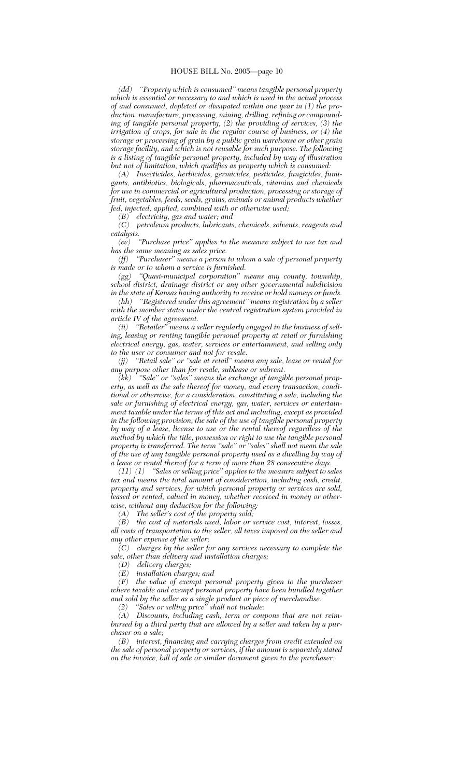*(dd) ''Property which is consumed'' means tangible personal property which is essential or necessary to and which is used in the actual process of and consumed, depleted or dissipated within one year in (1) the production, manufacture, processing, mining, drilling, refining or compounding of tangible personal property, (2) the providing of services, (3) the irrigation of crops, for sale in the regular course of business, or (4) the storage or processing of grain by a public grain warehouse or other grain storage facility, and which is not reusable for such purpose. The following is a listing of tangible personal property, included by way of illustration but not of limitation, which qualifies as property which is consumed:*

*(A) Insecticides, herbicides, germicides, pesticides, fungicides, fumigants, antibiotics, biologicals, pharmaceuticals, vitamins and chemicals for use in commercial or agricultural production, processing or storage of fruit, vegetables, feeds, seeds, grains, animals or animal products whether fed, injected, applied, combined with or otherwise used;*

*(B) electricity, gas and water; and (C) petroleum products, lubricants, chemicals, solvents, reagents and catalysts.*

*(ee) ''Purchase price'' applies to the measure subject to use tax and has the same meaning as sales price.*

*(ff) ''Purchaser'' means a person to whom a sale of personal property is made or to whom a service is furnished.*

*(gg) ''Quasi-municipal corporation'' means any county, township, school district, drainage district or any other governmental subdivision in the state of Kansas having authority to receive or hold moneys or funds.*

*(hh) ''Registered under this agreement'' means registration by a seller with the member states under the central registration system provided in*

*article IV of the agreement.* "Retailer" means a seller regularly engaged in the business of sell*ing, leasing or renting tangible personal property at retail or furnishing electrical energy, gas, water, services or entertainment, and selling only to the user or consumer and not for resale.*

*(jj) ''Retail sale'' or ''sale at retail'' means any sale, lease or rental for any purpose other than for resale, sublease or subrent.*

*(kk) ''Sale'' or ''sales'' means the exchange of tangible personal property, as well as the sale thereof for money, and every transaction, conditional or otherwise, for a consideration, constituting a sale, including the sale or furnishing of electrical energy, gas, water, services or entertainment taxable under the terms of this act and including, except as provided in the following provision, the sale of the use of tangible personal property by way of a lease, license to use or the rental thereof regardless of the method by which the title, possession or right to use the tangible personal property is transferred. The term ''sale'' or ''sales'' shall not mean the sale of the use of any tangible personal property used as a dwelling by way of a lease or rental thereof for a term of more than 28 consecutive days.*

*(11) (1) ''Sales or selling price'' applies to the measure subject to sales tax and means the total amount of consideration, including cash, credit, property and services, for which personal property or services are sold, leased or rented, valued in money, whether received in money or otherwise, without any deduction for the following:*

*(A) The seller's cost of the property sold;*

*(B) the cost of materials used, labor or service cost, interest, losses, all costs of transportation to the seller, all taxes imposed on the seller and any other expense of the seller;*

*(C) charges by the seller for any services necessary to complete the sale, other than delivery and installation charges;*

*(D) delivery charges;*

*(E) installation charges; and*

*(F) the value of exempt personal property given to the purchaser where taxable and exempt personal property have been bundled together and sold by the seller as a single product or piece of merchandise.*

*(2) ''Sales or selling price'' shall not include:*

*(A) Discounts, including cash, term or coupons that are not reimbursed by a third party that are allowed by a seller and taken by a purchaser on a sale;*

*(B) interest, financing and carrying charges from credit extended on the sale of personal property or services, if the amount is separately stated on the invoice, bill of sale or similar document given to the purchaser;*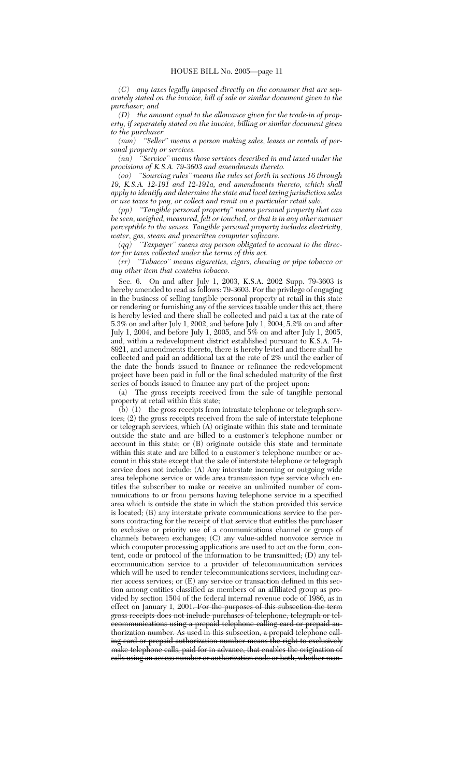*(C) any taxes legally imposed directly on the consumer that are separately stated on the invoice, bill of sale or similar document given to the purchaser; and*

*(D) the amount equal to the allowance given for the trade-in of property, if separately stated on the invoice, billing or similar document given to the purchaser.*

*(mm) ''Seller'' means a person making sales, leases or rentals of personal property or services.*

*(nn) ''Service'' means those services described in and taxed under the provisions of K.S.A. 79-3603 and amendments thereto.*

*(oo) ''Sourcing rules'' means the rules set forth in sections 16 through 19, K.S.A. 12-191 and 12-191a, and amendments thereto, which shall apply to identify and determine the state and local taxing jurisdiction sales or use taxes to pay, or collect and remit on a particular retail sale.*

*(pp) ''Tangible personal property'' means personal property that can be seen, weighed, measured, felt or touched, or that is in any other manner perceptible to the senses. Tangible personal property includes electricity, water, gas, steam and prewritten computer software.*

*(qq) ''Taxpayer'' means any person obligated to account to the director for taxes collected under the terms of this act.*

*(rr) ''Tobacco'' means cigarettes, cigars, chewing or pipe tobacco or any other item that contains tobacco.*

Sec. 6. On and after July 1, 2003, K.S.A. 2002 Supp. 79-3603 is hereby amended to read as follows: 79-3603. For the privilege of engaging in the business of selling tangible personal property at retail in this state or rendering or furnishing any of the services taxable under this act, there is hereby levied and there shall be collected and paid a tax at the rate of 5.3% on and after July 1, 2002, and before July 1, 2004, 5.2% on and after July 1, 2004, and before July 1, 2005, and 5% on and after July 1, 2005, and, within a redevelopment district established pursuant to K.S.A. 74- 8921, and amendments thereto, there is hereby levied and there shall be collected and paid an additional tax at the rate of 2% until the earlier of the date the bonds issued to finance or refinance the redevelopment project have been paid in full or the final scheduled maturity of the first series of bonds issued to finance any part of the project upon:

(a) The gross receipts received from the sale of tangible personal property at retail within this state;

(b) (1) the gross receipts from intrastate telephone or telegraph services; (2) the gross receipts received from the sale of interstate telephone or telegraph services, which (A) originate within this state and terminate outside the state and are billed to a customer's telephone number or account in this state; or (B) originate outside this state and terminate within this state and are billed to a customer's telephone number or account in this state except that the sale of interstate telephone or telegraph service does not include: (A) Any interstate incoming or outgoing wide area telephone service or wide area transmission type service which entitles the subscriber to make or receive an unlimited number of communications to or from persons having telephone service in a specified area which is outside the state in which the station provided this service is located; (B) any interstate private communications service to the persons contracting for the receipt of that service that entitles the purchaser to exclusive or priority use of a communications channel or group of channels between exchanges; (C) any value-added nonvoice service in which computer processing applications are used to act on the form, content, code or protocol of the information to be transmitted; (D) any telecommunication service to a provider of telecommunication services which will be used to render telecommunications services, including carrier access services; or (E) any service or transaction defined in this section among entities classified as members of an affiliated group as provided by section 1504 of the federal internal revenue code of 1986, as in effect on January 1, 2001<del>. For the purposes of this subsection the term</del> gross receipts does not include purchases of telephone, telegraph or telecommunications using a prepaid telephone calling card or prepaid authorization number. As used in this subsection, a prepaid telephone calling card or prepaid authorization number means the right to exclusively make telephone calls, paid for in advance, that enables the origination of calls using an access number or authorization code or both, whether man-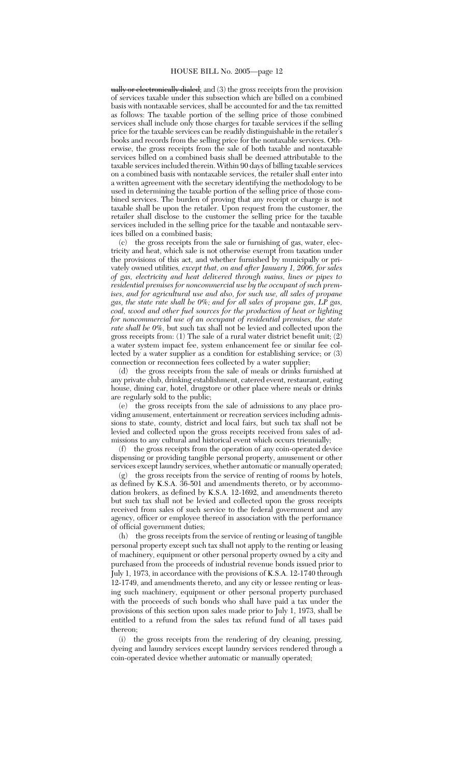ually or electronically dialed; and (3) the gross receipts from the provision of services taxable under this subsection which are billed on a combined basis with nontaxable services, shall be accounted for and the tax remitted as follows: The taxable portion of the selling price of those combined services shall include only those charges for taxable services if the selling price for the taxable services can be readily distinguishable in the retailer's books and records from the selling price for the nontaxable services. Otherwise, the gross receipts from the sale of both taxable and nontaxable services billed on a combined basis shall be deemed attributable to the taxable services included therein. Within 90 days of billing taxable services on a combined basis with nontaxable services, the retailer shall enter into a written agreement with the secretary identifying the methodology to be used in determining the taxable portion of the selling price of those combined services. The burden of proving that any receipt or charge is not taxable shall be upon the retailer. Upon request from the customer, the retailer shall disclose to the customer the selling price for the taxable services included in the selling price for the taxable and nontaxable services billed on a combined basis;

(c) the gross receipts from the sale or furnishing of gas, water, electricity and heat, which sale is not otherwise exempt from taxation under the provisions of this act, and whether furnished by municipally or privately owned utilities*, except that, on and after January 1, 2006, for sales of gas, electricity and heat delivered through mains, lines or pipes to residential premises for noncommercial use by the occupant of such premises, and for agricultural use and also, for such use, all sales of propane gas, the state rate shall be 0%; and for all sales of propane gas, LP gas, coal, wood and other fuel sources for the production of heat or lighting for noncommercial use of an occupant of residential premises, the state rate shall be 0%,* but such tax shall not be levied and collected upon the gross receipts from: (1) The sale of a rural water district benefit unit; (2) a water system impact fee, system enhancement fee or similar fee collected by a water supplier as a condition for establishing service; or (3) connection or reconnection fees collected by a water supplier;

(d) the gross receipts from the sale of meals or drinks furnished at any private club, drinking establishment, catered event, restaurant, eating house, dining car, hotel, drugstore or other place where meals or drinks are regularly sold to the public;

(e) the gross receipts from the sale of admissions to any place providing amusement, entertainment or recreation services including admissions to state, county, district and local fairs, but such tax shall not be levied and collected upon the gross receipts received from sales of admissions to any cultural and historical event which occurs triennially;

(f) the gross receipts from the operation of any coin-operated device dispensing or providing tangible personal property, amusement or other services except laundry services, whether automatic or manually operated;

(g) the gross receipts from the service of renting of rooms by hotels, as defined by K.S.A. 36-501 and amendments thereto, or by accommodation brokers, as defined by K.S.A. 12-1692, and amendments thereto but such tax shall not be levied and collected upon the gross receipts received from sales of such service to the federal government and any agency, officer or employee thereof in association with the performance of official government duties;

(h) the gross receipts from the service of renting or leasing of tangible personal property except such tax shall not apply to the renting or leasing of machinery, equipment or other personal property owned by a city and purchased from the proceeds of industrial revenue bonds issued prior to July 1, 1973, in accordance with the provisions of K.S.A. 12-1740 through 12-1749, and amendments thereto, and any city or lessee renting or leasing such machinery, equipment or other personal property purchased with the proceeds of such bonds who shall have paid a tax under the provisions of this section upon sales made prior to July 1, 1973, shall be entitled to a refund from the sales tax refund fund of all taxes paid thereon;

(i) the gross receipts from the rendering of dry cleaning, pressing, dyeing and laundry services except laundry services rendered through a coin-operated device whether automatic or manually operated;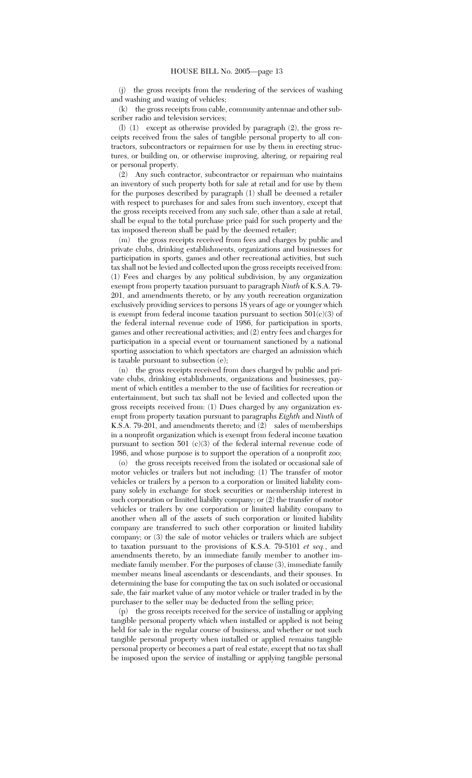(j) the gross receipts from the rendering of the services of washing and washing and waxing of vehicles;

(k) the gross receipts from cable, community antennae and other subscriber radio and television services;

(l) (1) except as otherwise provided by paragraph (2), the gross receipts received from the sales of tangible personal property to all contractors, subcontractors or repairmen for use by them in erecting structures, or building on, or otherwise improving, altering, or repairing real or personal property.

(2) Any such contractor, subcontractor or repairman who maintains an inventory of such property both for sale at retail and for use by them for the purposes described by paragraph (1) shall be deemed a retailer with respect to purchases for and sales from such inventory, except that the gross receipts received from any such sale, other than a sale at retail, shall be equal to the total purchase price paid for such property and the tax imposed thereon shall be paid by the deemed retailer;

(m) the gross receipts received from fees and charges by public and private clubs, drinking establishments, organizations and businesses for participation in sports, games and other recreational activities, but such tax shall not be levied and collected upon the gross receipts received from: (1) Fees and charges by any political subdivision, by any organization exempt from property taxation pursuant to paragraph *Ninth* of K.S.A. 79- 201, and amendments thereto, or by any youth recreation organization exclusively providing services to persons 18 years of age or younger which is exempt from federal income taxation pursuant to section  $501(c)(3)$  of the federal internal revenue code of 1986, for participation in sports, games and other recreational activities; and (2) entry fees and charges for participation in a special event or tournament sanctioned by a national sporting association to which spectators are charged an admission which is taxable pursuant to subsection (e);

(n) the gross receipts received from dues charged by public and private clubs, drinking establishments, organizations and businesses, payment of which entitles a member to the use of facilities for recreation or entertainment, but such tax shall not be levied and collected upon the gross receipts received from: (1) Dues charged by any organization exempt from property taxation pursuant to paragraphs *Eighth* and *Ninth* of K.S.A. 79-201, and amendments thereto; and (2) sales of memberships in a nonprofit organization which is exempt from federal income taxation pursuant to section 501 (c)(3) of the federal internal revenue code of 1986, and whose purpose is to support the operation of a nonprofit zoo;

(o) the gross receipts received from the isolated or occasional sale of motor vehicles or trailers but not including: (1) The transfer of motor vehicles or trailers by a person to a corporation or limited liability company solely in exchange for stock securities or membership interest in such corporation or limited liability company; or (2) the transfer of motor vehicles or trailers by one corporation or limited liability company to another when all of the assets of such corporation or limited liability company are transferred to such other corporation or limited liability company; or (3) the sale of motor vehicles or trailers which are subject to taxation pursuant to the provisions of K.S.A. 79-5101 *et seq.*, and amendments thereto, by an immediate family member to another immediate family member. For the purposes of clause (3), immediate family member means lineal ascendants or descendants, and their spouses. In determining the base for computing the tax on such isolated or occasional sale, the fair market value of any motor vehicle or trailer traded in by the purchaser to the seller may be deducted from the selling price;

(p) the gross receipts received for the service of installing or applying tangible personal property which when installed or applied is not being held for sale in the regular course of business, and whether or not such tangible personal property when installed or applied remains tangible personal property or becomes a part of real estate, except that no tax shall be imposed upon the service of installing or applying tangible personal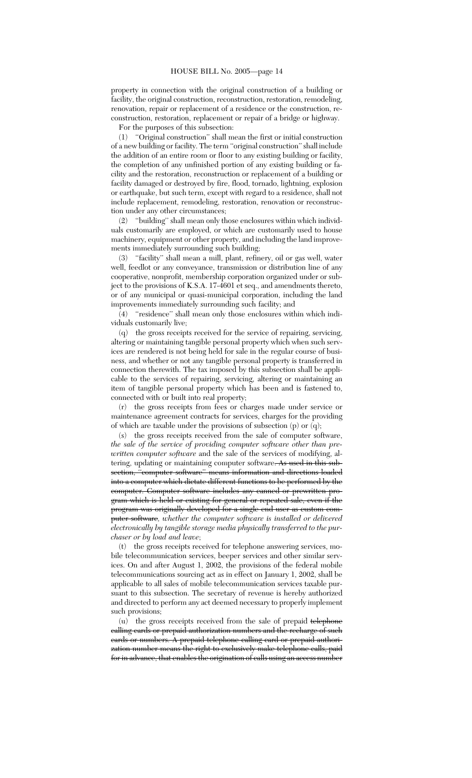property in connection with the original construction of a building or facility, the original construction, reconstruction, restoration, remodeling, renovation, repair or replacement of a residence or the construction, reconstruction, restoration, replacement or repair of a bridge or highway.

For the purposes of this subsection:

(1) ''Original construction'' shall mean the first or initial construction of a new building or facility. The term ''original construction'' shall include the addition of an entire room or floor to any existing building or facility, the completion of any unfinished portion of any existing building or facility and the restoration, reconstruction or replacement of a building or facility damaged or destroyed by fire, flood, tornado, lightning, explosion or earthquake, but such term, except with regard to a residence, shall not include replacement, remodeling, restoration, renovation or reconstruction under any other circumstances;

(2) ''building'' shall mean only those enclosures within which individuals customarily are employed, or which are customarily used to house machinery, equipment or other property, and including the land improvements immediately surrounding such building;

(3) ''facility'' shall mean a mill, plant, refinery, oil or gas well, water well, feedlot or any conveyance, transmission or distribution line of any cooperative, nonprofit, membership corporation organized under or subject to the provisions of K.S.A. 17-4601 et seq., and amendments thereto, or of any municipal or quasi-municipal corporation, including the land improvements immediately surrounding such facility; and

(4) ''residence'' shall mean only those enclosures within which individuals customarily live;

(q) the gross receipts received for the service of repairing, servicing, altering or maintaining tangible personal property which when such services are rendered is not being held for sale in the regular course of business, and whether or not any tangible personal property is transferred in connection therewith. The tax imposed by this subsection shall be applicable to the services of repairing, servicing, altering or maintaining an item of tangible personal property which has been and is fastened to, connected with or built into real property;

(r) the gross receipts from fees or charges made under service or maintenance agreement contracts for services, charges for the providing of which are taxable under the provisions of subsection (p) or (q);

(s) the gross receipts received from the sale of computer software, *the sale of the service of providing computer software other than prewritten computer software* and the sale of the services of modifying, altering, updating or maintaining computer software. As used in this subsection, "computer software" means information and directions loaded into a computer which dictate different functions to be performed by the computer. Computer software includes any canned or prewritten program which is held or existing for general or repeated sale, even if the program was originally developed for a single end user as custom computer software*, whether the computer software is installed or delivered electronically by tangible storage media physically transferred to the purchaser or by load and leave*;

(t) the gross receipts received for telephone answering services, mobile telecommunication services, beeper services and other similar services. On and after August 1, 2002, the provisions of the federal mobile telecommunications sourcing act as in effect on January 1, 2002, shall be applicable to all sales of mobile telecommunication services taxable pursuant to this subsection. The secretary of revenue is hereby authorized and directed to perform any act deemed necessary to properly implement such provisions;

(u) the gross receipts received from the sale of prepaid telephone calling cards or prepaid authorization numbers and the recharge of such cards or numbers. A prepaid telephone calling card or prepaid authorization number means the right to exclusively make telephone calls, paid for in advance, that enables the origination of calls using an access number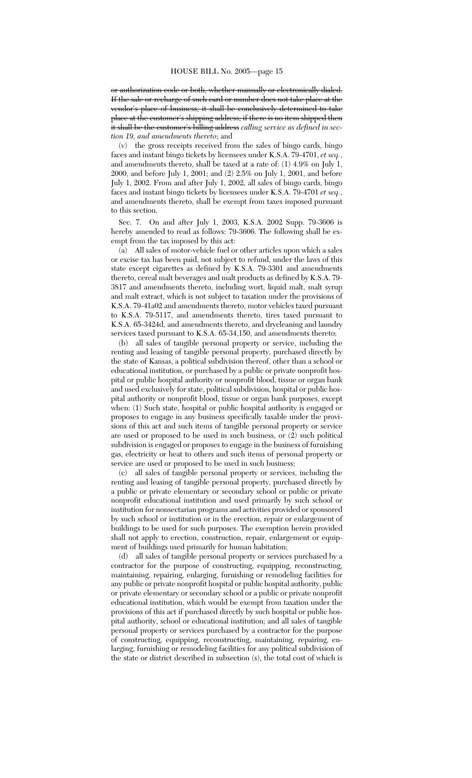or authorization code or both, whether manually or electronically dialed. If the sale or recharge of such card or number does not take place at the vendor's place of business, it shall be conclusively determined to take place at the customer's shipping address; if there is no item shipped then it shall be the customer's billing address *calling service as defined in section 19, and amendments thereto*; and

(v) the gross receipts received from the sales of bingo cards, bingo faces and instant bingo tickets by licensees under K.S.A. 79-4701, *et seq.*, and amendments thereto, shall be taxed at a rate of: (1) 4.9% on July 1, 2000, and before July 1, 2001; and (2) 2.5% on July 1, 2001, and before July 1, 2002. From and after July 1, 2002, all sales of bingo cards, bingo faces and instant bingo tickets by licensees under K.S.A. 79-4701 *et seq.*, and amendments thereto, shall be exempt from taxes imposed pursuant to this section.

Sec. 7. On and after July 1, 2003, K.S.A. 2002 Supp. 79-3606 is hereby amended to read as follows: 79-3606. The following shall be exempt from the tax imposed by this act:

(a) All sales of motor-vehicle fuel or other articles upon which a sales or excise tax has been paid, not subject to refund, under the laws of this state except cigarettes as defined by K.S.A. 79-3301 and amendments thereto, cereal malt beverages and malt products as defined by K.S.A. 79- 3817 and amendments thereto, including wort, liquid malt, malt syrup and malt extract, which is not subject to taxation under the provisions of K.S.A. 79-41a02 and amendments thereto, motor vehicles taxed pursuant to K.S.A. 79-5117, and amendments thereto, tires taxed pursuant to K.S.A. 65-3424d, and amendments thereto, and drycleaning and laundry services taxed pursuant to K.S.A. 65-34,150, and amendments thereto;

(b) all sales of tangible personal property or service, including the renting and leasing of tangible personal property, purchased directly by the state of Kansas, a political subdivision thereof, other than a school or educational institution, or purchased by a public or private nonprofit hospital or public hospital authority or nonprofit blood, tissue or organ bank and used exclusively for state, political subdivision, hospital or public hospital authority or nonprofit blood, tissue or organ bank purposes, except when: (1) Such state, hospital or public hospital authority is engaged or proposes to engage in any business specifically taxable under the provisions of this act and such items of tangible personal property or service are used or proposed to be used in such business, or (2) such political subdivision is engaged or proposes to engage in the business of furnishing gas, electricity or heat to others and such items of personal property or service are used or proposed to be used in such business;

(c) all sales of tangible personal property or services, including the renting and leasing of tangible personal property, purchased directly by a public or private elementary or secondary school or public or private nonprofit educational institution and used primarily by such school or institution for nonsectarian programs and activities provided or sponsored by such school or institution or in the erection, repair or enlargement of buildings to be used for such purposes. The exemption herein provided shall not apply to erection, construction, repair, enlargement or equipment of buildings used primarily for human habitation;

(d) all sales of tangible personal property or services purchased by a contractor for the purpose of constructing, equipping, reconstructing, maintaining, repairing, enlarging, furnishing or remodeling facilities for any public or private nonprofit hospital or public hospital authority, public or private elementary or secondary school or a public or private nonprofit educational institution, which would be exempt from taxation under the provisions of this act if purchased directly by such hospital or public hospital authority, school or educational institution; and all sales of tangible personal property or services purchased by a contractor for the purpose of constructing, equipping, reconstructing, maintaining, repairing, enlarging, furnishing or remodeling facilities for any political subdivision of the state or district described in subsection (s), the total cost of which is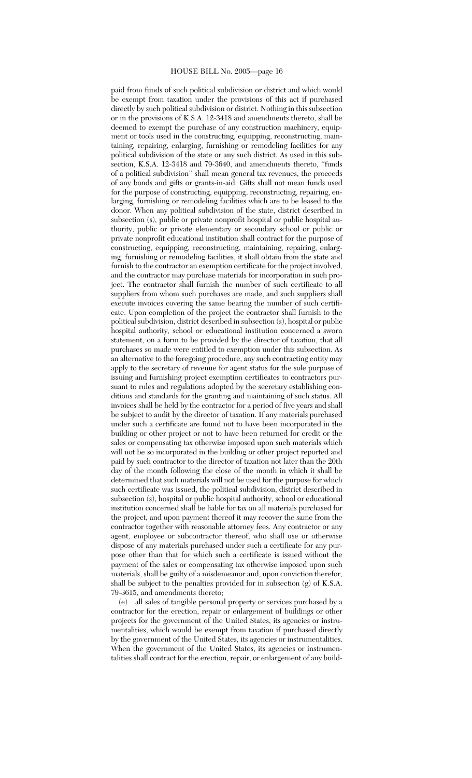paid from funds of such political subdivision or district and which would be exempt from taxation under the provisions of this act if purchased directly by such political subdivision or district. Nothing in this subsection or in the provisions of K.S.A. 12-3418 and amendments thereto, shall be deemed to exempt the purchase of any construction machinery, equipment or tools used in the constructing, equipping, reconstructing, maintaining, repairing, enlarging, furnishing or remodeling facilities for any political subdivision of the state or any such district. As used in this subsection, K.S.A. 12-3418 and 79-3640, and amendments thereto, ''funds of a political subdivision'' shall mean general tax revenues, the proceeds of any bonds and gifts or grants-in-aid. Gifts shall not mean funds used for the purpose of constructing, equipping, reconstructing, repairing, enlarging, furnishing or remodeling facilities which are to be leased to the donor. When any political subdivision of the state, district described in subsection (s), public or private nonprofit hospital or public hospital authority, public or private elementary or secondary school or public or private nonprofit educational institution shall contract for the purpose of constructing, equipping, reconstructing, maintaining, repairing, enlarging, furnishing or remodeling facilities, it shall obtain from the state and furnish to the contractor an exemption certificate for the project involved, and the contractor may purchase materials for incorporation in such project. The contractor shall furnish the number of such certificate to all suppliers from whom such purchases are made, and such suppliers shall execute invoices covering the same bearing the number of such certificate. Upon completion of the project the contractor shall furnish to the political subdivision, district described in subsection (s), hospital or public hospital authority, school or educational institution concerned a sworn statement, on a form to be provided by the director of taxation, that all purchases so made were entitled to exemption under this subsection. As an alternative to the foregoing procedure, any such contracting entity may apply to the secretary of revenue for agent status for the sole purpose of issuing and furnishing project exemption certificates to contractors pursuant to rules and regulations adopted by the secretary establishing conditions and standards for the granting and maintaining of such status. All invoices shall be held by the contractor for a period of five years and shall be subject to audit by the director of taxation. If any materials purchased under such a certificate are found not to have been incorporated in the building or other project or not to have been returned for credit or the sales or compensating tax otherwise imposed upon such materials which will not be so incorporated in the building or other project reported and paid by such contractor to the director of taxation not later than the 20th day of the month following the close of the month in which it shall be determined that such materials will not be used for the purpose for which such certificate was issued, the political subdivision, district described in subsection (s), hospital or public hospital authority, school or educational institution concerned shall be liable for tax on all materials purchased for the project, and upon payment thereof it may recover the same from the contractor together with reasonable attorney fees. Any contractor or any agent, employee or subcontractor thereof, who shall use or otherwise dispose of any materials purchased under such a certificate for any purpose other than that for which such a certificate is issued without the payment of the sales or compensating tax otherwise imposed upon such materials, shall be guilty of a misdemeanor and, upon conviction therefor, shall be subject to the penalties provided for in subsection (g) of K.S.A. 79-3615, and amendments thereto;

(e) all sales of tangible personal property or services purchased by a contractor for the erection, repair or enlargement of buildings or other projects for the government of the United States, its agencies or instrumentalities, which would be exempt from taxation if purchased directly by the government of the United States, its agencies or instrumentalities. When the government of the United States, its agencies or instrumentalities shall contract for the erection, repair, or enlargement of any build-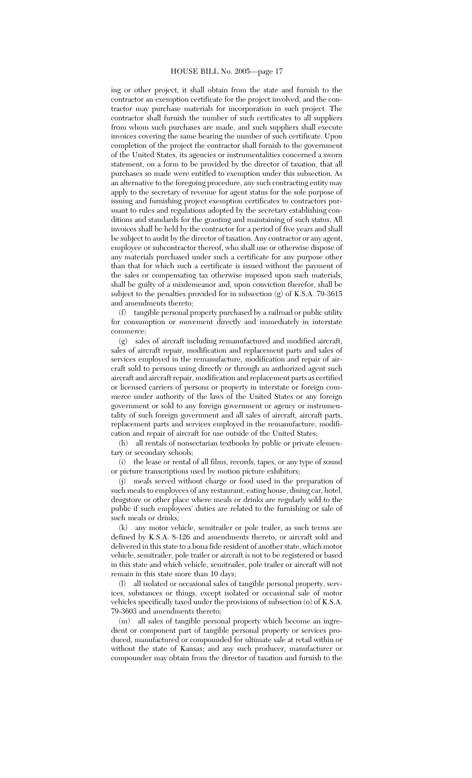ing or other project, it shall obtain from the state and furnish to the contractor an exemption certificate for the project involved, and the contractor may purchase materials for incorporation in such project. The contractor shall furnish the number of such certificates to all suppliers from whom such purchases are made, and such suppliers shall execute invoices covering the same bearing the number of such certificate. Upon completion of the project the contractor shall furnish to the government of the United States, its agencies or instrumentalities concerned a sworn statement, on a form to be provided by the director of taxation, that all purchases so made were entitled to exemption under this subsection. As an alternative to the foregoing procedure, any such contracting entity may apply to the secretary of revenue for agent status for the sole purpose of issuing and furnishing project exemption certificates to contractors pursuant to rules and regulations adopted by the secretary establishing conditions and standards for the granting and maintaining of such status. All invoices shall be held by the contractor for a period of five years and shall be subject to audit by the director of taxation. Any contractor or any agent, employee or subcontractor thereof, who shall use or otherwise dispose of any materials purchased under such a certificate for any purpose other than that for which such a certificate is issued without the payment of the sales or compensating tax otherwise imposed upon such materials, shall be guilty of a misdemeanor and, upon conviction therefor, shall be subject to the penalties provided for in subsection (g) of K.S.A. 79-3615 and amendments thereto;

(f) tangible personal property purchased by a railroad or public utility for consumption or movement directly and immediately in interstate commerce;

(g) sales of aircraft including remanufactured and modified aircraft, sales of aircraft repair, modification and replacement parts and sales of services employed in the remanufacture, modification and repair of aircraft sold to persons using directly or through an authorized agent such aircraft and aircraft repair, modification and replacement parts as certified or licensed carriers of persons or property in interstate or foreign commerce under authority of the laws of the United States or any foreign government or sold to any foreign government or agency or instrumentality of such foreign government and all sales of aircraft, aircraft parts, replacement parts and services employed in the remanufacture, modification and repair of aircraft for use outside of the United States;

(h) all rentals of nonsectarian textbooks by public or private elementary or secondary schools;

(i) the lease or rental of all films, records, tapes, or any type of sound or picture transcriptions used by motion picture exhibitors;

(j) meals served without charge or food used in the preparation of such meals to employees of any restaurant, eating house, dining car, hotel, drugstore or other place where meals or drinks are regularly sold to the public if such employees' duties are related to the furnishing or sale of such meals or drinks;

(k) any motor vehicle, semitrailer or pole trailer, as such terms are defined by K.S.A. 8-126 and amendments thereto, or aircraft sold and delivered in this state to a bona fide resident of another state, which motor vehicle, semitrailer, pole trailer or aircraft is not to be registered or based in this state and which vehicle, semitrailer, pole trailer or aircraft will not remain in this state more than 10 days;

(l) all isolated or occasional sales of tangible personal property, services, substances or things, except isolated or occasional sale of motor vehicles specifically taxed under the provisions of subsection (o) of K.S.A. 79-3603 and amendments thereto;

(m) all sales of tangible personal property which become an ingredient or component part of tangible personal property or services produced, manufactured or compounded for ultimate sale at retail within or without the state of Kansas; and any such producer, manufacturer or compounder may obtain from the director of taxation and furnish to the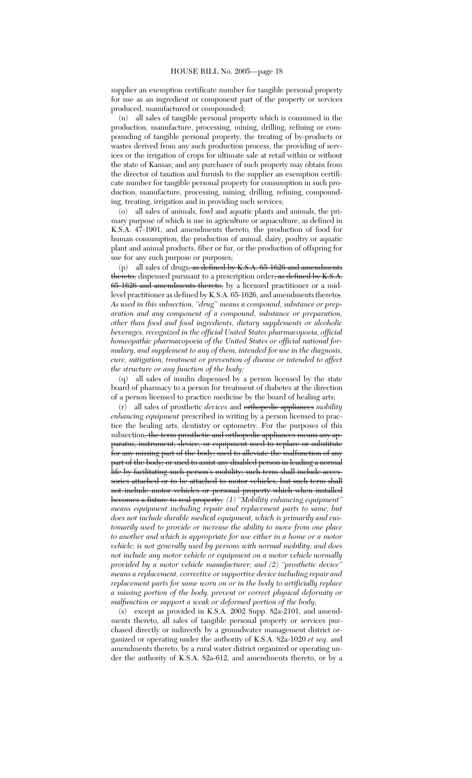supplier an exemption certificate number for tangible personal property for use as an ingredient or component part of the property or services produced, manufactured or compounded;

(n) all sales of tangible personal property which is consumed in the production, manufacture, processing, mining, drilling, refining or compounding of tangible personal property, the treating of by-products or wastes derived from any such production process, the providing of services or the irrigation of crops for ultimate sale at retail within or without the state of Kansas; and any purchaser of such property may obtain from the director of taxation and furnish to the supplier an exemption certificate number for tangible personal property for consumption in such production, manufacture, processing, mining, drilling, refining, compounding, treating, irrigation and in providing such services;

(o) all sales of animals, fowl and aquatic plants and animals, the primary purpose of which is use in agriculture or aquaculture, as defined in K.S.A. 47-1901, and amendments thereto, the production of food for human consumption, the production of animal, dairy, poultry or aquatic plant and animal products, fiber or fur, or the production of offspring for use for any such purpose or purposes;

(p) all sales of drugs, as defined by K.S.A. 65-1626 and amendments thereto, dispensed pursuant to a prescription order, as defined by K.S.A. 65-1626 and amendments thereto, by a licensed practitioner or a midlevel practitioner as defined by K.S.A. 65-1626, and amendments thereto;*. As used in this subsection, ''drug'' means a compound, substance or preparation and any component of a compound, substance or preparation, other than food and food ingredients, dietary supplements or alcoholic beverages, recognized in the official United States pharmacopoeia, official homeopathic pharmacopoeia of the United States or official national formulary, and supplement to any of them, intended for use in the diagnosis, cure, mitigation, treatment or prevention of disease or intended to affect the structure or any function of the body;*

(q) all sales of insulin dispensed by a person licensed by the state board of pharmacy to a person for treatment of diabetes at the direction of a person licensed to practice medicine by the board of healing arts;

(r) all sales of prosthetic *devices* and orthopedic appliances *mobility enhancing equipment* prescribed in writing by a person licensed to practice the healing arts, dentistry or optometry. For the purposes of this subsection, the term prosthetic and orthopedic appliances means any apparatus, instrument, device, or equipment used to replace or substitute for any missing part of the body; used to alleviate the malfunction of any part of the body; or used to assist any disabled person in leading a normal life by facilitating such person's mobility; such term shall include accessories attached or to be attached to motor vehicles, but such term shall not include motor vehicles or personal property which when installed becomes a fixture to real property;*: (1) ''Mobility enhancing equipment'' means equipment including repair and replacement parts to same, but does not include durable medical equipment, which is primarily and customarily used to provide or increase the ability to move from one place to another and which is appropriate for use either in a home or a motor vehicle; is not generally used by persons with normal mobility; and does not include any motor vehicle or equipment on a motor vehicle normally provided by a motor vehicle manufacturer; and (2) ''prosthetic device'' means a replacement, corrective or supportive device including repair and replacement parts for same worn on or in the body to artificially replace a missing portion of the body, prevent or correct physical deformity or malfunction or support a weak or deformed portion of the body;*

(s) except as provided in K.S.A. 2002 Supp. 82a-2101, and amendments thereto, all sales of tangible personal property or services purchased directly or indirectly by a groundwater management district organized or operating under the authority of K.S.A. 82a-1020 *et seq.* and amendments thereto, by a rural water district organized or operating under the authority of K.S.A. 82a-612, and amendments thereto, or by a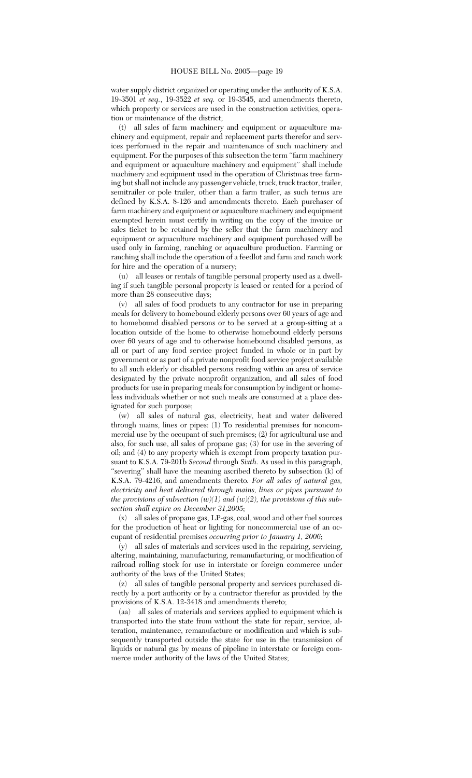water supply district organized or operating under the authority of K.S.A. 19-3501 *et seq.*, 19-3522 *et seq.* or 19-3545, and amendments thereto, which property or services are used in the construction activities, operation or maintenance of the district;

(t) all sales of farm machinery and equipment or aquaculture machinery and equipment, repair and replacement parts therefor and services performed in the repair and maintenance of such machinery and equipment. For the purposes of this subsection the term ''farm machinery and equipment or aquaculture machinery and equipment'' shall include machinery and equipment used in the operation of Christmas tree farming but shall not include any passenger vehicle, truck, truck tractor, trailer, semitrailer or pole trailer, other than a farm trailer, as such terms are defined by K.S.A. 8-126 and amendments thereto. Each purchaser of farm machinery and equipment or aquaculture machinery and equipment exempted herein must certify in writing on the copy of the invoice or sales ticket to be retained by the seller that the farm machinery and equipment or aquaculture machinery and equipment purchased will be used only in farming, ranching or aquaculture production. Farming or ranching shall include the operation of a feedlot and farm and ranch work for hire and the operation of a nursery;

(u) all leases or rentals of tangible personal property used as a dwelling if such tangible personal property is leased or rented for a period of more than 28 consecutive days;

(v) all sales of food products to any contractor for use in preparing meals for delivery to homebound elderly persons over 60 years of age and to homebound disabled persons or to be served at a group-sitting at a location outside of the home to otherwise homebound elderly persons over 60 years of age and to otherwise homebound disabled persons, as all or part of any food service project funded in whole or in part by government or as part of a private nonprofit food service project available to all such elderly or disabled persons residing within an area of service designated by the private nonprofit organization, and all sales of food products for use in preparing meals for consumption by indigent or homeless individuals whether or not such meals are consumed at a place designated for such purpose;

(w) all sales of natural gas, electricity, heat and water delivered through mains, lines or pipes: (1) To residential premises for noncommercial use by the occupant of such premises; (2) for agricultural use and also, for such use, all sales of propane gas; (3) for use in the severing of oil; and (4) to any property which is exempt from property taxation pursuant to K.S.A. 79-201b *Second* through *Sixth*. As used in this paragraph, ''severing'' shall have the meaning ascribed thereto by subsection (k) of K.S.A. 79-4216, and amendments thereto*. For all sales of natural gas, electricity and heat delivered through mains, lines or pipes pursuant to the provisions of subsection*  $(w)(1)$  *and*  $(w)(2)$ *, the provisions of this subsection shall expire on December 31,2005*;

(x) all sales of propane gas, LP-gas, coal, wood and other fuel sources for the production of heat or lighting for noncommercial use of an occupant of residential premises *occurring prior to January 1, 2006*;

(y) all sales of materials and services used in the repairing, servicing, altering, maintaining, manufacturing, remanufacturing, or modification of railroad rolling stock for use in interstate or foreign commerce under authority of the laws of the United States;

(z) all sales of tangible personal property and services purchased directly by a port authority or by a contractor therefor as provided by the provisions of K.S.A. 12-3418 and amendments thereto;

(aa) all sales of materials and services applied to equipment which is transported into the state from without the state for repair, service, alteration, maintenance, remanufacture or modification and which is subsequently transported outside the state for use in the transmission of liquids or natural gas by means of pipeline in interstate or foreign commerce under authority of the laws of the United States;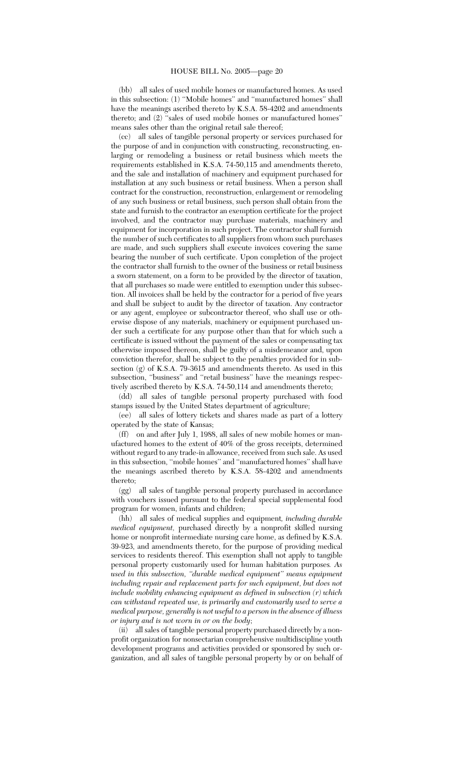(bb) all sales of used mobile homes or manufactured homes. As used in this subsection: (1) "Mobile homes" and "manufactured homes" shall have the meanings ascribed thereto by K.S.A. 58-4202 and amendments thereto; and (2) ''sales of used mobile homes or manufactured homes'' means sales other than the original retail sale thereof;

(cc) all sales of tangible personal property or services purchased for the purpose of and in conjunction with constructing, reconstructing, enlarging or remodeling a business or retail business which meets the requirements established in K.S.A. 74-50,115 and amendments thereto, and the sale and installation of machinery and equipment purchased for installation at any such business or retail business. When a person shall contract for the construction, reconstruction, enlargement or remodeling of any such business or retail business, such person shall obtain from the state and furnish to the contractor an exemption certificate for the project involved, and the contractor may purchase materials, machinery and equipment for incorporation in such project. The contractor shall furnish the number of such certificates to all suppliers from whom such purchases are made, and such suppliers shall execute invoices covering the same bearing the number of such certificate. Upon completion of the project the contractor shall furnish to the owner of the business or retail business a sworn statement, on a form to be provided by the director of taxation, that all purchases so made were entitled to exemption under this subsection. All invoices shall be held by the contractor for a period of five years and shall be subject to audit by the director of taxation. Any contractor or any agent, employee or subcontractor thereof, who shall use or otherwise dispose of any materials, machinery or equipment purchased under such a certificate for any purpose other than that for which such a certificate is issued without the payment of the sales or compensating tax otherwise imposed thereon, shall be guilty of a misdemeanor and, upon conviction therefor, shall be subject to the penalties provided for in subsection (g) of K.S.A. 79-3615 and amendments thereto. As used in this subsection, "business" and "retail business" have the meanings respectively ascribed thereto by K.S.A. 74-50,114 and amendments thereto;

(dd) all sales of tangible personal property purchased with food stamps issued by the United States department of agriculture;

(ee) all sales of lottery tickets and shares made as part of a lottery operated by the state of Kansas;

(ff) on and after July 1, 1988, all sales of new mobile homes or manufactured homes to the extent of 40% of the gross receipts, determined without regard to any trade-in allowance, received from such sale. As used in this subsection, ''mobile homes'' and ''manufactured homes'' shall have the meanings ascribed thereto by K.S.A. 58-4202 and amendments thereto;

(gg) all sales of tangible personal property purchased in accordance with vouchers issued pursuant to the federal special supplemental food program for women, infants and children;

(hh) all sales of medical supplies and equipment*, including durable medical equipment,* purchased directly by a nonprofit skilled nursing home or nonprofit intermediate nursing care home, as defined by K.S.A. 39-923, and amendments thereto, for the purpose of providing medical services to residents thereof. This exemption shall not apply to tangible personal property customarily used for human habitation purposes*. As used in this subsection, ''durable medical equipment'' means equipment including repair and replacement parts for such equipment, but does not include mobility enhancing equipment as defined in subsection (r) which can withstand repeated use, is primarily and customarily used to serve a medical purpose, generally is not useful to a person in the absence of illness or injury and is not worn in or on the body*;

(ii) all sales of tangible personal property purchased directly by a nonprofit organization for nonsectarian comprehensive multidiscipline youth development programs and activities provided or sponsored by such organization, and all sales of tangible personal property by or on behalf of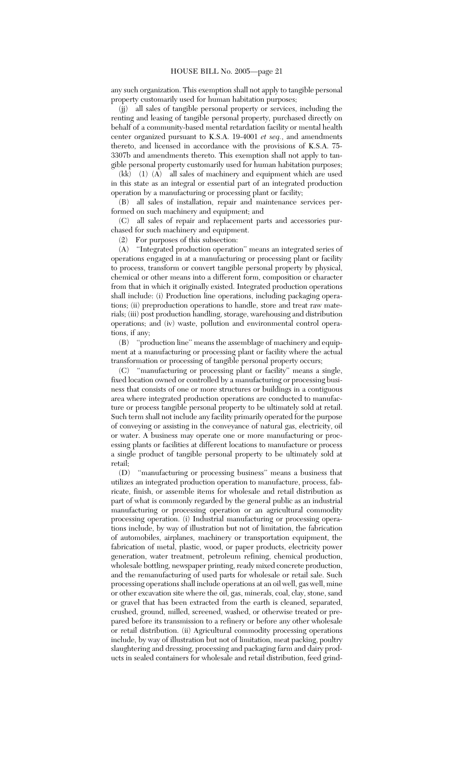any such organization. This exemption shall not apply to tangible personal property customarily used for human habitation purposes;

(jj) all sales of tangible personal property or services, including the renting and leasing of tangible personal property, purchased directly on behalf of a community-based mental retardation facility or mental health center organized pursuant to K.S.A. 19-4001 *et seq.*, and amendments thereto, and licensed in accordance with the provisions of K.S.A. 75- 3307b and amendments thereto. This exemption shall not apply to tangible personal property customarily used for human habitation purposes;

(kk) (1) (A) all sales of machinery and equipment which are used in this state as an integral or essential part of an integrated production operation by a manufacturing or processing plant or facility;

(B) all sales of installation, repair and maintenance services performed on such machinery and equipment; and

(C) all sales of repair and replacement parts and accessories purchased for such machinery and equipment.

(2) For purposes of this subsection:

(A) ''Integrated production operation'' means an integrated series of operations engaged in at a manufacturing or processing plant or facility to process, transform or convert tangible personal property by physical, chemical or other means into a different form, composition or character from that in which it originally existed. Integrated production operations shall include: (i) Production line operations, including packaging operations; (ii) preproduction operations to handle, store and treat raw materials; (iii) post production handling, storage, warehousing and distribution operations; and (iv) waste, pollution and environmental control operations, if any;

(B) ''production line'' means the assemblage of machinery and equipment at a manufacturing or processing plant or facility where the actual transformation or processing of tangible personal property occurs;

(C) ''manufacturing or processing plant or facility'' means a single, fixed location owned or controlled by a manufacturing or processing business that consists of one or more structures or buildings in a contiguous area where integrated production operations are conducted to manufacture or process tangible personal property to be ultimately sold at retail. Such term shall not include any facility primarily operated for the purpose of conveying or assisting in the conveyance of natural gas, electricity, oil or water. A business may operate one or more manufacturing or processing plants or facilities at different locations to manufacture or process a single product of tangible personal property to be ultimately sold at retail;

(D) ''manufacturing or processing business'' means a business that utilizes an integrated production operation to manufacture, process, fabricate, finish, or assemble items for wholesale and retail distribution as part of what is commonly regarded by the general public as an industrial manufacturing or processing operation or an agricultural commodity processing operation. (i) Industrial manufacturing or processing operations include, by way of illustration but not of limitation, the fabrication of automobiles, airplanes, machinery or transportation equipment, the fabrication of metal, plastic, wood, or paper products, electricity power generation, water treatment, petroleum refining, chemical production, wholesale bottling, newspaper printing, ready mixed concrete production, and the remanufacturing of used parts for wholesale or retail sale. Such processing operations shall include operations at an oil well, gas well, mine or other excavation site where the oil, gas, minerals, coal, clay, stone, sand or gravel that has been extracted from the earth is cleaned, separated, crushed, ground, milled, screened, washed, or otherwise treated or prepared before its transmission to a refinery or before any other wholesale or retail distribution. (ii) Agricultural commodity processing operations include, by way of illustration but not of limitation, meat packing, poultry slaughtering and dressing, processing and packaging farm and dairy products in sealed containers for wholesale and retail distribution, feed grind-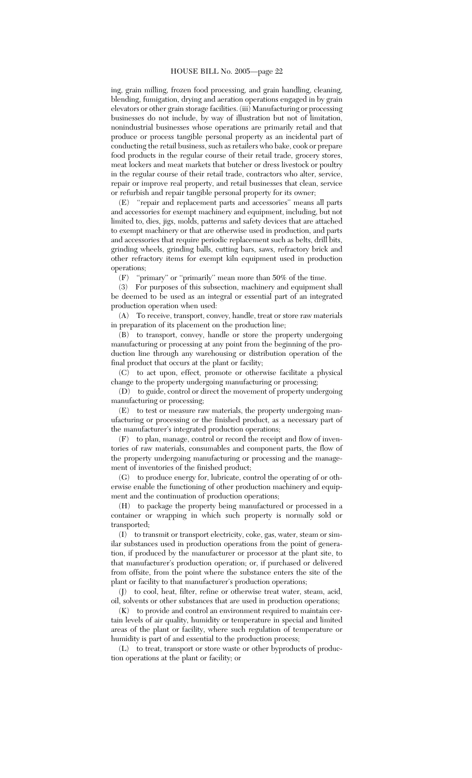ing, grain milling, frozen food processing, and grain handling, cleaning, blending, fumigation, drying and aeration operations engaged in by grain elevators or other grain storage facilities. (iii) Manufacturing or processing businesses do not include, by way of illustration but not of limitation, nonindustrial businesses whose operations are primarily retail and that produce or process tangible personal property as an incidental part of conducting the retail business, such as retailers who bake, cook or prepare food products in the regular course of their retail trade, grocery stores, meat lockers and meat markets that butcher or dress livestock or poultry in the regular course of their retail trade, contractors who alter, service, repair or improve real property, and retail businesses that clean, service or refurbish and repair tangible personal property for its owner;

(E) ''repair and replacement parts and accessories'' means all parts and accessories for exempt machinery and equipment, including, but not limited to, dies, jigs, molds, patterns and safety devices that are attached to exempt machinery or that are otherwise used in production, and parts and accessories that require periodic replacement such as belts, drill bits, grinding wheels, grinding balls, cutting bars, saws, refractory brick and other refractory items for exempt kiln equipment used in production operations;

(F) ''primary'' or ''primarily'' mean more than 50% of the time.

(3) For purposes of this subsection, machinery and equipment shall be deemed to be used as an integral or essential part of an integrated production operation when used:

(A) To receive, transport, convey, handle, treat or store raw materials in preparation of its placement on the production line;

(B) to transport, convey, handle or store the property undergoing manufacturing or processing at any point from the beginning of the production line through any warehousing or distribution operation of the final product that occurs at the plant or facility;

(C) to act upon, effect, promote or otherwise facilitate a physical change to the property undergoing manufacturing or processing;

(D) to guide, control or direct the movement of property undergoing manufacturing or processing;

(E) to test or measure raw materials, the property undergoing manufacturing or processing or the finished product, as a necessary part of the manufacturer's integrated production operations;

(F) to plan, manage, control or record the receipt and flow of inventories of raw materials, consumables and component parts, the flow of the property undergoing manufacturing or processing and the management of inventories of the finished product;

(G) to produce energy for, lubricate, control the operating of or otherwise enable the functioning of other production machinery and equipment and the continuation of production operations;

(H) to package the property being manufactured or processed in a container or wrapping in which such property is normally sold or transported;

(I) to transmit or transport electricity, coke, gas, water, steam or similar substances used in production operations from the point of generation, if produced by the manufacturer or processor at the plant site, to that manufacturer's production operation; or, if purchased or delivered from offsite, from the point where the substance enters the site of the plant or facility to that manufacturer's production operations;

(J) to cool, heat, filter, refine or otherwise treat water, steam, acid, oil, solvents or other substances that are used in production operations;

(K) to provide and control an environment required to maintain certain levels of air quality, humidity or temperature in special and limited areas of the plant or facility, where such regulation of temperature or humidity is part of and essential to the production process;

(L) to treat, transport or store waste or other byproducts of production operations at the plant or facility; or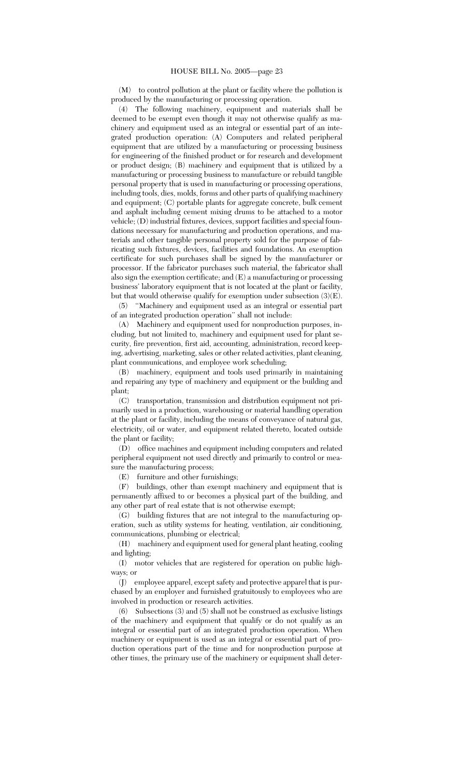(M) to control pollution at the plant or facility where the pollution is produced by the manufacturing or processing operation.

(4) The following machinery, equipment and materials shall be deemed to be exempt even though it may not otherwise qualify as machinery and equipment used as an integral or essential part of an integrated production operation: (A) Computers and related peripheral equipment that are utilized by a manufacturing or processing business for engineering of the finished product or for research and development or product design; (B) machinery and equipment that is utilized by a manufacturing or processing business to manufacture or rebuild tangible personal property that is used in manufacturing or processing operations, including tools, dies, molds, forms and other parts of qualifying machinery and equipment; (C) portable plants for aggregate concrete, bulk cement and asphalt including cement mixing drums to be attached to a motor vehicle; (D) industrial fixtures, devices, support facilities and special foundations necessary for manufacturing and production operations, and materials and other tangible personal property sold for the purpose of fabricating such fixtures, devices, facilities and foundations. An exemption certificate for such purchases shall be signed by the manufacturer or processor. If the fabricator purchases such material, the fabricator shall also sign the exemption certificate; and (E) a manufacturing or processing business' laboratory equipment that is not located at the plant or facility, but that would otherwise qualify for exemption under subsection (3)(E).

(5) ''Machinery and equipment used as an integral or essential part of an integrated production operation'' shall not include:

(A) Machinery and equipment used for nonproduction purposes, including, but not limited to, machinery and equipment used for plant security, fire prevention, first aid, accounting, administration, record keeping, advertising, marketing, sales or other related activities, plant cleaning, plant communications, and employee work scheduling;

(B) machinery, equipment and tools used primarily in maintaining and repairing any type of machinery and equipment or the building and plant;

(C) transportation, transmission and distribution equipment not primarily used in a production, warehousing or material handling operation at the plant or facility, including the means of conveyance of natural gas, electricity, oil or water, and equipment related thereto, located outside the plant or facility;

(D) office machines and equipment including computers and related peripheral equipment not used directly and primarily to control or measure the manufacturing process;

(E) furniture and other furnishings;

(F) buildings, other than exempt machinery and equipment that is permanently affixed to or becomes a physical part of the building, and any other part of real estate that is not otherwise exempt;

(G) building fixtures that are not integral to the manufacturing operation, such as utility systems for heating, ventilation, air conditioning, communications, plumbing or electrical;

(H) machinery and equipment used for general plant heating, cooling and lighting;

(I) motor vehicles that are registered for operation on public highways; or

(J) employee apparel, except safety and protective apparel that is purchased by an employer and furnished gratuitously to employees who are involved in production or research activities.

(6) Subsections (3) and (5) shall not be construed as exclusive listings of the machinery and equipment that qualify or do not qualify as an integral or essential part of an integrated production operation. When machinery or equipment is used as an integral or essential part of production operations part of the time and for nonproduction purpose at other times, the primary use of the machinery or equipment shall deter-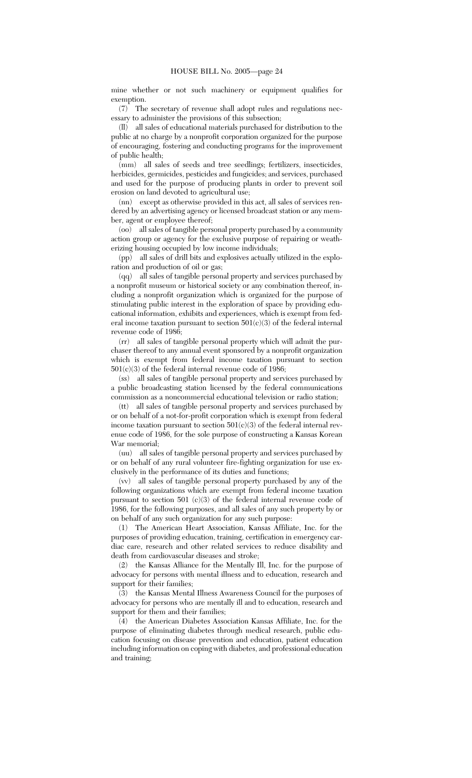mine whether or not such machinery or equipment qualifies for exemption.

(7) The secretary of revenue shall adopt rules and regulations necessary to administer the provisions of this subsection;

(ll) all sales of educational materials purchased for distribution to the public at no charge by a nonprofit corporation organized for the purpose of encouraging, fostering and conducting programs for the improvement of public health;

(mm) all sales of seeds and tree seedlings; fertilizers, insecticides, herbicides, germicides, pesticides and fungicides; and services, purchased and used for the purpose of producing plants in order to prevent soil erosion on land devoted to agricultural use;

(nn) except as otherwise provided in this act, all sales of services rendered by an advertising agency or licensed broadcast station or any member, agent or employee thereof;

(oo) all sales of tangible personal property purchased by a community action group or agency for the exclusive purpose of repairing or weatherizing housing occupied by low income individuals;

(pp) all sales of drill bits and explosives actually utilized in the exploration and production of oil or gas;

(qq) all sales of tangible personal property and services purchased by a nonprofit museum or historical society or any combination thereof, including a nonprofit organization which is organized for the purpose of stimulating public interest in the exploration of space by providing educational information, exhibits and experiences, which is exempt from federal income taxation pursuant to section  $501(c)(3)$  of the federal internal revenue code of 1986;

(rr) all sales of tangible personal property which will admit the purchaser thereof to any annual event sponsored by a nonprofit organization which is exempt from federal income taxation pursuant to section 501(c)(3) of the federal internal revenue code of 1986;

(ss) all sales of tangible personal property and services purchased by a public broadcasting station licensed by the federal communications commission as a noncommercial educational television or radio station;

(tt) all sales of tangible personal property and services purchased by or on behalf of a not-for-profit corporation which is exempt from federal income taxation pursuant to section  $501(c)(3)$  of the federal internal revenue code of 1986, for the sole purpose of constructing a Kansas Korean War memorial;

(uu) all sales of tangible personal property and services purchased by or on behalf of any rural volunteer fire-fighting organization for use exclusively in the performance of its duties and functions;

(vv) all sales of tangible personal property purchased by any of the following organizations which are exempt from federal income taxation pursuant to section 501 (c)(3) of the federal internal revenue code of 1986, for the following purposes, and all sales of any such property by or on behalf of any such organization for any such purpose:

(1) The American Heart Association, Kansas Affiliate, Inc. for the purposes of providing education, training, certification in emergency cardiac care, research and other related services to reduce disability and death from cardiovascular diseases and stroke;

(2) the Kansas Alliance for the Mentally Ill, Inc. for the purpose of advocacy for persons with mental illness and to education, research and support for their families;

(3) the Kansas Mental Illness Awareness Council for the purposes of advocacy for persons who are mentally ill and to education, research and support for them and their families;

(4) the American Diabetes Association Kansas Affiliate, Inc. for the purpose of eliminating diabetes through medical research, public education focusing on disease prevention and education, patient education including information on coping with diabetes, and professional education and training;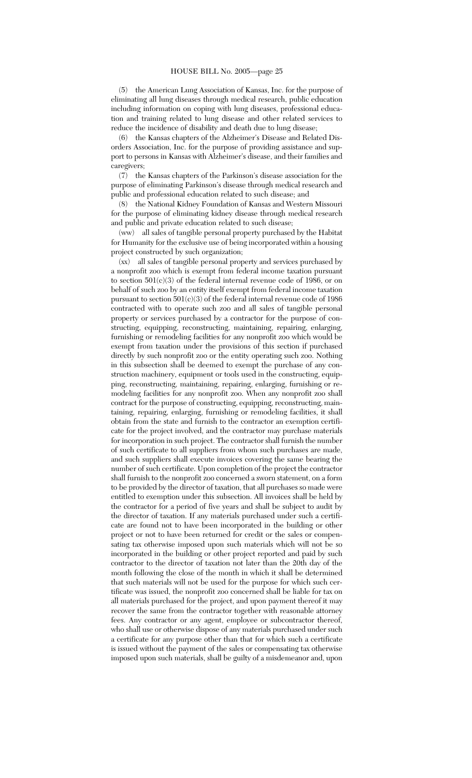(5) the American Lung Association of Kansas, Inc. for the purpose of eliminating all lung diseases through medical research, public education including information on coping with lung diseases, professional education and training related to lung disease and other related services to reduce the incidence of disability and death due to lung disease;

(6) the Kansas chapters of the Alzheimer's Disease and Related Disorders Association, Inc. for the purpose of providing assistance and support to persons in Kansas with Alzheimer's disease, and their families and caregivers;

(7) the Kansas chapters of the Parkinson's disease association for the purpose of eliminating Parkinson's disease through medical research and public and professional education related to such disease; and

(8) the National Kidney Foundation of Kansas and Western Missouri for the purpose of eliminating kidney disease through medical research and public and private education related to such disease;

(ww) all sales of tangible personal property purchased by the Habitat for Humanity for the exclusive use of being incorporated within a housing project constructed by such organization;

(xx) all sales of tangible personal property and services purchased by a nonprofit zoo which is exempt from federal income taxation pursuant to section  $501(c)(3)$  of the federal internal revenue code of 1986, or on behalf of such zoo by an entity itself exempt from federal income taxation pursuant to section 501(c)(3) of the federal internal revenue code of 1986 contracted with to operate such zoo and all sales of tangible personal property or services purchased by a contractor for the purpose of constructing, equipping, reconstructing, maintaining, repairing, enlarging, furnishing or remodeling facilities for any nonprofit zoo which would be exempt from taxation under the provisions of this section if purchased directly by such nonprofit zoo or the entity operating such zoo. Nothing in this subsection shall be deemed to exempt the purchase of any construction machinery, equipment or tools used in the constructing, equipping, reconstructing, maintaining, repairing, enlarging, furnishing or remodeling facilities for any nonprofit zoo. When any nonprofit zoo shall contract for the purpose of constructing, equipping, reconstructing, maintaining, repairing, enlarging, furnishing or remodeling facilities, it shall obtain from the state and furnish to the contractor an exemption certificate for the project involved, and the contractor may purchase materials for incorporation in such project. The contractor shall furnish the number of such certificate to all suppliers from whom such purchases are made, and such suppliers shall execute invoices covering the same bearing the number of such certificate. Upon completion of the project the contractor shall furnish to the nonprofit zoo concerned a sworn statement, on a form to be provided by the director of taxation, that all purchases so made were entitled to exemption under this subsection. All invoices shall be held by the contractor for a period of five years and shall be subject to audit by the director of taxation. If any materials purchased under such a certificate are found not to have been incorporated in the building or other project or not to have been returned for credit or the sales or compensating tax otherwise imposed upon such materials which will not be so incorporated in the building or other project reported and paid by such contractor to the director of taxation not later than the 20th day of the month following the close of the month in which it shall be determined that such materials will not be used for the purpose for which such certificate was issued, the nonprofit zoo concerned shall be liable for tax on all materials purchased for the project, and upon payment thereof it may recover the same from the contractor together with reasonable attorney fees. Any contractor or any agent, employee or subcontractor thereof, who shall use or otherwise dispose of any materials purchased under such a certificate for any purpose other than that for which such a certificate is issued without the payment of the sales or compensating tax otherwise imposed upon such materials, shall be guilty of a misdemeanor and, upon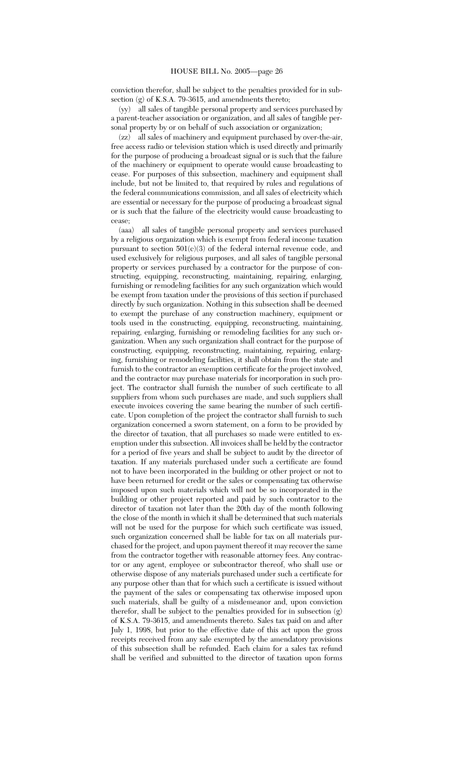conviction therefor, shall be subject to the penalties provided for in subsection (g) of K.S.A. 79-3615, and amendments thereto;

(yy) all sales of tangible personal property and services purchased by a parent-teacher association or organization, and all sales of tangible personal property by or on behalf of such association or organization;

(zz) all sales of machinery and equipment purchased by over-the-air, free access radio or television station which is used directly and primarily for the purpose of producing a broadcast signal or is such that the failure of the machinery or equipment to operate would cause broadcasting to cease. For purposes of this subsection, machinery and equipment shall include, but not be limited to, that required by rules and regulations of the federal communications commission, and all sales of electricity which are essential or necessary for the purpose of producing a broadcast signal or is such that the failure of the electricity would cause broadcasting to cease;

(aaa) all sales of tangible personal property and services purchased by a religious organization which is exempt from federal income taxation pursuant to section  $501(c)(3)$  of the federal internal revenue code, and used exclusively for religious purposes, and all sales of tangible personal property or services purchased by a contractor for the purpose of constructing, equipping, reconstructing, maintaining, repairing, enlarging, furnishing or remodeling facilities for any such organization which would be exempt from taxation under the provisions of this section if purchased directly by such organization. Nothing in this subsection shall be deemed to exempt the purchase of any construction machinery, equipment or tools used in the constructing, equipping, reconstructing, maintaining, repairing, enlarging, furnishing or remodeling facilities for any such organization. When any such organization shall contract for the purpose of constructing, equipping, reconstructing, maintaining, repairing, enlarging, furnishing or remodeling facilities, it shall obtain from the state and furnish to the contractor an exemption certificate for the project involved, and the contractor may purchase materials for incorporation in such project. The contractor shall furnish the number of such certificate to all suppliers from whom such purchases are made, and such suppliers shall execute invoices covering the same bearing the number of such certificate. Upon completion of the project the contractor shall furnish to such organization concerned a sworn statement, on a form to be provided by the director of taxation, that all purchases so made were entitled to exemption under this subsection. All invoices shall be held by the contractor for a period of five years and shall be subject to audit by the director of taxation. If any materials purchased under such a certificate are found not to have been incorporated in the building or other project or not to have been returned for credit or the sales or compensating tax otherwise imposed upon such materials which will not be so incorporated in the building or other project reported and paid by such contractor to the director of taxation not later than the 20th day of the month following the close of the month in which it shall be determined that such materials will not be used for the purpose for which such certificate was issued, such organization concerned shall be liable for tax on all materials purchased for the project, and upon payment thereof it may recover the same from the contractor together with reasonable attorney fees. Any contractor or any agent, employee or subcontractor thereof, who shall use or otherwise dispose of any materials purchased under such a certificate for any purpose other than that for which such a certificate is issued without the payment of the sales or compensating tax otherwise imposed upon such materials, shall be guilty of a misdemeanor and, upon conviction therefor, shall be subject to the penalties provided for in subsection (g) of K.S.A. 79-3615, and amendments thereto. Sales tax paid on and after July 1, 1998, but prior to the effective date of this act upon the gross receipts received from any sale exempted by the amendatory provisions of this subsection shall be refunded. Each claim for a sales tax refund shall be verified and submitted to the director of taxation upon forms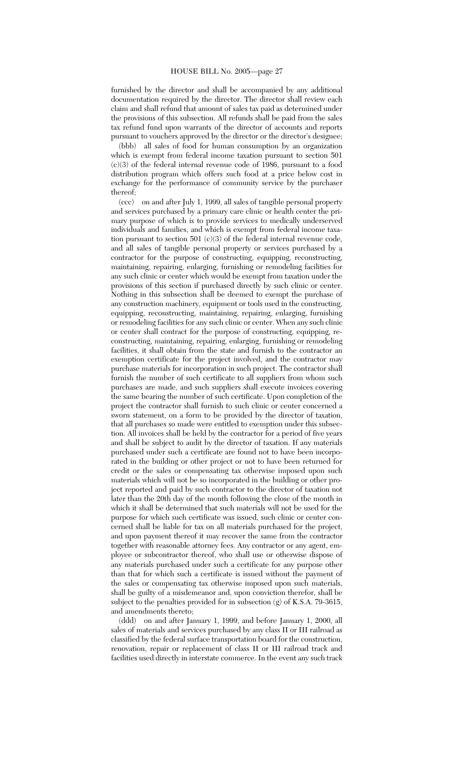furnished by the director and shall be accompanied by any additional documentation required by the director. The director shall review each claim and shall refund that amount of sales tax paid as determined under the provisions of this subsection. All refunds shall be paid from the sales tax refund fund upon warrants of the director of accounts and reports pursuant to vouchers approved by the director or the director's designee;

(bbb) all sales of food for human consumption by an organization which is exempt from federal income taxation pursuant to section 501 (c)(3) of the federal internal revenue code of 1986, pursuant to a food distribution program which offers such food at a price below cost in exchange for the performance of community service by the purchaser thereof;

(ccc) on and after July 1, 1999, all sales of tangible personal property and services purchased by a primary care clinic or health center the primary purpose of which is to provide services to medically underserved individuals and families, and which is exempt from federal income taxation pursuant to section 501 (c)(3) of the federal internal revenue code, and all sales of tangible personal property or services purchased by a contractor for the purpose of constructing, equipping, reconstructing, maintaining, repairing, enlarging, furnishing or remodeling facilities for any such clinic or center which would be exempt from taxation under the provisions of this section if purchased directly by such clinic or center. Nothing in this subsection shall be deemed to exempt the purchase of any construction machinery, equipment or tools used in the constructing, equipping, reconstructing, maintaining, repairing, enlarging, furnishing or remodeling facilities for any such clinic or center. When any such clinic or center shall contract for the purpose of constructing, equipping, reconstructing, maintaining, repairing, enlarging, furnishing or remodeling facilities, it shall obtain from the state and furnish to the contractor an exemption certificate for the project involved, and the contractor may purchase materials for incorporation in such project. The contractor shall furnish the number of such certificate to all suppliers from whom such purchases are made, and such suppliers shall execute invoices covering the same bearing the number of such certificate. Upon completion of the project the contractor shall furnish to such clinic or center concerned a sworn statement, on a form to be provided by the director of taxation, that all purchases so made were entitled to exemption under this subsection. All invoices shall be held by the contractor for a period of five years and shall be subject to audit by the director of taxation. If any materials purchased under such a certificate are found not to have been incorporated in the building or other project or not to have been returned for credit or the sales or compensating tax otherwise imposed upon such materials which will not be so incorporated in the building or other project reported and paid by such contractor to the director of taxation not later than the 20th day of the month following the close of the month in which it shall be determined that such materials will not be used for the purpose for which such certificate was issued, such clinic or center concerned shall be liable for tax on all materials purchased for the project, and upon payment thereof it may recover the same from the contractor together with reasonable attorney fees. Any contractor or any agent, employee or subcontractor thereof, who shall use or otherwise dispose of any materials purchased under such a certificate for any purpose other than that for which such a certificate is issued without the payment of the sales or compensating tax otherwise imposed upon such materials, shall be guilty of a misdemeanor and, upon conviction therefor, shall be subject to the penalties provided for in subsection (g) of K.S.A. 79-3615, and amendments thereto;

(ddd) on and after January 1, 1999, and before January 1, 2000, all sales of materials and services purchased by any class II or III railroad as classified by the federal surface transportation board for the construction, renovation, repair or replacement of class II or III railroad track and facilities used directly in interstate commerce. In the event any such track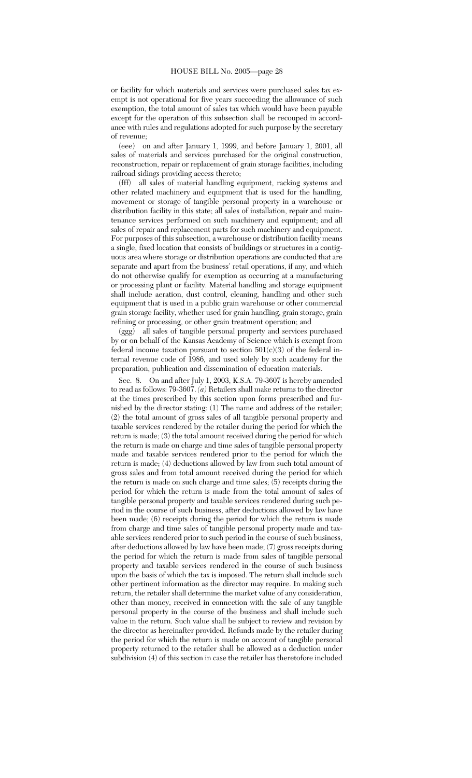or facility for which materials and services were purchased sales tax exempt is not operational for five years succeeding the allowance of such exemption, the total amount of sales tax which would have been payable except for the operation of this subsection shall be recouped in accordance with rules and regulations adopted for such purpose by the secretary of revenue;

(eee) on and after January 1, 1999, and before January 1, 2001, all sales of materials and services purchased for the original construction, reconstruction, repair or replacement of grain storage facilities, including railroad sidings providing access thereto;

(fff) all sales of material handling equipment, racking systems and other related machinery and equipment that is used for the handling, movement or storage of tangible personal property in a warehouse or distribution facility in this state; all sales of installation, repair and maintenance services performed on such machinery and equipment; and all sales of repair and replacement parts for such machinery and equipment. For purposes of this subsection, a warehouse or distribution facility means a single, fixed location that consists of buildings or structures in a contiguous area where storage or distribution operations are conducted that are separate and apart from the business' retail operations, if any, and which do not otherwise qualify for exemption as occurring at a manufacturing or processing plant or facility. Material handling and storage equipment shall include aeration, dust control, cleaning, handling and other such equipment that is used in a public grain warehouse or other commercial grain storage facility, whether used for grain handling, grain storage, grain refining or processing, or other grain treatment operation; and

(ggg) all sales of tangible personal property and services purchased by or on behalf of the Kansas Academy of Science which is exempt from federal income taxation pursuant to section  $501(c)(3)$  of the federal internal revenue code of 1986, and used solely by such academy for the preparation, publication and dissemination of education materials.

Sec. 8. On and after July 1, 2003, K.S.A. 79-3607 is hereby amended to read as follows: 79-3607. *(a)* Retailers shall make returns to the director at the times prescribed by this section upon forms prescribed and furnished by the director stating: (1) The name and address of the retailer; (2) the total amount of gross sales of all tangible personal property and taxable services rendered by the retailer during the period for which the return is made; (3) the total amount received during the period for which the return is made on charge and time sales of tangible personal property made and taxable services rendered prior to the period for which the return is made; (4) deductions allowed by law from such total amount of gross sales and from total amount received during the period for which the return is made on such charge and time sales; (5) receipts during the period for which the return is made from the total amount of sales of tangible personal property and taxable services rendered during such period in the course of such business, after deductions allowed by law have been made; (6) receipts during the period for which the return is made from charge and time sales of tangible personal property made and taxable services rendered prior to such period in the course of such business, after deductions allowed by law have been made; (7) gross receipts during the period for which the return is made from sales of tangible personal property and taxable services rendered in the course of such business upon the basis of which the tax is imposed. The return shall include such other pertinent information as the director may require. In making such return, the retailer shall determine the market value of any consideration, other than money, received in connection with the sale of any tangible personal property in the course of the business and shall include such value in the return. Such value shall be subject to review and revision by the director as hereinafter provided. Refunds made by the retailer during the period for which the return is made on account of tangible personal property returned to the retailer shall be allowed as a deduction under subdivision (4) of this section in case the retailer has theretofore included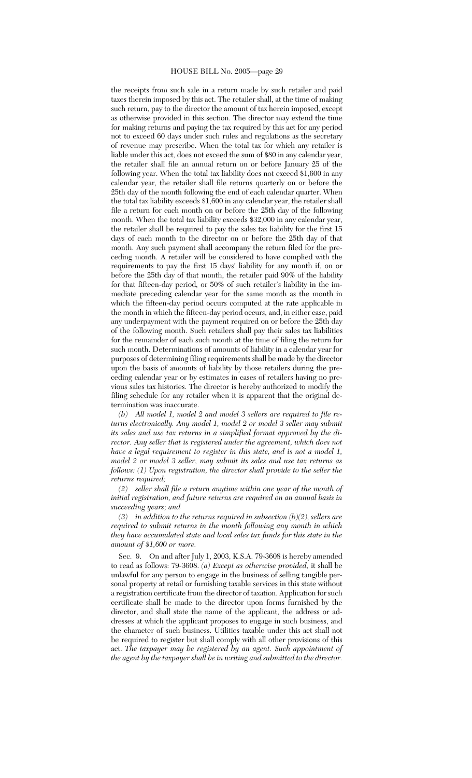the receipts from such sale in a return made by such retailer and paid taxes therein imposed by this act. The retailer shall, at the time of making such return, pay to the director the amount of tax herein imposed, except as otherwise provided in this section. The director may extend the time for making returns and paying the tax required by this act for any period not to exceed 60 days under such rules and regulations as the secretary of revenue may prescribe. When the total tax for which any retailer is liable under this act, does not exceed the sum of \$80 in any calendar year, the retailer shall file an annual return on or before January 25 of the following year. When the total tax liability does not exceed \$1,600 in any calendar year, the retailer shall file returns quarterly on or before the 25th day of the month following the end of each calendar quarter. When the total tax liability exceeds \$1,600 in any calendar year, the retailer shall file a return for each month on or before the 25th day of the following month. When the total tax liability exceeds \$32,000 in any calendar year, the retailer shall be required to pay the sales tax liability for the first 15 days of each month to the director on or before the 25th day of that month. Any such payment shall accompany the return filed for the preceding month. A retailer will be considered to have complied with the requirements to pay the first 15 days' liability for any month if, on or before the 25th day of that month, the retailer paid 90% of the liability for that fifteen-day period, or 50% of such retailer's liability in the immediate preceding calendar year for the same month as the month in which the fifteen-day period occurs computed at the rate applicable in the month in which the fifteen-day period occurs, and, in either case, paid any underpayment with the payment required on or before the 25th day of the following month. Such retailers shall pay their sales tax liabilities for the remainder of each such month at the time of filing the return for such month. Determinations of amounts of liability in a calendar year for purposes of determining filing requirements shall be made by the director upon the basis of amounts of liability by those retailers during the preceding calendar year or by estimates in cases of retailers having no previous sales tax histories. The director is hereby authorized to modify the filing schedule for any retailer when it is apparent that the original determination was inaccurate.

*(b) All model 1, model 2 and model 3 sellers are required to file returns electronically. Any model 1, model 2 or model 3 seller may submit its sales and use tax returns in a simplified format approved by the director. Any seller that is registered under the agreement, which does not have a legal requirement to register in this state, and is not a model 1, model 2 or model 3 seller, may submit its sales and use tax returns as follows: (1) Upon registration, the director shall provide to the seller the returns required;*

*(2) seller shall file a return anytime within one year of the month of initial registration, and future returns are required on an annual basis in succeeding years; and*

*(3) in addition to the returns required in subsection (b)(2), sellers are required to submit returns in the month following any month in which they have accumulated state and local sales tax funds for this state in the amount of \$1,600 or more.*

Sec. 9. On and after July 1, 2003, K.S.A. 79-3608 is hereby amended to read as follows: 79-3608. *(a) Except as otherwise provided,* it shall be unlawful for any person to engage in the business of selling tangible personal property at retail or furnishing taxable services in this state without a registration certificate from the director of taxation. Application for such certificate shall be made to the director upon forms furnished by the director, and shall state the name of the applicant, the address or addresses at which the applicant proposes to engage in such business, and the character of such business. Utilities taxable under this act shall not be required to register but shall comply with all other provisions of this act. *The taxpayer may be registered by an agent. Such appointment of the agent by the taxpayer shall be in writing and submitted to the director.*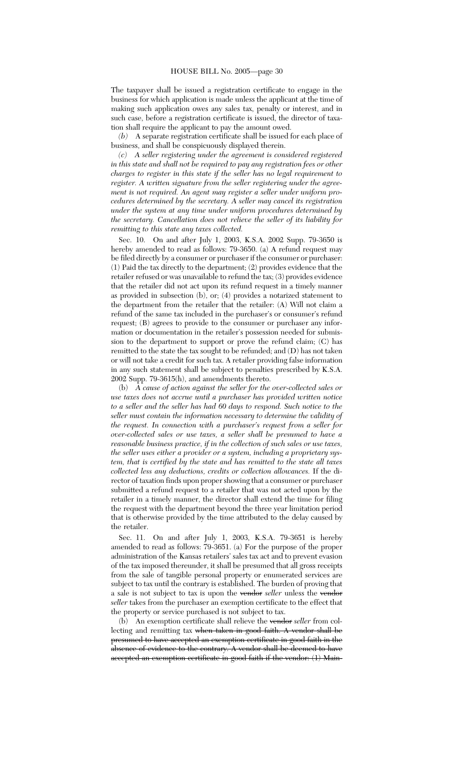The taxpayer shall be issued a registration certificate to engage in the business for which application is made unless the applicant at the time of making such application owes any sales tax, penalty or interest, and in such case, before a registration certificate is issued, the director of taxation shall require the applicant to pay the amount owed.

*(b)* A separate registration certificate shall be issued for each place of business, and shall be conspicuously displayed therein.

*(c) A seller registering under the agreement is considered registered in this state and shall not be required to pay any registration fees or other charges to register in this state if the seller has no legal requirement to register. A written signature from the seller registering under the agreement is not required. An agent may register a seller under uniform procedures determined by the secretary. A seller may cancel its registration under the system at any time under uniform procedures determined by the secretary. Cancellation does not relieve the seller of its liability for remitting to this state any taxes collected.*

Sec. 10. On and after July 1, 2003, K.S.A. 2002 Supp. 79-3650 is hereby amended to read as follows: 79-3650. (a) A refund request may be filed directly by a consumer or purchaser if the consumer or purchaser: (1) Paid the tax directly to the department; (2) provides evidence that the retailer refused or was unavailable to refund the tax; (3) provides evidence that the retailer did not act upon its refund request in a timely manner as provided in subsection (b), or; (4) provides a notarized statement to the department from the retailer that the retailer: (A) Will not claim a refund of the same tax included in the purchaser's or consumer's refund request; (B) agrees to provide to the consumer or purchaser any information or documentation in the retailer's possession needed for submission to the department to support or prove the refund claim; (C) has remitted to the state the tax sought to be refunded; and (D) has not taken or will not take a credit for such tax. A retailer providing false information in any such statement shall be subject to penalties prescribed by K.S.A. 2002 Supp. 79-3615(h), and amendments thereto.

(b) *A cause of action against the seller for the over-collected sales or use taxes does not accrue until a purchaser has provided written notice to a seller and the seller has had 60 days to respond. Such notice to the seller must contain the information necessary to determine the validity of the request. In connection with a purchaser's request from a seller for over-collected sales or use taxes, a seller shall be presumed to have a reasonable business practice, if in the collection of such sales or use taxes, the seller uses either a provider or a system, including a proprietary system, that is certified by the state and has remitted to the state all taxes collected less any deductions, credits or collection allowances.* If the director of taxation finds upon proper showing that a consumer or purchaser submitted a refund request to a retailer that was not acted upon by the retailer in a timely manner, the director shall extend the time for filing the request with the department beyond the three year limitation period that is otherwise provided by the time attributed to the delay caused by the retailer.

Sec. 11. On and after July 1, 2003, K.S.A. 79-3651 is hereby amended to read as follows: 79-3651. (a) For the purpose of the proper administration of the Kansas retailers' sales tax act and to prevent evasion of the tax imposed thereunder, it shall be presumed that all gross receipts from the sale of tangible personal property or enumerated services are subject to tax until the contrary is established. The burden of proving that a sale is not subject to tax is upon the vendor *seller* unless the vendor *seller* takes from the purchaser an exemption certificate to the effect that the property or service purchased is not subject to tax.

(b) An exemption certificate shall relieve the vendor *seller* from collecting and remitting tax when taken in good faith. A vendor shall be presumed to have accepted an exemption certificate in good faith in the absence of evidence to the contrary. A vendor shall be deemed to have accepted an exemption certificate in good faith if the vendor: (1) Main-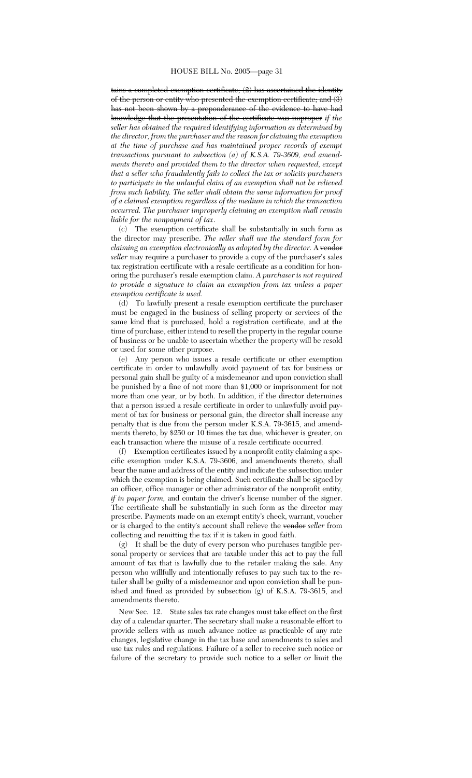tains a completed exemption certificate; (2) has ascertained the identity of the person or entity who presented the exemption certificate; and (3) has not been shown by a preponderance of the evidence to have had knowledge that the presentation of the certificate was improper *if the seller has obtained the required identifying information as determined by the director, from the purchaser and the reason for claiming the exemption at the time of purchase and has maintained proper records of exempt transactions pursuant to subsection (a) of K.S.A. 79-3609, and amendments thereto and provided them to the director when requested, except that a seller who fraudulently fails to collect the tax or solicits purchasers to participate in the unlawful claim of an exemption shall not be relieved from such liability. The seller shall obtain the same information for proof of a claimed exemption regardless of the medium in which the transaction occurred. The purchaser improperly claiming an exemption shall remain liable for the nonpayment of tax*.

(c) The exemption certificate shall be substantially in such form as the director may prescribe. *The seller shall use the standard form for claiming an exemption electronically as adopted by the director.* A vendor *seller* may require a purchaser to provide a copy of the purchaser's sales tax registration certificate with a resale certificate as a condition for honoring the purchaser's resale exemption claim. *A purchaser is not required to provide a signature to claim an exemption from tax unless a paper exemption certificate is used.*

(d) To lawfully present a resale exemption certificate the purchaser must be engaged in the business of selling property or services of the same kind that is purchased, hold a registration certificate, and at the time of purchase, either intend to resell the property in the regular course of business or be unable to ascertain whether the property will be resold or used for some other purpose.

(e) Any person who issues a resale certificate or other exemption certificate in order to unlawfully avoid payment of tax for business or personal gain shall be guilty of a misdemeanor and upon conviction shall be punished by a fine of not more than \$1,000 or imprisonment for not more than one year, or by both. In addition, if the director determines that a person issued a resale certificate in order to unlawfully avoid payment of tax for business or personal gain, the director shall increase any penalty that is due from the person under K.S.A. 79-3615, and amendments thereto, by \$250 or 10 times the tax due, whichever is greater, on each transaction where the misuse of a resale certificate occurred.

(f) Exemption certificates issued by a nonprofit entity claiming a specific exemption under K.S.A. 79-3606, and amendments thereto, shall bear the name and address of the entity and indicate the subsection under which the exemption is being claimed. Such certificate shall be signed by an officer, office manager or other administrator of the nonprofit entity*, if in paper form,* and contain the driver's license number of the signer. The certificate shall be substantially in such form as the director may prescribe. Payments made on an exempt entity's check, warrant, voucher or is charged to the entity's account shall relieve the vendor *seller* from collecting and remitting the tax if it is taken in good faith.

(g) It shall be the duty of every person who purchases tangible personal property or services that are taxable under this act to pay the full amount of tax that is lawfully due to the retailer making the sale. Any person who willfully and intentionally refuses to pay such tax to the retailer shall be guilty of a misdemeanor and upon conviction shall be punished and fined as provided by subsection (g) of K.S.A. 79-3615, and amendments thereto.

New Sec. 12. State sales tax rate changes must take effect on the first day of a calendar quarter. The secretary shall make a reasonable effort to provide sellers with as much advance notice as practicable of any rate changes, legislative change in the tax base and amendments to sales and use tax rules and regulations. Failure of a seller to receive such notice or failure of the secretary to provide such notice to a seller or limit the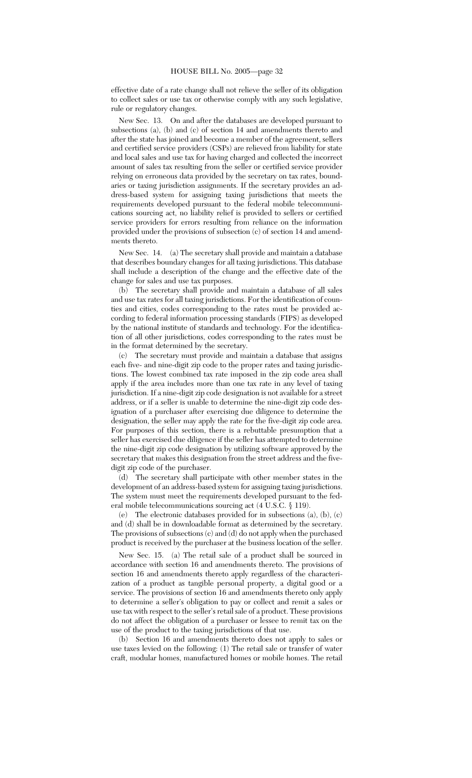effective date of a rate change shall not relieve the seller of its obligation to collect sales or use tax or otherwise comply with any such legislative, rule or regulatory changes.

New Sec. 13. On and after the databases are developed pursuant to subsections (a), (b) and (c) of section 14 and amendments thereto and after the state has joined and become a member of the agreement, sellers and certified service providers (CSPs) are relieved from liability for state and local sales and use tax for having charged and collected the incorrect amount of sales tax resulting from the seller or certified service provider relying on erroneous data provided by the secretary on tax rates, boundaries or taxing jurisdiction assignments. If the secretary provides an address-based system for assigning taxing jurisdictions that meets the requirements developed pursuant to the federal mobile telecommunications sourcing act, no liability relief is provided to sellers or certified service providers for errors resulting from reliance on the information provided under the provisions of subsection (c) of section 14 and amendments thereto.

New Sec. 14. (a) The secretary shall provide and maintain a database that describes boundary changes for all taxing jurisdictions. This database shall include a description of the change and the effective date of the change for sales and use tax purposes.

(b) The secretary shall provide and maintain a database of all sales and use tax rates for all taxing jurisdictions. For the identification of counties and cities, codes corresponding to the rates must be provided according to federal information processing standards (FIPS) as developed by the national institute of standards and technology. For the identification of all other jurisdictions, codes corresponding to the rates must be in the format determined by the secretary.

(c) The secretary must provide and maintain a database that assigns each five- and nine-digit zip code to the proper rates and taxing jurisdictions. The lowest combined tax rate imposed in the zip code area shall apply if the area includes more than one tax rate in any level of taxing jurisdiction. If a nine-digit zip code designation is not available for a street address, or if a seller is unable to determine the nine-digit zip code designation of a purchaser after exercising due diligence to determine the designation, the seller may apply the rate for the five-digit zip code area. For purposes of this section, there is a rebuttable presumption that a seller has exercised due diligence if the seller has attempted to determine the nine-digit zip code designation by utilizing software approved by the secretary that makes this designation from the street address and the fivedigit zip code of the purchaser.

(d) The secretary shall participate with other member states in the development of an address-based system for assigning taxing jurisdictions. The system must meet the requirements developed pursuant to the federal mobile telecommunications sourcing act (4 U.S.C. § 119).

(e) The electronic databases provided for in subsections (a), (b), (c) and (d) shall be in downloadable format as determined by the secretary. The provisions of subsections (c) and (d) do not apply when the purchased product is received by the purchaser at the business location of the seller.

New Sec. 15. (a) The retail sale of a product shall be sourced in accordance with section 16 and amendments thereto. The provisions of section 16 and amendments thereto apply regardless of the characterization of a product as tangible personal property, a digital good or a service. The provisions of section 16 and amendments thereto only apply to determine a seller's obligation to pay or collect and remit a sales or use tax with respect to the seller's retail sale of a product. These provisions do not affect the obligation of a purchaser or lessee to remit tax on the use of the product to the taxing jurisdictions of that use.

(b) Section 16 and amendments thereto does not apply to sales or use taxes levied on the following: (1) The retail sale or transfer of water craft, modular homes, manufactured homes or mobile homes. The retail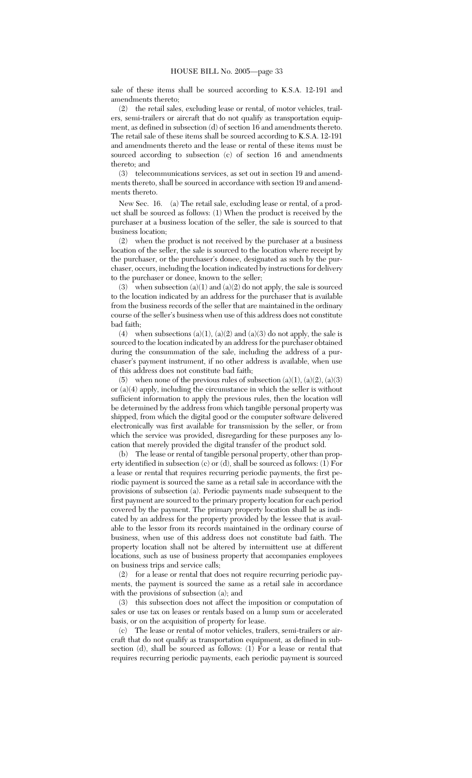sale of these items shall be sourced according to K.S.A. 12-191 and amendments thereto;

(2) the retail sales, excluding lease or rental, of motor vehicles, trailers, semi-trailers or aircraft that do not qualify as transportation equipment, as defined in subsection (d) of section 16 and amendments thereto. The retail sale of these items shall be sourced according to K.S.A. 12-191 and amendments thereto and the lease or rental of these items must be sourced according to subsection (c) of section 16 and amendments thereto; and

(3) telecommunications services, as set out in section 19 and amendments thereto, shall be sourced in accordance with section 19 and amendments thereto.

New Sec. 16. (a) The retail sale, excluding lease or rental, of a product shall be sourced as follows: (1) When the product is received by the purchaser at a business location of the seller, the sale is sourced to that business location;

(2) when the product is not received by the purchaser at a business location of the seller, the sale is sourced to the location where receipt by the purchaser, or the purchaser's donee, designated as such by the purchaser, occurs, including the location indicated by instructions for delivery to the purchaser or donee, known to the seller;

(3) when subsection  $(a)(1)$  and  $(a)(2)$  do not apply, the sale is sourced to the location indicated by an address for the purchaser that is available from the business records of the seller that are maintained in the ordinary course of the seller's business when use of this address does not constitute bad faith;

(4) when subsections (a)(1), (a)(2) and (a)(3) do not apply, the sale is sourced to the location indicated by an address for the purchaser obtained during the consummation of the sale, including the address of a purchaser's payment instrument, if no other address is available, when use of this address does not constitute bad faith;

(5) when none of the previous rules of subsection  $(a)(1)$ ,  $(a)(2)$ ,  $(a)(3)$ or (a)(4) apply, including the circumstance in which the seller is without sufficient information to apply the previous rules, then the location will be determined by the address from which tangible personal property was shipped, from which the digital good or the computer software delivered electronically was first available for transmission by the seller, or from which the service was provided, disregarding for these purposes any location that merely provided the digital transfer of the product sold.

(b) The lease or rental of tangible personal property, other than property identified in subsection (c) or (d), shall be sourced as follows: (1) For a lease or rental that requires recurring periodic payments, the first periodic payment is sourced the same as a retail sale in accordance with the provisions of subsection (a). Periodic payments made subsequent to the first payment are sourced to the primary property location for each period covered by the payment. The primary property location shall be as indicated by an address for the property provided by the lessee that is available to the lessor from its records maintained in the ordinary course of business, when use of this address does not constitute bad faith. The property location shall not be altered by intermittent use at different locations, such as use of business property that accompanies employees on business trips and service calls;

(2) for a lease or rental that does not require recurring periodic payments, the payment is sourced the same as a retail sale in accordance with the provisions of subsection (a); and

(3) this subsection does not affect the imposition or computation of sales or use tax on leases or rentals based on a lump sum or accelerated basis, or on the acquisition of property for lease.

(c) The lease or rental of motor vehicles, trailers, semi-trailers or aircraft that do not qualify as transportation equipment, as defined in subsection (d), shall be sourced as follows:  $(1)$  For a lease or rental that requires recurring periodic payments, each periodic payment is sourced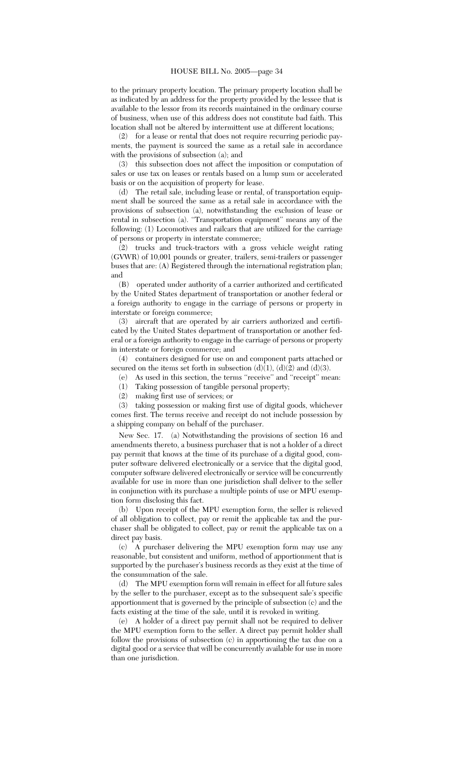to the primary property location. The primary property location shall be as indicated by an address for the property provided by the lessee that is available to the lessor from its records maintained in the ordinary course of business, when use of this address does not constitute bad faith. This location shall not be altered by intermittent use at different locations;

(2) for a lease or rental that does not require recurring periodic payments, the payment is sourced the same as a retail sale in accordance with the provisions of subsection (a); and

(3) this subsection does not affect the imposition or computation of sales or use tax on leases or rentals based on a lump sum or accelerated basis or on the acquisition of property for lease.

(d) The retail sale, including lease or rental, of transportation equipment shall be sourced the same as a retail sale in accordance with the provisions of subsection (a), notwithstanding the exclusion of lease or rental in subsection (a). "Transportation equipment" means any of the following: (1) Locomotives and railcars that are utilized for the carriage of persons or property in interstate commerce;

(2) trucks and truck-tractors with a gross vehicle weight rating (GVWR) of 10,001 pounds or greater, trailers, semi-trailers or passenger buses that are: (A) Registered through the international registration plan; and

(B) operated under authority of a carrier authorized and certificated by the United States department of transportation or another federal or a foreign authority to engage in the carriage of persons or property in interstate or foreign commerce;

(3) aircraft that are operated by air carriers authorized and certificated by the United States department of transportation or another federal or a foreign authority to engage in the carriage of persons or property in interstate or foreign commerce; and

(4) containers designed for use on and component parts attached or secured on the items set forth in subsection  $(d)(1)$ ,  $(d)(2)$  and  $(d)(3)$ .

(e) As used in this section, the terms ''receive'' and ''receipt'' mean:

(1) Taking possession of tangible personal property;

(2) making first use of services; or

(3) taking possession or making first use of digital goods, whichever comes first. The terms receive and receipt do not include possession by a shipping company on behalf of the purchaser.

New Sec. 17. (a) Notwithstanding the provisions of section 16 and amendments thereto, a business purchaser that is not a holder of a direct pay permit that knows at the time of its purchase of a digital good, computer software delivered electronically or a service that the digital good, computer software delivered electronically or service will be concurrently available for use in more than one jurisdiction shall deliver to the seller in conjunction with its purchase a multiple points of use or MPU exemption form disclosing this fact.

(b) Upon receipt of the MPU exemption form, the seller is relieved of all obligation to collect, pay or remit the applicable tax and the purchaser shall be obligated to collect, pay or remit the applicable tax on a direct pay basis.

(c) A purchaser delivering the MPU exemption form may use any reasonable, but consistent and uniform, method of apportionment that is supported by the purchaser's business records as they exist at the time of the consummation of the sale.

(d) The MPU exemption form will remain in effect for all future sales by the seller to the purchaser, except as to the subsequent sale's specific apportionment that is governed by the principle of subsection (c) and the facts existing at the time of the sale, until it is revoked in writing.

(e) A holder of a direct pay permit shall not be required to deliver the MPU exemption form to the seller. A direct pay permit holder shall follow the provisions of subsection (c) in apportioning the tax due on a digital good or a service that will be concurrently available for use in more than one jurisdiction.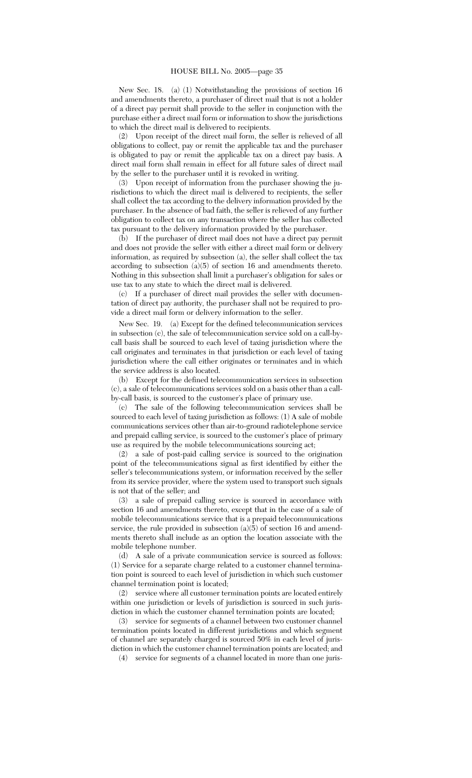New Sec. 18. (a) (1) Notwithstanding the provisions of section 16 and amendments thereto, a purchaser of direct mail that is not a holder of a direct pay permit shall provide to the seller in conjunction with the purchase either a direct mail form or information to show the jurisdictions to which the direct mail is delivered to recipients.

(2) Upon receipt of the direct mail form, the seller is relieved of all obligations to collect, pay or remit the applicable tax and the purchaser is obligated to pay or remit the applicable tax on a direct pay basis. A direct mail form shall remain in effect for all future sales of direct mail by the seller to the purchaser until it is revoked in writing.

(3) Upon receipt of information from the purchaser showing the jurisdictions to which the direct mail is delivered to recipients, the seller shall collect the tax according to the delivery information provided by the purchaser. In the absence of bad faith, the seller is relieved of any further obligation to collect tax on any transaction where the seller has collected tax pursuant to the delivery information provided by the purchaser.

(b) If the purchaser of direct mail does not have a direct pay permit and does not provide the seller with either a direct mail form or delivery information, as required by subsection (a), the seller shall collect the tax according to subsection (a)(5) of section 16 and amendments thereto. Nothing in this subsection shall limit a purchaser's obligation for sales or use tax to any state to which the direct mail is delivered.

(c) If a purchaser of direct mail provides the seller with documentation of direct pay authority, the purchaser shall not be required to provide a direct mail form or delivery information to the seller.

New Sec. 19. (a) Except for the defined telecommunication services in subsection (c), the sale of telecommunication service sold on a call-bycall basis shall be sourced to each level of taxing jurisdiction where the call originates and terminates in that jurisdiction or each level of taxing jurisdiction where the call either originates or terminates and in which the service address is also located.

(b) Except for the defined telecommunication services in subsection (c), a sale of telecommunications services sold on a basis other than a callby-call basis, is sourced to the customer's place of primary use.

(c) The sale of the following telecommunication services shall be sourced to each level of taxing jurisdiction as follows: (1) A sale of mobile communications services other than air-to-ground radiotelephone service and prepaid calling service, is sourced to the customer's place of primary use as required by the mobile telecommunications sourcing act;

(2) a sale of post-paid calling service is sourced to the origination point of the telecommunications signal as first identified by either the seller's telecommunications system, or information received by the seller from its service provider, where the system used to transport such signals is not that of the seller; and

(3) a sale of prepaid calling service is sourced in accordance with section 16 and amendments thereto, except that in the case of a sale of mobile telecommunications service that is a prepaid telecommunications service, the rule provided in subsection (a)(5) of section 16 and amendments thereto shall include as an option the location associate with the mobile telephone number.

(d) A sale of a private communication service is sourced as follows: (1) Service for a separate charge related to a customer channel termination point is sourced to each level of jurisdiction in which such customer channel termination point is located;

(2) service where all customer termination points are located entirely within one jurisdiction or levels of jurisdiction is sourced in such jurisdiction in which the customer channel termination points are located;

(3) service for segments of a channel between two customer channel termination points located in different jurisdictions and which segment of channel are separately charged is sourced 50% in each level of jurisdiction in which the customer channel termination points are located; and

(4) service for segments of a channel located in more than one juris-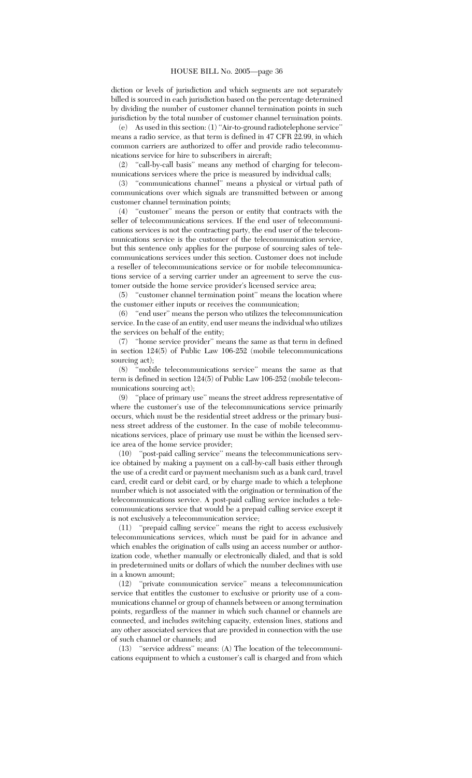diction or levels of jurisdiction and which segments are not separately billed is sourced in each jurisdiction based on the percentage determined by dividing the number of customer channel termination points in such jurisdiction by the total number of customer channel termination points.

(e) As used in this section: (1) ''Air-to-ground radiotelephone service'' means a radio service, as that term is defined in 47 CFR 22.99, in which common carriers are authorized to offer and provide radio telecommunications service for hire to subscribers in aircraft;

(2) ''call-by-call basis'' means any method of charging for telecommunications services where the price is measured by individual calls;

(3) ''communications channel'' means a physical or virtual path of communications over which signals are transmitted between or among customer channel termination points;

(4) ''customer'' means the person or entity that contracts with the seller of telecommunications services. If the end user of telecommunications services is not the contracting party, the end user of the telecommunications service is the customer of the telecommunication service, but this sentence only applies for the purpose of sourcing sales of telecommunications services under this section. Customer does not include a reseller of telecommunications service or for mobile telecommunications service of a serving carrier under an agreement to serve the customer outside the home service provider's licensed service area;

(5) ''customer channel termination point'' means the location where the customer either inputs or receives the communication;

(6) ''end user'' means the person who utilizes the telecommunication service. In the case of an entity, end user means the individual who utilizes the services on behalf of the entity;

(7) ''home service provider'' means the same as that term in defined in section 124(5) of Public Law 106-252 (mobile telecommunications sourcing act);

(8) ''mobile telecommunications service'' means the same as that term is defined in section 124(5) of Public Law 106-252 (mobile telecommunications sourcing act);

(9) ''place of primary use'' means the street address representative of where the customer's use of the telecommunications service primarily occurs, which must be the residential street address or the primary business street address of the customer. In the case of mobile telecommunications services, place of primary use must be within the licensed service area of the home service provider;

(10) ''post-paid calling service'' means the telecommunications service obtained by making a payment on a call-by-call basis either through the use of a credit card or payment mechanism such as a bank card, travel card, credit card or debit card, or by charge made to which a telephone number which is not associated with the origination or termination of the telecommunications service. A post-paid calling service includes a telecommunications service that would be a prepaid calling service except it is not exclusively a telecommunication service;

(11) ''prepaid calling service'' means the right to access exclusively telecommunications services, which must be paid for in advance and which enables the origination of calls using an access number or authorization code, whether manually or electronically dialed, and that is sold in predetermined units or dollars of which the number declines with use in a known amount;

(12) ''private communication service'' means a telecommunication service that entitles the customer to exclusive or priority use of a communications channel or group of channels between or among termination points, regardless of the manner in which such channel or channels are connected, and includes switching capacity, extension lines, stations and any other associated services that are provided in connection with the use of such channel or channels; and

(13) ''service address'' means: (A) The location of the telecommunications equipment to which a customer's call is charged and from which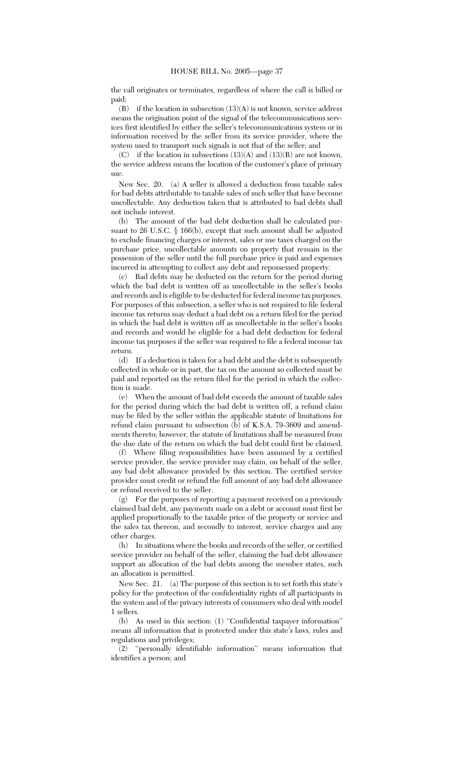the call originates or terminates, regardless of where the call is billed or paid;

 $(B)$  if the location in subsection  $(13)(A)$  is not known, service address means the origination point of the signal of the telecommunications services first identified by either the seller's telecommunications system or in information received by the seller from its service provider, where the system used to transport such signals is not that of the seller; and

(C) if the location in subsections  $(13)(A)$  and  $(13)(B)$  are not known, the service address means the location of the customer's place of primary use.

New Sec. 20. (a) A seller is allowed a deduction from taxable sales for bad debts attributable to taxable sales of such seller that have become uncollectable. Any deduction taken that is attributed to bad debts shall not include interest.

(b) The amount of the bad debt deduction shall be calculated pursuant to 26 U.S.C.  $\S$  166(b), except that such amount shall be adjusted to exclude financing charges or interest, sales or use taxes charged on the purchase price, uncollectable amounts on property that remain in the possession of the seller until the full purchase price is paid and expenses incurred in attempting to collect any debt and repossessed property.

(c) Bad debts may be deducted on the return for the period during which the bad debt is written off as uncollectable in the seller's books and records and is eligible to be deducted for federal income tax purposes. For purposes of this subsection, a seller who is not required to file federal income tax returns may deduct a bad debt on a return filed for the period in which the bad debt is written off as uncollectable in the seller's books and records and would be eligible for a bad debt deduction for federal income tax purposes if the seller was required to file a federal income tax return.

(d) If a deduction is taken for a bad debt and the debt is subsequently collected in whole or in part, the tax on the amount so collected must be paid and reported on the return filed for the period in which the collection is made.

(e) When the amount of bad debt exceeds the amount of taxable sales for the period during which the bad debt is written off, a refund claim may be filed by the seller within the applicable statute of limitations for refund claim pursuant to subsection (b) of K.S.A. 79-3609 and amendments thereto; however, the statute of limitations shall be measured from the due date of the return on which the bad debt could first be claimed.

(f) Where filing responsibilities have been assumed by a certified service provider, the service provider may claim, on behalf of the seller, any bad debt allowance provided by this section. The certified service provider must credit or refund the full amount of any bad debt allowance or refund received to the seller.

(g) For the purposes of reporting a payment received on a previously claimed bad debt, any payments made on a debt or account must first be applied proportionally to the taxable price of the property or service and the sales tax thereon, and secondly to interest, service charges and any other charges.

(h) In situations where the books and records of the seller, or certified service provider on behalf of the seller, claiming the bad debt allowance support an allocation of the bad debts among the member states, such an allocation is permitted.

New Sec. 21. (a) The purpose of this section is to set forth this state's policy for the protection of the confidentiality rights of all participants in the system and of the privacy interests of consumers who deal with model 1 sellers.

(b) As used in this section: (1) ''Confidential taxpayer information'' means all information that is protected under this state's laws, rules and regulations and privileges;

(2) ''personally identifiable information'' means information that identifies a person; and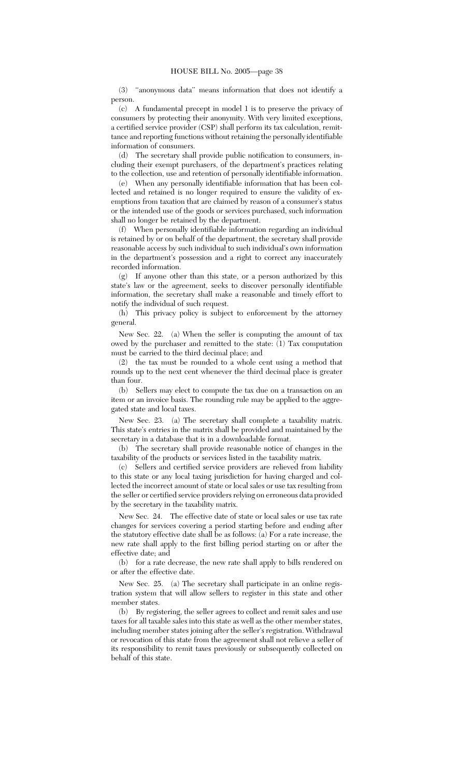(3) ''anonymous data'' means information that does not identify a person.

(c) A fundamental precept in model 1 is to preserve the privacy of consumers by protecting their anonymity. With very limited exceptions, a certified service provider (CSP) shall perform its tax calculation, remittance and reporting functions without retaining the personally identifiable information of consumers.

(d) The secretary shall provide public notification to consumers, including their exempt purchasers, of the department's practices relating to the collection, use and retention of personally identifiable information.

(e) When any personally identifiable information that has been collected and retained is no longer required to ensure the validity of exemptions from taxation that are claimed by reason of a consumer's status or the intended use of the goods or services purchased, such information shall no longer be retained by the department.

(f) When personally identifiable information regarding an individual is retained by or on behalf of the department, the secretary shall provide reasonable access by such individual to such individual's own information in the department's possession and a right to correct any inaccurately recorded information.

(g) If anyone other than this state, or a person authorized by this state's law or the agreement, seeks to discover personally identifiable information, the secretary shall make a reasonable and timely effort to notify the individual of such request.

(h) This privacy policy is subject to enforcement by the attorney general.

New Sec. 22. (a) When the seller is computing the amount of tax owed by the purchaser and remitted to the state: (1) Tax computation must be carried to the third decimal place; and

(2) the tax must be rounded to a whole cent using a method that rounds up to the next cent whenever the third decimal place is greater than four.

(b) Sellers may elect to compute the tax due on a transaction on an item or an invoice basis. The rounding rule may be applied to the aggregated state and local taxes.

New Sec. 23. (a) The secretary shall complete a taxability matrix. This state's entries in the matrix shall be provided and maintained by the secretary in a database that is in a downloadable format.

(b) The secretary shall provide reasonable notice of changes in the taxability of the products or services listed in the taxability matrix.

(c) Sellers and certified service providers are relieved from liability to this state or any local taxing jurisdiction for having charged and collected the incorrect amount of state or local sales or use tax resulting from the seller or certified service providers relying on erroneous data provided by the secretary in the taxability matrix.

New Sec. 24. The effective date of state or local sales or use tax rate changes for services covering a period starting before and ending after the statutory effective date shall be as follows: (a) For a rate increase, the new rate shall apply to the first billing period starting on or after the effective date; and

(b) for a rate decrease, the new rate shall apply to bills rendered on or after the effective date.

New Sec. 25. (a) The secretary shall participate in an online registration system that will allow sellers to register in this state and other member states.

(b) By registering, the seller agrees to collect and remit sales and use taxes for all taxable sales into this state as well as the other member states, including member states joining after the seller's registration. Withdrawal or revocation of this state from the agreement shall not relieve a seller of its responsibility to remit taxes previously or subsequently collected on behalf of this state.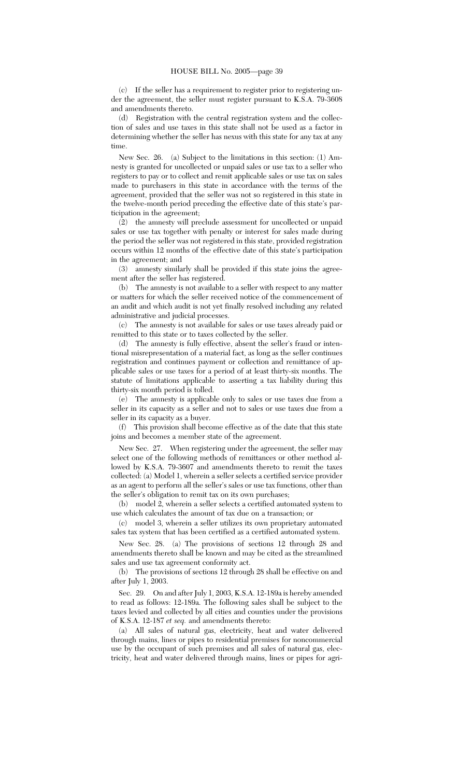(c) If the seller has a requirement to register prior to registering under the agreement, the seller must register pursuant to K.S.A. 79-3608 and amendments thereto.

(d) Registration with the central registration system and the collection of sales and use taxes in this state shall not be used as a factor in determining whether the seller has nexus with this state for any tax at any time.

New Sec. 26. (a) Subject to the limitations in this section: (1) Amnesty is granted for uncollected or unpaid sales or use tax to a seller who registers to pay or to collect and remit applicable sales or use tax on sales made to purchasers in this state in accordance with the terms of the agreement, provided that the seller was not so registered in this state in the twelve-month period preceding the effective date of this state's participation in the agreement;

(2) the amnesty will preclude assessment for uncollected or unpaid sales or use tax together with penalty or interest for sales made during the period the seller was not registered in this state, provided registration occurs within 12 months of the effective date of this state's participation in the agreement; and

(3) amnesty similarly shall be provided if this state joins the agreement after the seller has registered.

(b) The amnesty is not available to a seller with respect to any matter or matters for which the seller received notice of the commencement of an audit and which audit is not yet finally resolved including any related administrative and judicial processes.

(c) The amnesty is not available for sales or use taxes already paid or remitted to this state or to taxes collected by the seller.

(d) The amnesty is fully effective, absent the seller's fraud or intentional misrepresentation of a material fact, as long as the seller continues registration and continues payment or collection and remittance of applicable sales or use taxes for a period of at least thirty-six months. The statute of limitations applicable to asserting a tax liability during this thirty-six month period is tolled.

(e) The amnesty is applicable only to sales or use taxes due from a seller in its capacity as a seller and not to sales or use taxes due from a seller in its capacity as a buyer.

(f) This provision shall become effective as of the date that this state joins and becomes a member state of the agreement.

New Sec. 27. When registering under the agreement, the seller may select one of the following methods of remittances or other method allowed by K.S.A. 79-3607 and amendments thereto to remit the taxes collected: (a) Model 1, wherein a seller selects a certified service provider as an agent to perform all the seller's sales or use tax functions, other than the seller's obligation to remit tax on its own purchases;

(b) model 2, wherein a seller selects a certified automated system to use which calculates the amount of tax due on a transaction; or

(c) model 3, wherein a seller utilizes its own proprietary automated sales tax system that has been certified as a certified automated system.

New Sec. 28. (a) The provisions of sections 12 through 28 and amendments thereto shall be known and may be cited as the streamlined sales and use tax agreement conformity act.

(b) The provisions of sections 12 through 28 shall be effective on and after July 1, 2003.

Sec. 29. On and after July 1, 2003, K.S.A. 12-189a is hereby amended to read as follows: 12-189a. The following sales shall be subject to the taxes levied and collected by all cities and counties under the provisions of K.S.A. 12-187 *et seq.* and amendments thereto:

(a) All sales of natural gas, electricity, heat and water delivered through mains, lines or pipes to residential premises for noncommercial use by the occupant of such premises and all sales of natural gas, electricity, heat and water delivered through mains, lines or pipes for agri-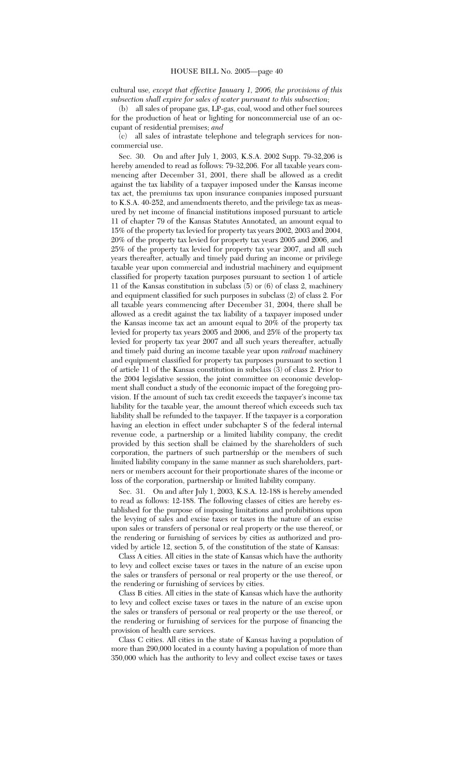cultural use*, except that effective January 1, 2006, the provisions of this subsection shall expire for sales of water pursuant to this subsection*;

(b) all sales of propane gas, LP-gas, coal, wood and other fuel sources for the production of heat or lighting for noncommercial use of an occupant of residential premises; *and*

(c) all sales of intrastate telephone and telegraph services for noncommercial use.

Sec. 30. On and after July 1, 2003, K.S.A. 2002 Supp. 79-32,206 is hereby amended to read as follows: 79-32,206. For all taxable years commencing after December 31, 2001, there shall be allowed as a credit against the tax liability of a taxpayer imposed under the Kansas income tax act, the premiums tax upon insurance companies imposed pursuant to K.S.A. 40-252, and amendments thereto, and the privilege tax as measured by net income of financial institutions imposed pursuant to article 11 of chapter 79 of the Kansas Statutes Annotated, an amount equal to 15% of the property tax levied for property tax years 2002, 2003 and 2004, 20% of the property tax levied for property tax years 2005 and 2006, and 25% of the property tax levied for property tax year 2007, and all such years thereafter, actually and timely paid during an income or privilege taxable year upon commercial and industrial machinery and equipment classified for property taxation purposes pursuant to section 1 of article 11 of the Kansas constitution in subclass (5) or (6) of class 2, machinery and equipment classified for such purposes in subclass (2) of class 2. For all taxable years commencing after December 31, 2004, there shall be allowed as a credit against the tax liability of a taxpayer imposed under the Kansas income tax act an amount equal to 20% of the property tax levied for property tax years 2005 and 2006, and 25% of the property tax levied for property tax year 2007 and all such years thereafter, actually and timely paid during an income taxable year upon *railroad* machinery and equipment classified for property tax purposes pursuant to section 1 of article 11 of the Kansas constitution in subclass (3) of class 2. Prior to the 2004 legislative session, the joint committee on economic development shall conduct a study of the economic impact of the foregoing provision. If the amount of such tax credit exceeds the taxpayer's income tax liability for the taxable year, the amount thereof which exceeds such tax liability shall be refunded to the taxpayer. If the taxpayer is a corporation having an election in effect under subchapter S of the federal internal revenue code, a partnership or a limited liability company, the credit provided by this section shall be claimed by the shareholders of such corporation, the partners of such partnership or the members of such limited liability company in the same manner as such shareholders, partners or members account for their proportionate shares of the income or loss of the corporation, partnership or limited liability company.

Sec. 31. On and after July 1, 2003, K.S.A. 12-188 is hereby amended to read as follows: 12-188. The following classes of cities are hereby established for the purpose of imposing limitations and prohibitions upon the levying of sales and excise taxes or taxes in the nature of an excise upon sales or transfers of personal or real property or the use thereof, or the rendering or furnishing of services by cities as authorized and provided by article 12, section 5, of the constitution of the state of Kansas:

Class A cities. All cities in the state of Kansas which have the authority to levy and collect excise taxes or taxes in the nature of an excise upon the sales or transfers of personal or real property or the use thereof, or the rendering or furnishing of services by cities.

Class B cities. All cities in the state of Kansas which have the authority to levy and collect excise taxes or taxes in the nature of an excise upon the sales or transfers of personal or real property or the use thereof, or the rendering or furnishing of services for the purpose of financing the provision of health care services.

Class C cities. All cities in the state of Kansas having a population of more than 290,000 located in a county having a population of more than 350,000 which has the authority to levy and collect excise taxes or taxes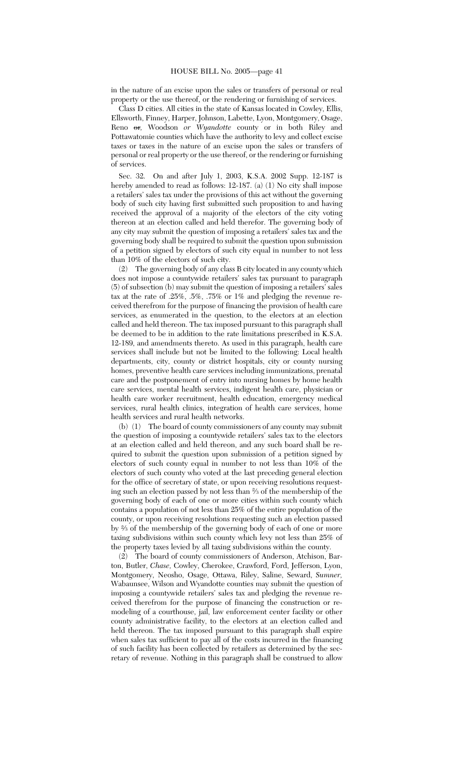in the nature of an excise upon the sales or transfers of personal or real property or the use thereof, or the rendering or furnishing of services.

Class D cities. All cities in the state of Kansas located in Cowley, Ellis, Ellsworth, Finney, Harper, Johnson, Labette, Lyon, Montgomery, Osage, Reno or*,* Woodson *or Wyandotte* county or in both Riley and Pottawatomie counties which have the authority to levy and collect excise taxes or taxes in the nature of an excise upon the sales or transfers of personal or real property or the use thereof, or the rendering or furnishing of services.

Sec. 32. On and after July 1, 2003, K.S.A. 2002 Supp. 12-187 is hereby amended to read as follows: 12-187. (a) (1) No city shall impose a retailers' sales tax under the provisions of this act without the governing body of such city having first submitted such proposition to and having received the approval of a majority of the electors of the city voting thereon at an election called and held therefor. The governing body of any city may submit the question of imposing a retailers' sales tax and the governing body shall be required to submit the question upon submission of a petition signed by electors of such city equal in number to not less than 10% of the electors of such city.

(2) The governing body of any class B city located in any county which does not impose a countywide retailers' sales tax pursuant to paragraph (5) of subsection (b) may submit the question of imposing a retailers' sales tax at the rate of .25%, .5%, .75% or 1% and pledging the revenue received therefrom for the purpose of financing the provision of health care services, as enumerated in the question, to the electors at an election called and held thereon. The tax imposed pursuant to this paragraph shall be deemed to be in addition to the rate limitations prescribed in K.S.A. 12-189, and amendments thereto. As used in this paragraph, health care services shall include but not be limited to the following: Local health departments, city, county or district hospitals, city or county nursing homes, preventive health care services including immunizations, prenatal care and the postponement of entry into nursing homes by home health care services, mental health services, indigent health care, physician or health care worker recruitment, health education, emergency medical services, rural health clinics, integration of health care services, home health services and rural health networks.

(b) (1) The board of county commissioners of any county may submit the question of imposing a countywide retailers' sales tax to the electors at an election called and held thereon, and any such board shall be required to submit the question upon submission of a petition signed by electors of such county equal in number to not less than 10% of the electors of such county who voted at the last preceding general election for the office of secretary of state, or upon receiving resolutions requesting such an election passed by not less than 2⁄3 of the membership of the governing body of each of one or more cities within such county which contains a population of not less than 25% of the entire population of the county, or upon receiving resolutions requesting such an election passed by 2⁄3 of the membership of the governing body of each of one or more taxing subdivisions within such county which levy not less than 25% of the property taxes levied by all taxing subdivisions within the county.

(2) The board of county commissioners of Anderson, Atchison, Barton, Butler, *Chase,* Cowley, Cherokee, Crawford, Ford, Jefferson, Lyon, Montgomery, Neosho, Osage, Ottawa, Riley, Saline, Seward, *Sumner,* Wabaunsee, Wilson and Wyandotte counties may submit the question of imposing a countywide retailers' sales tax and pledging the revenue received therefrom for the purpose of financing the construction or remodeling of a courthouse, jail, law enforcement center facility or other county administrative facility, to the electors at an election called and held thereon. The tax imposed pursuant to this paragraph shall expire when sales tax sufficient to pay all of the costs incurred in the financing of such facility has been collected by retailers as determined by the secretary of revenue. Nothing in this paragraph shall be construed to allow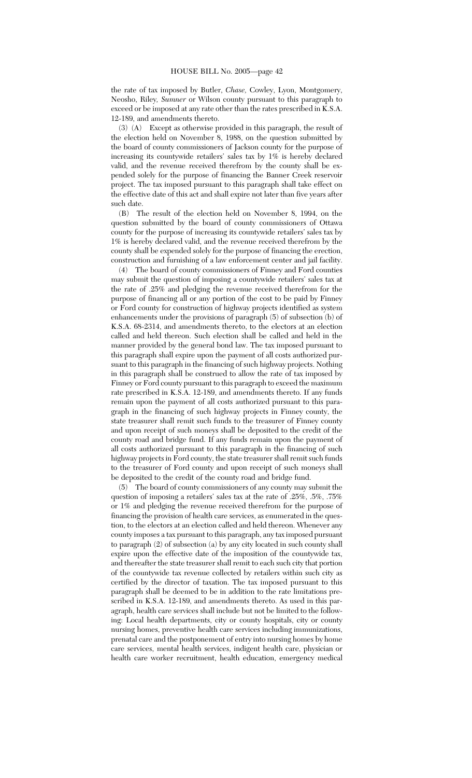the rate of tax imposed by Butler, *Chase,* Cowley, Lyon, Montgomery, Neosho, Riley*, Sumner* or Wilson county pursuant to this paragraph to exceed or be imposed at any rate other than the rates prescribed in K.S.A. 12-189, and amendments thereto.

(3) (A) Except as otherwise provided in this paragraph, the result of the election held on November 8, 1988, on the question submitted by the board of county commissioners of Jackson county for the purpose of increasing its countywide retailers' sales tax by 1% is hereby declared valid, and the revenue received therefrom by the county shall be expended solely for the purpose of financing the Banner Creek reservoir project. The tax imposed pursuant to this paragraph shall take effect on the effective date of this act and shall expire not later than five years after such date.

(B) The result of the election held on November 8, 1994, on the question submitted by the board of county commissioners of Ottawa county for the purpose of increasing its countywide retailers' sales tax by 1% is hereby declared valid, and the revenue received therefrom by the county shall be expended solely for the purpose of financing the erection, construction and furnishing of a law enforcement center and jail facility.

(4) The board of county commissioners of Finney and Ford counties may submit the question of imposing a countywide retailers' sales tax at the rate of .25% and pledging the revenue received therefrom for the purpose of financing all or any portion of the cost to be paid by Finney or Ford county for construction of highway projects identified as system enhancements under the provisions of paragraph (5) of subsection (b) of K.S.A. 68-2314, and amendments thereto, to the electors at an election called and held thereon. Such election shall be called and held in the manner provided by the general bond law. The tax imposed pursuant to this paragraph shall expire upon the payment of all costs authorized pursuant to this paragraph in the financing of such highway projects. Nothing in this paragraph shall be construed to allow the rate of tax imposed by Finney or Ford county pursuant to this paragraph to exceed the maximum rate prescribed in K.S.A. 12-189, and amendments thereto. If any funds remain upon the payment of all costs authorized pursuant to this paragraph in the financing of such highway projects in Finney county, the state treasurer shall remit such funds to the treasurer of Finney county and upon receipt of such moneys shall be deposited to the credit of the county road and bridge fund. If any funds remain upon the payment of all costs authorized pursuant to this paragraph in the financing of such highway projects in Ford county, the state treasurer shall remit such funds to the treasurer of Ford county and upon receipt of such moneys shall be deposited to the credit of the county road and bridge fund.

(5) The board of county commissioners of any county may submit the question of imposing a retailers' sales tax at the rate of .25%, .5%, .75% or 1% and pledging the revenue received therefrom for the purpose of financing the provision of health care services, as enumerated in the question, to the electors at an election called and held thereon. Whenever any county imposes a tax pursuant to this paragraph, any tax imposed pursuant to paragraph (2) of subsection (a) by any city located in such county shall expire upon the effective date of the imposition of the countywide tax, and thereafter the state treasurer shall remit to each such city that portion of the countywide tax revenue collected by retailers within such city as certified by the director of taxation. The tax imposed pursuant to this paragraph shall be deemed to be in addition to the rate limitations prescribed in K.S.A. 12-189, and amendments thereto. As used in this paragraph, health care services shall include but not be limited to the following: Local health departments, city or county hospitals, city or county nursing homes, preventive health care services including immunizations, prenatal care and the postponement of entry into nursing homes by home care services, mental health services, indigent health care, physician or health care worker recruitment, health education, emergency medical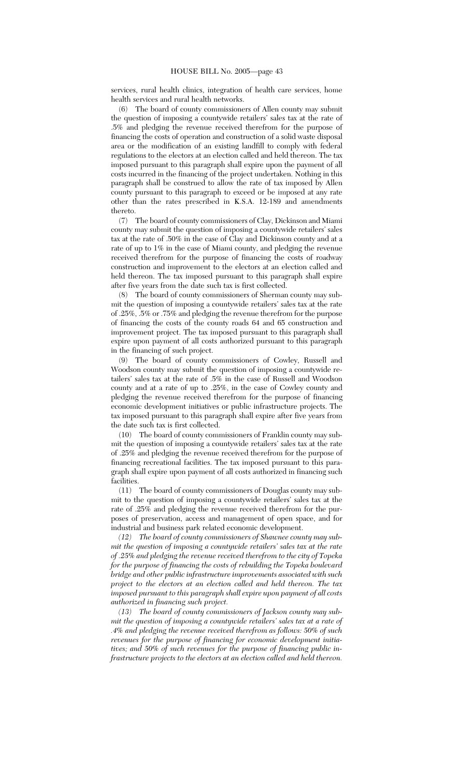services, rural health clinics, integration of health care services, home health services and rural health networks.

(6) The board of county commissioners of Allen county may submit the question of imposing a countywide retailers' sales tax at the rate of .5% and pledging the revenue received therefrom for the purpose of financing the costs of operation and construction of a solid waste disposal area or the modification of an existing landfill to comply with federal regulations to the electors at an election called and held thereon. The tax imposed pursuant to this paragraph shall expire upon the payment of all costs incurred in the financing of the project undertaken. Nothing in this paragraph shall be construed to allow the rate of tax imposed by Allen county pursuant to this paragraph to exceed or be imposed at any rate other than the rates prescribed in K.S.A. 12-189 and amendments thereto.

(7) The board of county commissioners of Clay, Dickinson and Miami county may submit the question of imposing a countywide retailers' sales tax at the rate of .50% in the case of Clay and Dickinson county and at a rate of up to 1% in the case of Miami county, and pledging the revenue received therefrom for the purpose of financing the costs of roadway construction and improvement to the electors at an election called and held thereon. The tax imposed pursuant to this paragraph shall expire after five years from the date such tax is first collected.

(8) The board of county commissioners of Sherman county may submit the question of imposing a countywide retailers' sales tax at the rate of .25%, .5% or .75% and pledging the revenue therefrom for the purpose of financing the costs of the county roads 64 and 65 construction and improvement project. The tax imposed pursuant to this paragraph shall expire upon payment of all costs authorized pursuant to this paragraph in the financing of such project.

(9) The board of county commissioners of Cowley, Russell and Woodson county may submit the question of imposing a countywide retailers' sales tax at the rate of .5% in the case of Russell and Woodson county and at a rate of up to .25%, in the case of Cowley county and pledging the revenue received therefrom for the purpose of financing economic development initiatives or public infrastructure projects. The tax imposed pursuant to this paragraph shall expire after five years from the date such tax is first collected.

(10) The board of county commissioners of Franklin county may submit the question of imposing a countywide retailers' sales tax at the rate of .25% and pledging the revenue received therefrom for the purpose of financing recreational facilities. The tax imposed pursuant to this paragraph shall expire upon payment of all costs authorized in financing such facilities.

(11) The board of county commissioners of Douglas county may submit to the question of imposing a countywide retailers' sales tax at the rate of .25% and pledging the revenue received therefrom for the purposes of preservation, access and management of open space, and for industrial and business park related economic development.

*(12) The board of county commissioners of Shawnee county may submit the question of imposing a countywide retailers' sales tax at the rate of .25% and pledging the revenue received therefrom to the city of Topeka for the purpose of financing the costs of rebuilding the Topeka boulevard bridge and other public infrastructure improvements associated with such project to the electors at an election called and held thereon. The tax imposed pursuant to this paragraph shall expire upon payment of all costs authorized in financing such project.*

*(13) The board of county commissioners of Jackson county may submit the question of imposing a countywide retailers' sales tax at a rate of .4% and pledging the revenue received therefrom as follows: 50% of such revenues for the purpose of financing for economic development initiatives; and 50% of such revenues for the purpose of financing public infrastructure projects to the electors at an election called and held thereon.*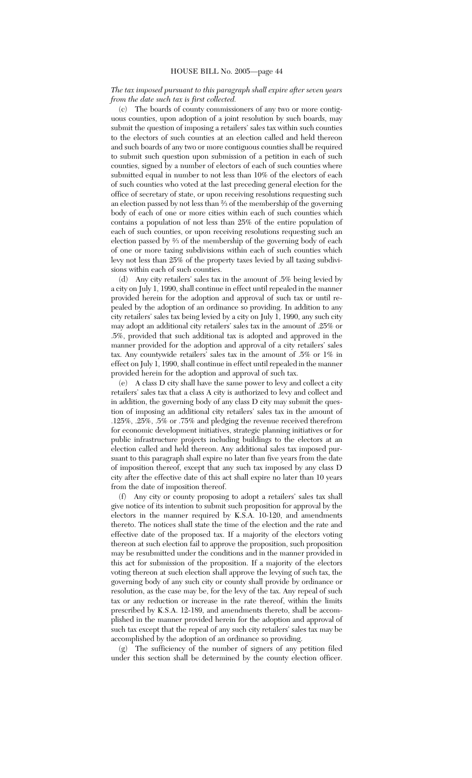# *The tax imposed pursuant to this paragraph shall expire after seven years from the date such tax is first collected.*

(c) The boards of county commissioners of any two or more contiguous counties, upon adoption of a joint resolution by such boards, may submit the question of imposing a retailers' sales tax within such counties to the electors of such counties at an election called and held thereon and such boards of any two or more contiguous counties shall be required to submit such question upon submission of a petition in each of such counties, signed by a number of electors of each of such counties where submitted equal in number to not less than 10% of the electors of each of such counties who voted at the last preceding general election for the office of secretary of state, or upon receiving resolutions requesting such an election passed by not less than 2⁄3 of the membership of the governing body of each of one or more cities within each of such counties which contains a population of not less than 25% of the entire population of each of such counties, or upon receiving resolutions requesting such an election passed by 2⁄3 of the membership of the governing body of each of one or more taxing subdivisions within each of such counties which levy not less than 25% of the property taxes levied by all taxing subdivisions within each of such counties.

(d) Any city retailers' sales tax in the amount of .5% being levied by a city on July 1, 1990, shall continue in effect until repealed in the manner provided herein for the adoption and approval of such tax or until repealed by the adoption of an ordinance so providing. In addition to any city retailers' sales tax being levied by a city on July 1, 1990, any such city may adopt an additional city retailers' sales tax in the amount of .25% or .5%, provided that such additional tax is adopted and approved in the manner provided for the adoption and approval of a city retailers' sales tax. Any countywide retailers' sales tax in the amount of .5% or 1% in effect on July 1, 1990, shall continue in effect until repealed in the manner provided herein for the adoption and approval of such tax.

(e) A class D city shall have the same power to levy and collect a city retailers' sales tax that a class A city is authorized to levy and collect and in addition, the governing body of any class D city may submit the question of imposing an additional city retailers' sales tax in the amount of .125%, .25%, .5% or .75% and pledging the revenue received therefrom for economic development initiatives, strategic planning initiatives or for public infrastructure projects including buildings to the electors at an election called and held thereon. Any additional sales tax imposed pursuant to this paragraph shall expire no later than five years from the date of imposition thereof, except that any such tax imposed by any class D city after the effective date of this act shall expire no later than 10 years from the date of imposition thereof.

(f) Any city or county proposing to adopt a retailers' sales tax shall give notice of its intention to submit such proposition for approval by the electors in the manner required by K.S.A. 10-120, and amendments thereto. The notices shall state the time of the election and the rate and effective date of the proposed tax. If a majority of the electors voting thereon at such election fail to approve the proposition, such proposition may be resubmitted under the conditions and in the manner provided in this act for submission of the proposition. If a majority of the electors voting thereon at such election shall approve the levying of such tax, the governing body of any such city or county shall provide by ordinance or resolution, as the case may be, for the levy of the tax. Any repeal of such tax or any reduction or increase in the rate thereof, within the limits prescribed by K.S.A. 12-189, and amendments thereto, shall be accomplished in the manner provided herein for the adoption and approval of such tax except that the repeal of any such city retailers' sales tax may be accomplished by the adoption of an ordinance so providing.

(g) The sufficiency of the number of signers of any petition filed under this section shall be determined by the county election officer.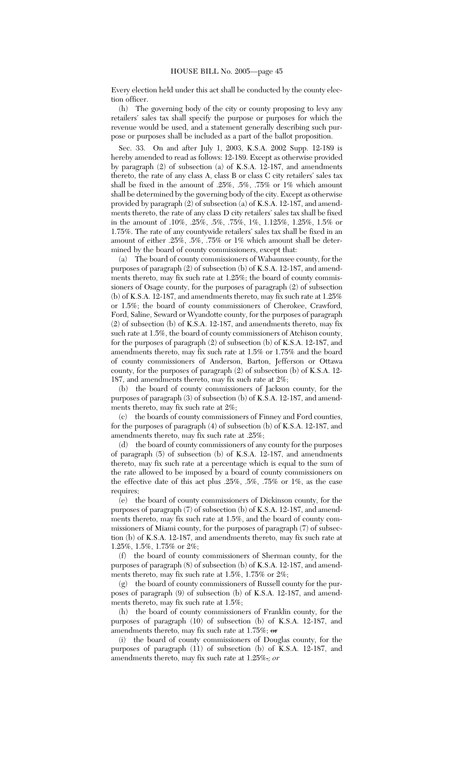Every election held under this act shall be conducted by the county election officer.

(h) The governing body of the city or county proposing to levy any retailers' sales tax shall specify the purpose or purposes for which the revenue would be used, and a statement generally describing such purpose or purposes shall be included as a part of the ballot proposition.

Sec. 33. On and after July 1, 2003, K.S.A. 2002 Supp. 12-189 is hereby amended to read as follows: 12-189. Except as otherwise provided by paragraph (2) of subsection (a) of K.S.A. 12-187, and amendments thereto, the rate of any class A, class B or class C city retailers' sales tax shall be fixed in the amount of .25%, .5%, .75% or 1% which amount shall be determined by the governing body of the city. Except as otherwise provided by paragraph (2) of subsection (a) of K.S.A. 12-187, and amendments thereto, the rate of any class D city retailers' sales tax shall be fixed in the amount of .10%, .25%, .5%, .75%, 1%, 1.125%, 1.25%, 1.5% or 1.75%. The rate of any countywide retailers' sales tax shall be fixed in an amount of either .25%, .5%, .75% or 1% which amount shall be determined by the board of county commissioners, except that:

(a) The board of county commissioners of Wabaunsee county, for the purposes of paragraph (2) of subsection (b) of K.S.A. 12-187, and amendments thereto, may fix such rate at 1.25%; the board of county commissioners of Osage county, for the purposes of paragraph (2) of subsection (b) of K.S.A. 12-187, and amendments thereto, may fix such rate at 1.25% or 1.5%; the board of county commissioners of Cherokee, Crawford, Ford, Saline, Seward or Wyandotte county, for the purposes of paragraph (2) of subsection (b) of K.S.A. 12-187, and amendments thereto, may fix such rate at 1.5%, the board of county commissioners of Atchison county, for the purposes of paragraph (2) of subsection (b) of K.S.A. 12-187, and amendments thereto, may fix such rate at 1.5% or 1.75% and the board of county commissioners of Anderson, Barton, Jefferson or Ottawa county, for the purposes of paragraph (2) of subsection (b) of K.S.A. 12- 187, and amendments thereto, may fix such rate at 2%;

(b) the board of county commissioners of Jackson county, for the purposes of paragraph (3) of subsection (b) of K.S.A. 12-187, and amendments thereto, may fix such rate at 2%;

(c) the boards of county commissioners of Finney and Ford counties, for the purposes of paragraph (4) of subsection (b) of K.S.A. 12-187, and amendments thereto, may fix such rate at .25%;

(d) the board of county commissioners of any county for the purposes of paragraph (5) of subsection (b) of K.S.A. 12-187, and amendments thereto, may fix such rate at a percentage which is equal to the sum of the rate allowed to be imposed by a board of county commissioners on the effective date of this act plus .25%, .5%, .75% or 1%, as the case requires;

(e) the board of county commissioners of Dickinson county, for the purposes of paragraph (7) of subsection (b) of K.S.A. 12-187, and amendments thereto, may fix such rate at 1.5%, and the board of county commissioners of Miami county, for the purposes of paragraph (7) of subsection (b) of K.S.A. 12-187, and amendments thereto, may fix such rate at 1.25%, 1.5%, 1.75% or 2%;

(f) the board of county commissioners of Sherman county, for the purposes of paragraph (8) of subsection (b) of K.S.A. 12-187, and amendments thereto, may fix such rate at 1.5%, 1.75% or 2%;

(g) the board of county commissioners of Russell county for the purposes of paragraph (9) of subsection (b) of K.S.A. 12-187, and amendments thereto, may fix such rate at 1.5%;

(h) the board of county commissioners of Franklin county, for the purposes of paragraph (10) of subsection (b) of K.S.A. 12-187, and amendments thereto, may fix such rate at  $1.75\%$ ; or

(i) the board of county commissioners of Douglas county, for the purposes of paragraph (11) of subsection (b) of K.S.A. 12-187, and amendments thereto, may fix such rate at 1.25%.*; or*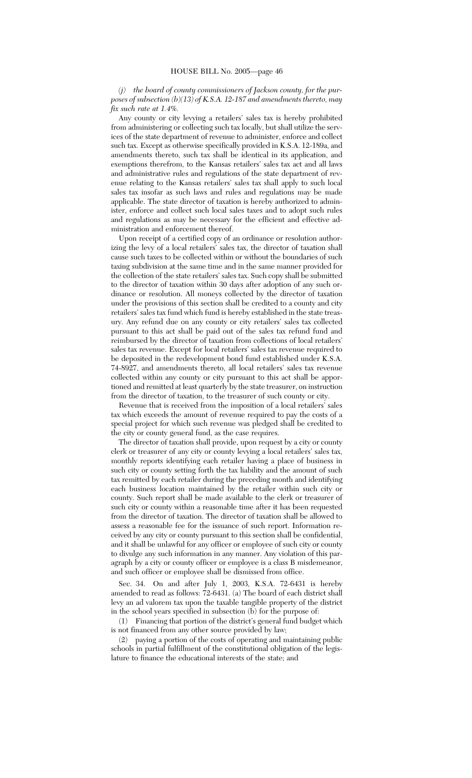*(j) the board of county commissioners of Jackson county, for the purposes of subsection (b)(13) of K.S.A. 12-187 and amendments thereto, may fix such rate at 1.4%.*

Any county or city levying a retailers' sales tax is hereby prohibited from administering or collecting such tax locally, but shall utilize the services of the state department of revenue to administer, enforce and collect such tax. Except as otherwise specifically provided in K.S.A. 12-189a, and amendments thereto, such tax shall be identical in its application, and exemptions therefrom, to the Kansas retailers' sales tax act and all laws and administrative rules and regulations of the state department of revenue relating to the Kansas retailers' sales tax shall apply to such local sales tax insofar as such laws and rules and regulations may be made applicable. The state director of taxation is hereby authorized to administer, enforce and collect such local sales taxes and to adopt such rules and regulations as may be necessary for the efficient and effective administration and enforcement thereof.

Upon receipt of a certified copy of an ordinance or resolution authorizing the levy of a local retailers' sales tax, the director of taxation shall cause such taxes to be collected within or without the boundaries of such taxing subdivision at the same time and in the same manner provided for the collection of the state retailers' sales tax. Such copy shall be submitted to the director of taxation within 30 days after adoption of any such ordinance or resolution. All moneys collected by the director of taxation under the provisions of this section shall be credited to a county and city retailers' sales tax fund which fund is hereby established in the state treasury. Any refund due on any county or city retailers' sales tax collected pursuant to this act shall be paid out of the sales tax refund fund and reimbursed by the director of taxation from collections of local retailers' sales tax revenue. Except for local retailers' sales tax revenue required to be deposited in the redevelopment bond fund established under K.S.A. 74-8927, and amendments thereto, all local retailers' sales tax revenue collected within any county or city pursuant to this act shall be apportioned and remitted at least quarterly by the state treasurer, on instruction from the director of taxation, to the treasurer of such county or city.

Revenue that is received from the imposition of a local retailers' sales tax which exceeds the amount of revenue required to pay the costs of a special project for which such revenue was pledged shall be credited to the city or county general fund, as the case requires.

The director of taxation shall provide, upon request by a city or county clerk or treasurer of any city or county levying a local retailers' sales tax, monthly reports identifying each retailer having a place of business in such city or county setting forth the tax liability and the amount of such tax remitted by each retailer during the preceding month and identifying each business location maintained by the retailer within such city or county. Such report shall be made available to the clerk or treasurer of such city or county within a reasonable time after it has been requested from the director of taxation. The director of taxation shall be allowed to assess a reasonable fee for the issuance of such report. Information received by any city or county pursuant to this section shall be confidential, and it shall be unlawful for any officer or employee of such city or county to divulge any such information in any manner. Any violation of this paragraph by a city or county officer or employee is a class B misdemeanor, and such officer or employee shall be dismissed from office.

Sec. 34. On and after July 1, 2003, K.S.A. 72-6431 is hereby amended to read as follows: 72-6431. (a) The board of each district shall levy an ad valorem tax upon the taxable tangible property of the district in the school years specified in subsection (b) for the purpose of:

(1) Financing that portion of the district's general fund budget which is not financed from any other source provided by law;

(2) paying a portion of the costs of operating and maintaining public schools in partial fulfillment of the constitutional obligation of the legislature to finance the educational interests of the state; and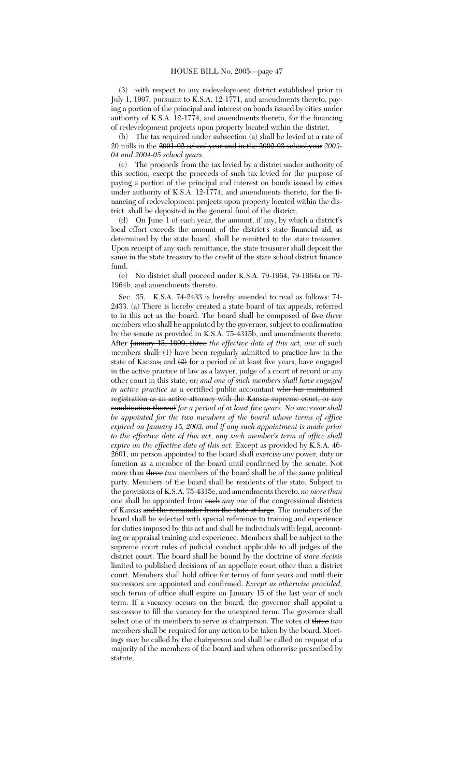(3) with respect to any redevelopment district established prior to July 1, 1997, pursuant to K.S.A. 12-1771, and amendments thereto, paying a portion of the principal and interest on bonds issued by cities under authority of K.S.A. 12-1774, and amendments thereto, for the financing of redevelopment projects upon property located within the district.

(b) The tax required under subsection (a) shall be levied at a rate of 20 mills in the 2001-02 school year and in the 2002-03 school year *2003- 04 and 2004-05 school years*.

(c) The proceeds from the tax levied by a district under authority of this section, except the proceeds of such tax levied for the purpose of paying a portion of the principal and interest on bonds issued by cities under authority of K.S.A. 12-1774, and amendments thereto, for the financing of redevelopment projects upon property located within the district, shall be deposited in the general fund of the district.

(d) On June 1 of each year, the amount, if any, by which a district's local effort exceeds the amount of the district's state financial aid, as determined by the state board, shall be remitted to the state treasurer. Upon receipt of any such remittance, the state treasurer shall deposit the same in the state treasury to the credit of the state school district finance fund.

(e) No district shall proceed under K.S.A. 79-1964, 79-1964a or 79- 1964b, and amendments thereto.

Sec. 35. K.S.A. 74-2433 is hereby amended to read as follows: 74- 2433. (a) There is hereby created a state board of tax appeals, referred to in this act as the board. The board shall be composed of five *three* members who shall be appointed by the governor, subject to confirmation by the senate as provided in K.S.A. 75-4315b, and amendments thereto. After January 15, 1999, three *the effective date of this act, one* of such members shall.  $(1)$  have been regularly admitted to practice law in the state of Kansas; and  $(2)$  for a period of at least five years, have engaged in the active practice of law as a lawyer, judge of a court of record or any other court in this state, or*; and one of such members shall have engaged in active practice* as a certified public accountant who has maintained registration as an active attorney with the Kansas supreme court, or any combination thereof *for a period of at least five years*. *No successor shall be appointed for the two members of the board whose terms of office expired on January 15, 2003, and if any such appointment is made prior to the effective date of this act, any such member's term of office shall expire on the effective date of this act.* Except as provided by K.S.A. 46- 2601, no person appointed to the board shall exercise any power, duty or function as a member of the board until confirmed by the senate. Not more than three *two* members of the board shall be of the same political party. Members of the board shall be residents of the state. Subject to the provisions of K.S.A. 75-4315c, and amendments thereto, *no more than* one shall be appointed from each *any one* of the congressional districts of Kansas and the remainder from the state at large. The members of the board shall be selected with special reference to training and experience for duties imposed by this act and shall be individuals with legal, accounting or appraisal training and experience. Members shall be subject to the supreme court rules of judicial conduct applicable to all judges of the district court. The board shall be bound by the doctrine of *stare decisis* limited to published decisions of an appellate court other than a district court. Members shall hold office for terms of four years and until their successors are appointed and confirmed. *Except as otherwise provided,* such terms of office shall expire on January 15 of the last year of such term. If a vacancy occurs on the board, the governor shall appoint a successor to fill the vacancy for the unexpired term. The governor shall select one of its members to serve as chairperson. The votes of three *two* members shall be required for any action to be taken by the board. Meetings may be called by the chairperson and shall be called on request of a majority of the members of the board and when otherwise prescribed by statute.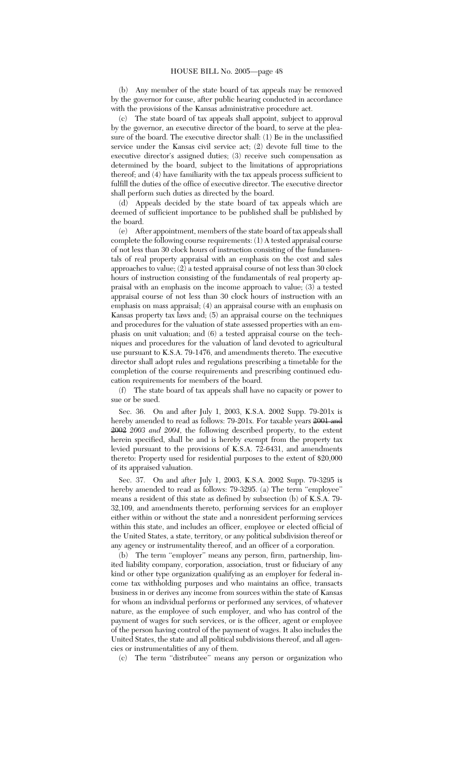(b) Any member of the state board of tax appeals may be removed by the governor for cause, after public hearing conducted in accordance with the provisions of the Kansas administrative procedure act.

(c) The state board of tax appeals shall appoint, subject to approval by the governor, an executive director of the board, to serve at the pleasure of the board. The executive director shall: (1) Be in the unclassified service under the Kansas civil service act; (2) devote full time to the executive director's assigned duties; (3) receive such compensation as determined by the board, subject to the limitations of appropriations thereof; and (4) have familiarity with the tax appeals process sufficient to fulfill the duties of the office of executive director. The executive director shall perform such duties as directed by the board.

(d) Appeals decided by the state board of tax appeals which are deemed of sufficient importance to be published shall be published by the board.

(e) After appointment, members of the state board of tax appeals shall complete the following course requirements: (1) A tested appraisal course of not less than 30 clock hours of instruction consisting of the fundamentals of real property appraisal with an emphasis on the cost and sales approaches to value; (2) a tested appraisal course of not less than 30 clock hours of instruction consisting of the fundamentals of real property appraisal with an emphasis on the income approach to value; (3) a tested appraisal course of not less than 30 clock hours of instruction with an emphasis on mass appraisal; (4) an appraisal course with an emphasis on Kansas property tax laws and; (5) an appraisal course on the techniques and procedures for the valuation of state assessed properties with an emphasis on unit valuation; and (6) a tested appraisal course on the techniques and procedures for the valuation of land devoted to agricultural use pursuant to K.S.A. 79-1476, and amendments thereto. The executive director shall adopt rules and regulations prescribing a timetable for the completion of the course requirements and prescribing continued education requirements for members of the board.

(f) The state board of tax appeals shall have no capacity or power to sue or be sued.

Sec. 36. On and after July 1, 2003, K.S.A. 2002 Supp. 79-201x is hereby amended to read as follows: 79-201x. For taxable years 2001 and 2002 *2003 and 2004*, the following described property, to the extent herein specified, shall be and is hereby exempt from the property tax levied pursuant to the provisions of K.S.A. 72-6431, and amendments thereto: Property used for residential purposes to the extent of \$20,000 of its appraised valuation.

Sec. 37. On and after July 1, 2003, K.S.A. 2002 Supp. 79-3295 is hereby amended to read as follows: 79-3295. (a) The term "employee" means a resident of this state as defined by subsection (b) of K.S.A. 79- 32,109, and amendments thereto, performing services for an employer either within or without the state and a nonresident performing services within this state, and includes an officer, employee or elected official of the United States, a state, territory, or any political subdivision thereof or any agency or instrumentality thereof, and an officer of a corporation.

(b) The term "employer" means any person, firm, partnership, limited liability company, corporation, association, trust or fiduciary of any kind or other type organization qualifying as an employer for federal income tax withholding purposes and who maintains an office, transacts business in or derives any income from sources within the state of Kansas for whom an individual performs or performed any services, of whatever nature, as the employee of such employer, and who has control of the payment of wages for such services, or is the officer, agent or employee of the person having control of the payment of wages. It also includes the United States, the state and all political subdivisions thereof, and all agencies or instrumentalities of any of them.

(c) The term ''distributee'' means any person or organization who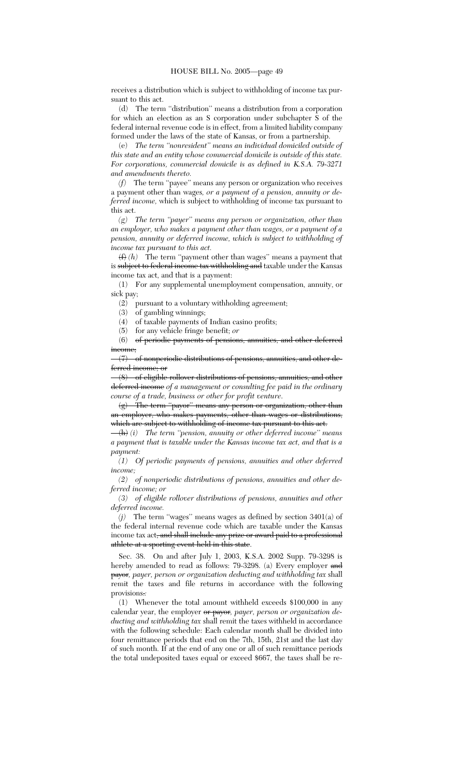receives a distribution which is subject to withholding of income tax pursuant to this act.

(d) The term ''distribution'' means a distribution from a corporation for which an election as an S corporation under subchapter S of the federal internal revenue code is in effect, from a limited liability company formed under the laws of the state of Kansas, or from a partnership.

(e) *The term ''nonresident'' means an individual domiciled outside of this state and an entity whose commercial domicile is outside of this state. For corporations, commercial domicile is as defined in K.S.A. 79-3271 and amendments thereto.*

*(f)* The term ''payee'' means any person or organization who receives a payment other than wages*, or a payment of a pension, annuity or deferred income,* which is subject to withholding of income tax pursuant to this act.

*(g) The term ''payer'' means any person or organization, other than an employer, who makes a payment other than wages, or a payment of a pension, annuity or deferred income, which is subject to withholding of income tax pursuant to this act.*

(f) *(h)* The term ''payment other than wages'' means a payment that is subject to federal income tax withholding and taxable under the Kansas income tax act, and that is a payment:

(1) For any supplemental unemployment compensation, annuity, or sick pay;

(2) pursuant to a voluntary withholding agreement;

(3) of gambling winnings;

(4) of taxable payments of Indian casino profits;

(5) for any vehicle fringe benefit; *or*

(6) of periodic payments of pensions, annuities, and other deferred income;

(7) of nonperiodic distributions of pensions, annuities, and other deferred income; or

(8) of eligible rollover distributions of pensions, annuities, and other deferred income *of a management or consulting fee paid in the ordinary course of a trade, business or other for profit venture*.

(g) The term ''payor'' means any person or organization, other than an employer, who makes payments, other than wages or distributions, which are subject to withholding of income tax pursuant to this act.

(h) *(i) The term ''pension, annuity or other deferred income'' means a payment that is taxable under the Kansas income tax act, and that is a payment:*

*(1) Of periodic payments of pensions, annuities and other deferred income;*

*(2) of nonperiodic distributions of pensions, annuities and other deferred income; or*

*(3) of eligible rollover distributions of pensions, annuities and other deferred income.*

*(j)* The term ''wages'' means wages as defined by section 3401(a) of the federal internal revenue code which are taxable under the Kansas income tax act<del>, and shall include any prize or award paid to a professional</del> athlete at a sporting event held in this state.

Sec. 38. On and after July 1, 2003, K.S.A. 2002 Supp. 79-3298 is hereby amended to read as follows: 79-3298. (a) Every employer and payor*, payer, person or organization deducting and withholding tax* shall remit the taxes and file returns in accordance with the following provisions.*:*

(1) Whenever the total amount withheld exceeds \$100,000 in any calendar year, the employer or payor*, payer, person or organization deducting and withholding tax* shall remit the taxes withheld in accordance with the following schedule: Each calendar month shall be divided into four remittance periods that end on the 7th, 15th, 21st and the last day of such month. If at the end of any one or all of such remittance periods the total undeposited taxes equal or exceed \$667, the taxes shall be re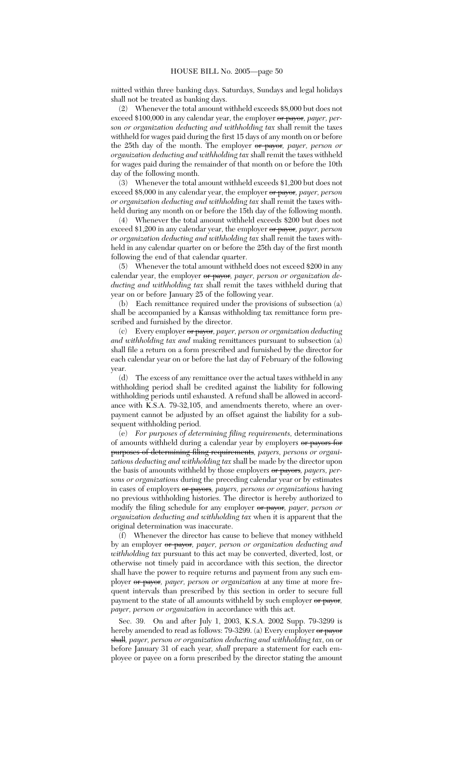mitted within three banking days. Saturdays, Sundays and legal holidays shall not be treated as banking days.

(2) Whenever the total amount withheld exceeds \$8,000 but does not exceed \$100,000 in any calendar year, the employer or payor*, payer, person or organization deducting and withholding tax* shall remit the taxes withheld for wages paid during the first 15 days of any month on or before the 25th day of the month. The employer or payor*, payer, person or organization deducting and withholding tax* shall remit the taxes withheld for wages paid during the remainder of that month on or before the 10th day of the following month.

(3) Whenever the total amount withheld exceeds \$1,200 but does not exceed \$8,000 in any calendar year, the employer or payor*, payer, person or organization deducting and withholding tax* shall remit the taxes withheld during any month on or before the 15th day of the following month.

(4) Whenever the total amount withheld exceeds \$200 but does not exceed \$1,200 in any calendar year, the employer or payor*, payer, person or organization deducting and withholding tax* shall remit the taxes withheld in any calendar quarter on or before the 25th day of the first month following the end of that calendar quarter.

(5) Whenever the total amount withheld does not exceed \$200 in any calendar year, the employer or payor*, payer, person or organization deducting and withholding tax* shall remit the taxes withheld during that year on or before January 25 of the following year.

(b) Each remittance required under the provisions of subsection (a) shall be accompanied by a Kansas withholding tax remittance form prescribed and furnished by the director.

(c) Every employer or payor*, payer, person or organization deducting and withholding tax and* making remittances pursuant to subsection (a) shall file a return on a form prescribed and furnished by the director for each calendar year on or before the last day of February of the following year.

(d) The excess of any remittance over the actual taxes withheld in any withholding period shall be credited against the liability for following withholding periods until exhausted. A refund shall be allowed in accordance with K.S.A. 79-32,105, and amendments thereto, where an overpayment cannot be adjusted by an offset against the liability for a subsequent withholding period.

(e) *For purposes of determining filing requirements,* determinations of amounts withheld during a calendar year by employers or payors for purposes of determining filing requirements*, payers, persons or organizations deducting and withholding tax* shall be made by the director upon the basis of amounts withheld by those employers or payors, payers, per*sons or organizations* during the preceding calendar year or by estimates in cases of employers or payors*, payers, persons or organizations* having no previous withholding histories. The director is hereby authorized to modify the filing schedule for any employer or payor*, payer, person or organization deducting and withholding tax* when it is apparent that the original determination was inaccurate.

(f) Whenever the director has cause to believe that money withheld by an employer or payor*, payer, person or organization deducting and withholding tax* pursuant to this act may be converted, diverted, lost, or otherwise not timely paid in accordance with this section, the director shall have the power to require returns and payment from any such employer or payor*, payer, person or organization* at any time at more frequent intervals than prescribed by this section in order to secure full payment to the state of all amounts withheld by such employer or payor*, payer, person or organization* in accordance with this act.

Sec. 39. On and after July 1, 2003, K.S.A. 2002 Supp. 79-3299 is hereby amended to read as follows: 79-3299. (a) Every employer or payor shall*, payer, person or organization deducting and withholding tax*, on or before January 31 of each year*, shall* prepare a statement for each employee or payee on a form prescribed by the director stating the amount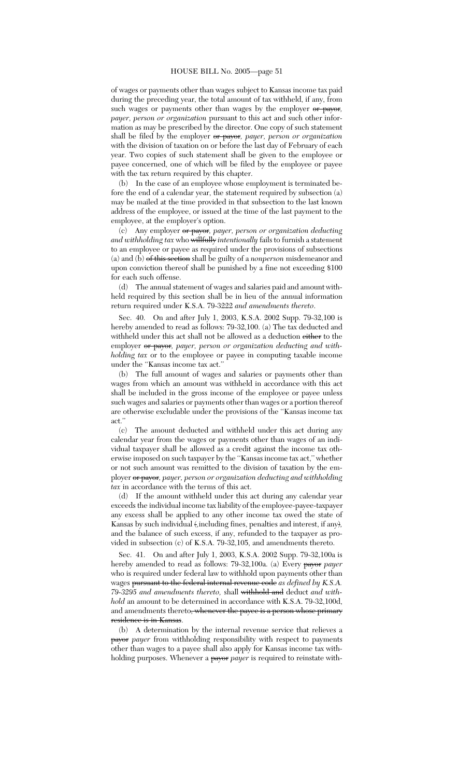of wages or payments other than wages subject to Kansas income tax paid during the preceding year, the total amount of tax withheld, if any, from such wages or payments other than wages by the employer or payor*, payer, person or organization* pursuant to this act and such other information as may be prescribed by the director. One copy of such statement shall be filed by the employer or payor*, payer, person or organization* with the division of taxation on or before the last day of February of each year. Two copies of such statement shall be given to the employee or payee concerned, one of which will be filed by the employee or payee with the tax return required by this chapter.

(b) In the case of an employee whose employment is terminated before the end of a calendar year, the statement required by subsection (a) may be mailed at the time provided in that subsection to the last known address of the employee, or issued at the time of the last payment to the employee, at the employer's option.

(c) Any employer or payor*, payer, person or organization deducting and withholding tax* who willfully *intentionally* fails to furnish a statement to an employee or payee as required under the provisions of subsections (a) and (b) of this section shall be guilty of a *nonperson* misdemeanor and upon conviction thereof shall be punished by a fine not exceeding \$100 for each such offense.

(d) The annual statement of wages and salaries paid and amount withheld required by this section shall be in lieu of the annual information return required under K.S.A. 79-3222 *and amendments thereto*.

Sec. 40. On and after July 1, 2003, K.S.A. 2002 Supp. 79-32,100 is hereby amended to read as follows: 79-32,100. (a) The tax deducted and withheld under this act shall not be allowed as a deduction either to the employer or payor*, payer, person or organization deducting and withholding tax* or to the employee or payee in computing taxable income under the ''Kansas income tax act.''

(b) The full amount of wages and salaries or payments other than wages from which an amount was withheld in accordance with this act shall be included in the gross income of the employee or payee unless such wages and salaries or payments other than wages or a portion thereof are otherwise excludable under the provisions of the ''Kansas income tax act.''

(c) The amount deducted and withheld under this act during any calendar year from the wages or payments other than wages of an individual taxpayer shall be allowed as a credit against the income tax otherwise imposed on such taxpayer by the ''Kansas income tax act,'' whether or not such amount was remitted to the division of taxation by the employer or payor*, payer, person or organization deducting and withholding tax* in accordance with the terms of this act.

(d) If the amount withheld under this act during any calendar year exceeds the individual income tax liability of the employee-payee-taxpayer any excess shall be applied to any other income tax owed the state of Kansas by such individual (*,*including fines, penalties and interest, if any)*,* and the balance of such excess, if any, refunded to the taxpayer as provided in subsection (c) of K.S.A. 79-32,105, and amendments thereto.

Sec. 41. On and after July 1, 2003, K.S.A. 2002 Supp. 79-32,100a is hereby amended to read as follows: 79-32,100a. (a) Every payor *payer* who is required under federal law to withhold upon payments other than wages pursuant to the federal internal revenue code *as defined by K.S.A. 79-3295 and amendments thereto,* shall withhold and deduct *and withhold* an amount to be determined in accordance with K.S.A. 79-32,100d, and amendments thereto<del>, whenever the payee is a person whose primary</del> residence is in Kansas.

(b) A determination by the internal revenue service that relieves a payor *payer* from withholding responsibility with respect to payments other than wages to a payee shall also apply for Kansas income tax withholding purposes. Whenever a **payor** *payer* is required to reinstate with-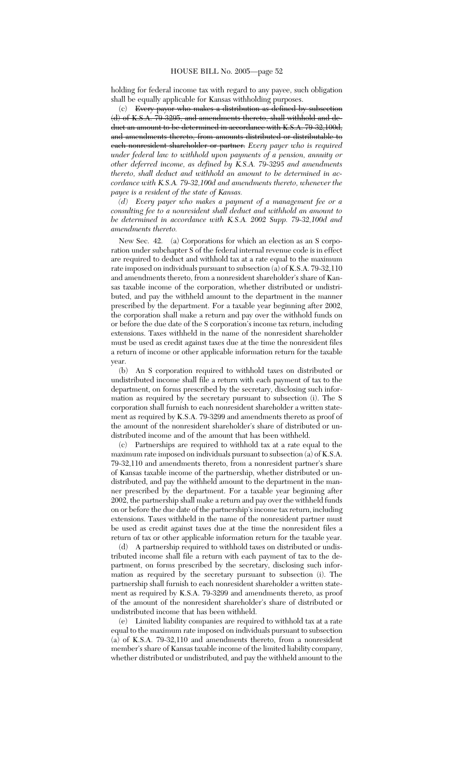holding for federal income tax with regard to any payee, such obligation shall be equally applicable for Kansas withholding purposes.

(c) Every payor who makes a distribution as defined by subsection (d) of K.S.A. 79-3295, and amendments thereto, shall withhold and deduct an amount to be determined in accordance with K.S.A. 79-32,100d, and amendments thereto, from amounts distributed or distributable to each nonresident shareholder or partner. *Every payer who is required under federal law to withhold upon payments of a pension, annuity or other deferred income, as defined by K.S.A. 79-3295 and amendments thereto, shall deduct and withhold an amount to be determined in accordance with K.S.A. 79-32,100d and amendments thereto, whenever the payee is a resident of the state of Kansas.*

*(d) Every payer who makes a payment of a management fee or a consulting fee to a nonresident shall deduct and withhold an amount to be determined in accordance with K.S.A. 2002 Supp. 79-32,100d and amendments thereto.*

New Sec. 42. (a) Corporations for which an election as an S corporation under subchapter S of the federal internal revenue code is in effect are required to deduct and withhold tax at a rate equal to the maximum rate imposed on individuals pursuant to subsection (a) of K.S.A. 79-32,110 and amendments thereto, from a nonresident shareholder's share of Kansas taxable income of the corporation, whether distributed or undistributed, and pay the withheld amount to the department in the manner prescribed by the department. For a taxable year beginning after 2002, the corporation shall make a return and pay over the withhold funds on or before the due date of the S corporation's income tax return, including extensions. Taxes withheld in the name of the nonresident shareholder must be used as credit against taxes due at the time the nonresident files a return of income or other applicable information return for the taxable year.

(b) An S corporation required to withhold taxes on distributed or undistributed income shall file a return with each payment of tax to the department, on forms prescribed by the secretary, disclosing such information as required by the secretary pursuant to subsection (i). The S corporation shall furnish to each nonresident shareholder a written statement as required by K.S.A. 79-3299 and amendments thereto as proof of the amount of the nonresident shareholder's share of distributed or undistributed income and of the amount that has been withheld.

(c) Partnerships are required to withhold tax at a rate equal to the maximum rate imposed on individuals pursuant to subsection (a) of K.S.A. 79-32,110 and amendments thereto, from a nonresident partner's share of Kansas taxable income of the partnership, whether distributed or undistributed, and pay the withheld amount to the department in the manner prescribed by the department. For a taxable year beginning after 2002, the partnership shall make a return and pay over the withheld funds on or before the due date of the partnership's income tax return, including extensions. Taxes withheld in the name of the nonresident partner must be used as credit against taxes due at the time the nonresident files a return of tax or other applicable information return for the taxable year.

(d) A partnership required to withhold taxes on distributed or undistributed income shall file a return with each payment of tax to the department, on forms prescribed by the secretary, disclosing such information as required by the secretary pursuant to subsection (i). The partnership shall furnish to each nonresident shareholder a written statement as required by K.S.A. 79-3299 and amendments thereto, as proof of the amount of the nonresident shareholder's share of distributed or undistributed income that has been withheld.

(e) Limited liability companies are required to withhold tax at a rate equal to the maximum rate imposed on individuals pursuant to subsection (a) of K.S.A. 79-32,110 and amendments thereto, from a nonresident member's share of Kansas taxable income of the limited liability company, whether distributed or undistributed, and pay the withheld amount to the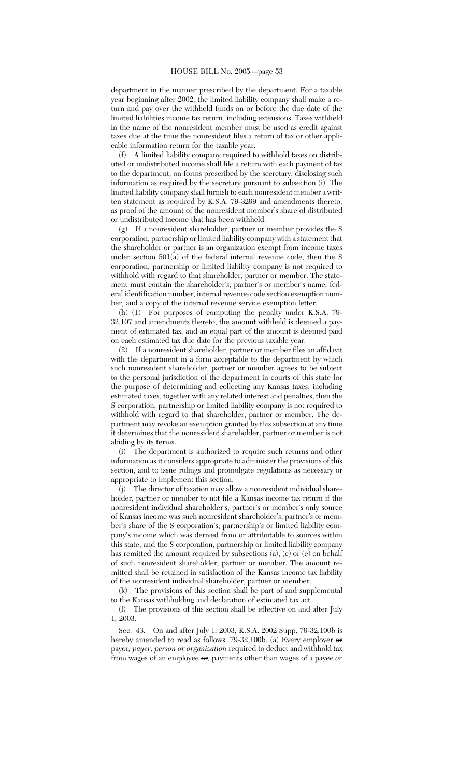department in the manner prescribed by the department. For a taxable year beginning after 2002, the limited liability company shall make a return and pay over the withheld funds on or before the due date of the limited liabilities income tax return, including extensions. Taxes withheld in the name of the nonresident member must be used as credit against taxes due at the time the nonresident files a return of tax or other applicable information return for the taxable year.

(f) A limited liability company required to withhold taxes on distributed or undistributed income shall file a return with each payment of tax to the department, on forms prescribed by the secretary, disclosing such information as required by the secretary pursuant to subsection (i). The limited liability company shall furnish to each nonresident member a written statement as required by K.S.A. 79-3299 and amendments thereto, as proof of the amount of the nonresident member's share of distributed or undistributed income that has been withheld.

(g) If a nonresident shareholder, partner or member provides the S corporation, partnership or limited liability company with a statement that the shareholder or partner is an organization exempt from income taxes under section  $501(a)$  of the federal internal revenue code, then the S corporation, partnership or limited liability company is not required to withhold with regard to that shareholder, partner or member. The statement must contain the shareholder's, partner's or member's name, federal identification number, internal revenue code section exemption number, and a copy of the internal revenue service exemption letter.

(h) (1) For purposes of computing the penalty under K.S.A. 79- 32,107 and amendments thereto, the amount withheld is deemed a payment of estimated tax, and an equal part of the amount is deemed paid on each estimated tax due date for the previous taxable year.

(2) If a nonresident shareholder, partner or member files an affidavit with the department in a form acceptable to the department by which such nonresident shareholder, partner or member agrees to be subject to the personal jurisdiction of the department in courts of this state for the purpose of determining and collecting any Kansas taxes, including estimated taxes, together with any related interest and penalties, then the S corporation, partnership or limited liability company is not required to withhold with regard to that shareholder, partner or member. The department may revoke an exemption granted by this subsection at any time it determines that the nonresident shareholder, partner or member is not abiding by its terms.

(i) The department is authorized to require such returns and other information as it considers appropriate to administer the provisions of this section, and to issue rulings and promulgate regulations as necessary or appropriate to implement this section.

(j) The director of taxation may allow a nonresident individual shareholder, partner or member to not file a Kansas income tax return if the nonresident individual shareholder's, partner's or member's only source of Kansas income was such nonresident shareholder's, partner's or member's share of the S corporation's, partnership's or limited liability company's income which was derived from or attributable to sources within this state, and the S corporation, partnership or limited liability company has remitted the amount required by subsections (a), (c) or (e) on behalf of such nonresident shareholder, partner or member. The amount remitted shall be retained in satisfaction of the Kansas income tax liability of the nonresident individual shareholder, partner or member.

(k) The provisions of this section shall be part of and supplemental to the Kansas withholding and declaration of estimated tax act.

(l) The provisions of this section shall be effective on and after July 1, 2003.

Sec. 43. On and after July 1, 2003, K.S.A. 2002 Supp. 79-32,100b is hereby amended to read as follows: 79-32,100b. (a) Every employer  $\sigma$ payor*, payer, person or organization* required to deduct and withhold tax from wages of an employee or*,* payments other than wages of a payee *or*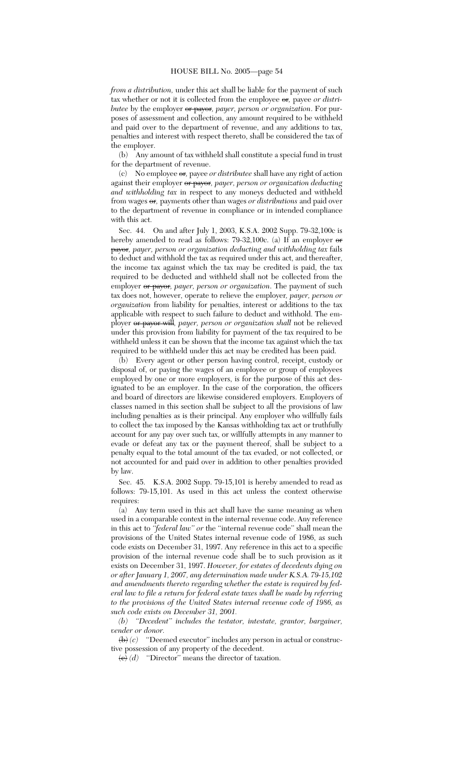*from a distribution,* under this act shall be liable for the payment of such tax whether or not it is collected from the employee or*,* payee *or distributee* by the employer or payor, payer, person or organization. For purposes of assessment and collection, any amount required to be withheld and paid over to the department of revenue, and any additions to tax, penalties and interest with respect thereto, shall be considered the tax of the employer.

(b) Any amount of tax withheld shall constitute a special fund in trust for the department of revenue.

(c) No employee or*,* payee *or distributee* shall have any right of action against their employer or payor*, payer, person or organization deducting and withholding tax* in respect to any moneys deducted and withheld from wages or*,* payments other than wages *or distributions* and paid over to the department of revenue in compliance or in intended compliance with this act.

Sec. 44. On and after July 1, 2003, K.S.A. 2002 Supp. 79-32,100c is hereby amended to read as follows: 79-32,100c. (a) If an employer  $\Theta$ payor*, payer, person or organization deducting and withholding tax* fails to deduct and withhold the tax as required under this act, and thereafter, the income tax against which the tax may be credited is paid, the tax required to be deducted and withheld shall not be collected from the employer or payor*, payer, person or organization*. The payment of such tax does not, however, operate to relieve the employer*, payer, person or organization* from liability for penalties, interest or additions to the tax applicable with respect to such failure to deduct and withhold. The employer or payor will*, payer, person or organization shall* not be relieved under this provision from liability for payment of the tax required to be withheld unless it can be shown that the income tax against which the tax required to be withheld under this act may be credited has been paid.

(b) Every agent or other person having control, receipt, custody or disposal of, or paying the wages of an employee or group of employees employed by one or more employers, is for the purpose of this act designated to be an employer. In the case of the corporation, the officers and board of directors are likewise considered employers. Employers of classes named in this section shall be subject to all the provisions of law including penalties as is their principal. Any employer who willfully fails to collect the tax imposed by the Kansas withholding tax act or truthfully account for any pay over such tax, or willfully attempts in any manner to evade or defeat any tax or the payment thereof, shall be subject to a penalty equal to the total amount of the tax evaded, or not collected, or not accounted for and paid over in addition to other penalties provided by law.

Sec. 45. K.S.A. 2002 Supp. 79-15,101 is hereby amended to read as follows: 79-15,101. As used in this act unless the context otherwise requires:

 $\bar{a}$ ) Any term used in this act shall have the same meaning as when used in a comparable context in the internal revenue code. Any reference in this act to *''federal law'' or* the ''internal revenue code'' shall mean the provisions of the United States internal revenue code of 1986, as such code exists on December 31, 1997. Any reference in this act to a specific provision of the internal revenue code shall be to such provision as it exists on December 31, 1997. *However, for estates of decedents dying on or after January 1, 2007, any determination made under K.S.A. 79-15,102 and amendments thereto regarding whether the estate is required by federal law to file a return for federal estate taxes shall be made by referring to the provisions of the United States internal revenue code of 1986, as such code exists on December 31, 2001.*

*(b) ''Decedent'' includes the testator, intestate, grantor, bargainer, vender or donor.*

(b) *(c)* ''Deemed executor'' includes any person in actual or constructive possession of any property of the decedent.

 $\overrightarrow{(e)}$  *(d)* "Director" means the director of taxation.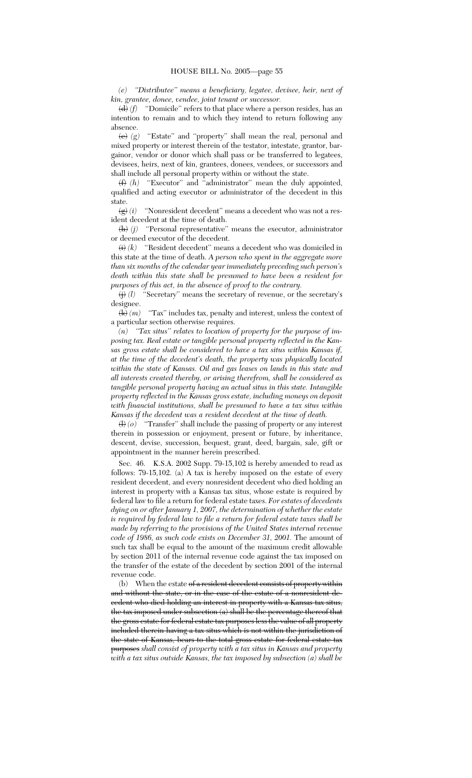*(e) ''Distributee'' means a beneficiary, legatee, devisee, heir, next of kin, grantee, donee, vendee, joint tenant or successor.*

 $\left(\frac{d}{d}\right)$  *(f)* "Domicile" refers to that place where a person resides, has an intention to remain and to which they intend to return following any absence.

(e) *(g)* ''Estate'' and ''property'' shall mean the real, personal and mixed property or interest therein of the testator, intestate, grantor, bargainor, vendor or donor which shall pass or be transferred to legatees, devisees, heirs, next of kin, grantees, donees, vendees, or successors and shall include all personal property within or without the state.

(f) *(h)* ''Executor'' and ''administrator'' mean the duly appointed, qualified and acting executor or administrator of the decedent in this state.

 $\left(\frac{g}{g}\right)(i)$  "Nonresident decedent" means a decedent who was not a resident decedent at the time of death.

 $\langle h \rangle$  *(j)* "Personal representative" means the executor, administrator or deemed executor of the decedent.

 $\overleftrightarrow{(i)}$  *(k)* "Resident decedent" means a decedent who was domiciled in this state at the time of death. *A person who spent in the aggregate more than six months of the calendar year immediately preceding such person's death within this state shall be presumed to have been a resident for purposes of this act, in the absence of proof to the contrary.*

(j) *(l)* ''Secretary'' means the secretary of revenue, or the secretary's designee.

 $\langle k \rangle$  *(m)* "Tax" includes tax, penalty and interest, unless the context of a particular section otherwise requires.

*(n) ''Tax situs'' relates to location of property for the purpose of imposing tax. Real estate or tangible personal property reflected in the Kansas gross estate shall be considered to have a tax situs within Kansas if, at the time of the decedent's death, the property was physically located within the state of Kansas. Oil and gas leases on lands in this state and all interests created thereby, or arising therefrom, shall be considered as tangible personal property having an actual situs in this state. Intangible property reflected in the Kansas gross estate, including moneys on deposit with financial institutions, shall be presumed to have a tax situs within Kansas if the decedent was a resident decedent at the time of death.*

(l) *(o)* ''Transfer'' shall include the passing of property or any interest therein in possession or enjoyment, present or future, by inheritance, descent, devise, succession, bequest, grant, deed, bargain, sale, gift or appointment in the manner herein prescribed.

Sec. 46. K.S.A. 2002 Supp. 79-15,102 is hereby amended to read as follows: 79-15,102. (a) A tax is hereby imposed on the estate of every resident decedent, and every nonresident decedent who died holding an interest in property with a Kansas tax situs, whose estate is required by federal law to file a return for federal estate taxes. *For estates of decedents dying on or after January 1, 2007, the determination of whether the estate is required by federal law to file a return for federal estate taxes shall be made by referring to the provisions of the United States internal revenue code of 1986, as such code exists on December 31, 2001.* The amount of such tax shall be equal to the amount of the maximum credit allowable by section 2011 of the internal revenue code against the tax imposed on the transfer of the estate of the decedent by section 2001 of the internal revenue code.

(b) When the estate of a resident decedent consists of property within and without the state, or in the case of the estate of a nonresident decedent who died holding an interest in property with a Kansas tax situs, the tax imposed under subsection (a) shall be the percentage thereof that the gross estate for federal estate tax purposes less the value of all property included therein having a tax situs which is not within the jurisdiction of the state of Kansas, bears to the total gross estate for federal estate tax purposes *shall consist of property with a tax situs in Kansas and property with a tax situs outside Kansas, the tax imposed by subsection (a) shall be*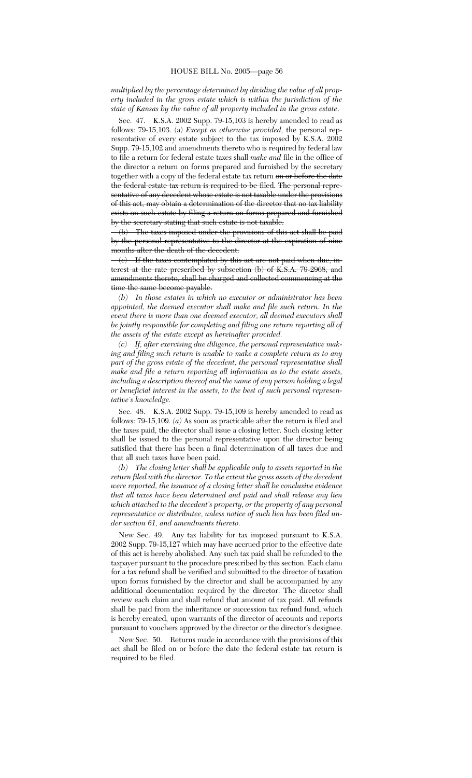*multiplied by the percentage determined by dividing the value of all property included in the gross estate which is within the jurisdiction of the state of Kansas by the value of all property included in the gross estate*.

Sec. 47. K.S.A. 2002 Supp. 79-15,103 is hereby amended to read as follows: 79-15,103. (a) *Except as otherwise provided,* the personal representative of every estate subject to the tax imposed by K.S.A. 2002 Supp. 79-15,102 and amendments thereto who is required by federal law to file a return for federal estate taxes shall *make and* file in the office of the director a return on forms prepared and furnished by the secretary together with a copy of the federal estate tax return on or before the date the federal estate tax return is required to be filed. The personal representative of any decedent whose estate is not taxable under the provisions of this act, may obtain a determination of the director that no tax liability exists on such estate by filing a return on forms prepared and furnished by the secretary stating that such estate is not taxable.

(b) The taxes imposed under the provisions of this act shall be paid by the personal representative to the director at the expiration of nine months after the death of the decedent.

(c) If the taxes contemplated by this act are not paid when due, interest at the rate prescribed by subsection (b) of K.S.A. 79-2968, and amendments thereto, shall be charged and collected commencing at the time the same become payable.

*(b) In those estates in which no executor or administrator has been appointed, the deemed executor shall make and file such return. In the event there is more than one deemed executor, all deemed executors shall be jointly responsible for completing and filing one return reporting all of the assets of the estate except as hereinafter provided.*

*(c) If, after exercising due diligence, the personal representative making and filing such return is unable to make a complete return as to any part of the gross estate of the decedent, the personal representative shall make and file a return reporting all information as to the estate assets, including a description thereof and the name of any person holding a legal or beneficial interest in the assets, to the best of such personal representative's knowledge.*

Sec. 48. K.S.A. 2002 Supp. 79-15,109 is hereby amended to read as follows: 79-15,109. *(a)* As soon as practicable after the return is filed and the taxes paid, the director shall issue a closing letter. Such closing letter shall be issued to the personal representative upon the director being satisfied that there has been a final determination of all taxes due and that all such taxes have been paid.

*(b) The closing letter shall be applicable only to assets reported in the return filed with the director. To the extent the gross assets of the decedent were reported, the issuance of a closing letter shall be conclusive evidence that all taxes have been determined and paid and shall release any lien which attached to the decedent's property, or the property of any personal representative or distributee, unless notice of such lien has been filed under section 61, and amendments thereto.*

New Sec. 49. Any tax liability for tax imposed pursuant to K.S.A. 2002 Supp. 79-15,127 which may have accrued prior to the effective date of this act is hereby abolished. Any such tax paid shall be refunded to the taxpayer pursuant to the procedure prescribed by this section. Each claim for a tax refund shall be verified and submitted to the director of taxation upon forms furnished by the director and shall be accompanied by any additional documentation required by the director. The director shall review each claim and shall refund that amount of tax paid. All refunds shall be paid from the inheritance or succession tax refund fund, which is hereby created, upon warrants of the director of accounts and reports pursuant to vouchers approved by the director or the director's designee.

New Sec. 50. Returns made in accordance with the provisions of this act shall be filed on or before the date the federal estate tax return is required to be filed.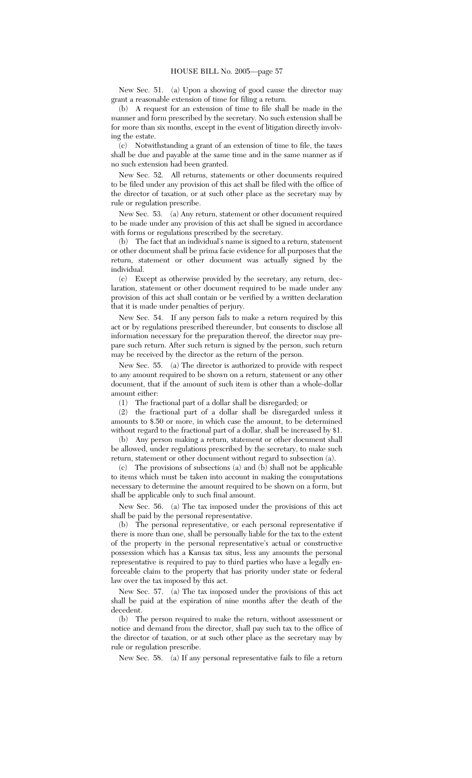New Sec. 51. (a) Upon a showing of good cause the director may grant a reasonable extension of time for filing a return.

(b) A request for an extension of time to file shall be made in the manner and form prescribed by the secretary. No such extension shall be for more than six months, except in the event of litigation directly involving the estate.

(c) Notwithstanding a grant of an extension of time to file, the taxes shall be due and payable at the same time and in the same manner as if no such extension had been granted.

New Sec. 52. All returns, statements or other documents required to be filed under any provision of this act shall be filed with the office of the director of taxation, or at such other place as the secretary may by rule or regulation prescribe.

New Sec. 53. (a) Any return, statement or other document required to be made under any provision of this act shall be signed in accordance with forms or regulations prescribed by the secretary.

(b) The fact that an individual's name is signed to a return, statement or other document shall be prima facie evidence for all purposes that the return, statement or other document was actually signed by the individual.

(c) Except as otherwise provided by the secretary, any return, declaration, statement or other document required to be made under any provision of this act shall contain or be verified by a written declaration that it is made under penalties of perjury.

New Sec. 54. If any person fails to make a return required by this act or by regulations prescribed thereunder, but consents to disclose all information necessary for the preparation thereof, the director may prepare such return. After such return is signed by the person, such return may be received by the director as the return of the person.

New Sec. 55. (a) The director is authorized to provide with respect to any amount required to be shown on a return, statement or any other document, that if the amount of such item is other than a whole-dollar amount either:

(1) The fractional part of a dollar shall be disregarded; or

(2) the fractional part of a dollar shall be disregarded unless it amounts to \$.50 or more, in which case the amount, to be determined without regard to the fractional part of a dollar, shall be increased by \$1.

(b) Any person making a return, statement or other document shall be allowed, under regulations prescribed by the secretary, to make such return, statement or other document without regard to subsection (a).

(c) The provisions of subsections (a) and (b) shall not be applicable to items which must be taken into account in making the computations necessary to determine the amount required to be shown on a form, but shall be applicable only to such final amount.

New Sec. 56. (a) The tax imposed under the provisions of this act shall be paid by the personal representative.

(b) The personal representative, or each personal representative if there is more than one, shall be personally liable for the tax to the extent of the property in the personal representative's actual or constructive possession which has a Kansas tax situs, less any amounts the personal representative is required to pay to third parties who have a legally enforceable claim to the property that has priority under state or federal law over the tax imposed by this act.

New Sec. 57. (a) The tax imposed under the provisions of this act shall be paid at the expiration of nine months after the death of the decedent.

(b) The person required to make the return, without assessment or notice and demand from the director, shall pay such tax to the office of the director of taxation, or at such other place as the secretary may by rule or regulation prescribe.

New Sec. 58. (a) If any personal representative fails to file a return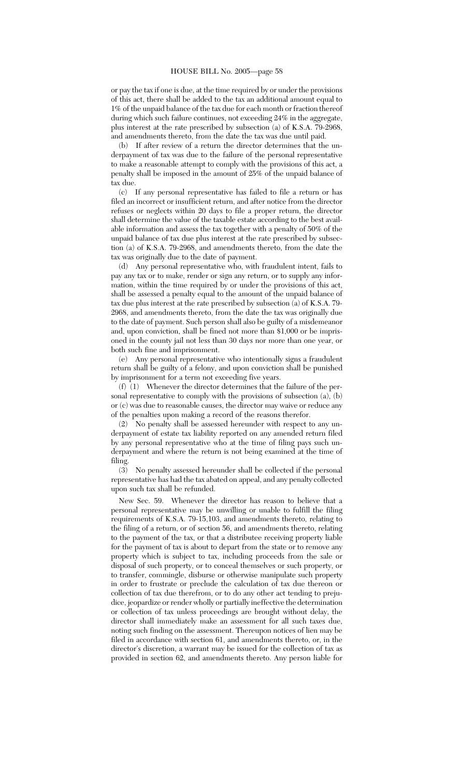or pay the tax if one is due, at the time required by or under the provisions of this act, there shall be added to the tax an additional amount equal to 1% of the unpaid balance of the tax due for each month or fraction thereof during which such failure continues, not exceeding 24% in the aggregate, plus interest at the rate prescribed by subsection (a) of K.S.A. 79-2968, and amendments thereto, from the date the tax was due until paid.

(b) If after review of a return the director determines that the underpayment of tax was due to the failure of the personal representative to make a reasonable attempt to comply with the provisions of this act, a penalty shall be imposed in the amount of 25% of the unpaid balance of tax due.

(c) If any personal representative has failed to file a return or has filed an incorrect or insufficient return, and after notice from the director refuses or neglects within 20 days to file a proper return, the director shall determine the value of the taxable estate according to the best available information and assess the tax together with a penalty of 50% of the unpaid balance of tax due plus interest at the rate prescribed by subsection (a) of K.S.A. 79-2968, and amendments thereto, from the date the tax was originally due to the date of payment.

(d) Any personal representative who, with fraudulent intent, fails to pay any tax or to make, render or sign any return, or to supply any information, within the time required by or under the provisions of this act, shall be assessed a penalty equal to the amount of the unpaid balance of tax due plus interest at the rate prescribed by subsection  $\overline{a}$  of K.S.A. 79-2968, and amendments thereto, from the date the tax was originally due to the date of payment. Such person shall also be guilty of a misdemeanor and, upon conviction, shall be fined not more than \$1,000 or be imprisoned in the county jail not less than 30 days nor more than one year, or both such fine and imprisonment.

(e) Any personal representative who intentionally signs a fraudulent return shall be guilty of a felony, and upon conviction shall be punished by imprisonment for a term not exceeding five years.

(f) (1) Whenever the director determines that the failure of the personal representative to comply with the provisions of subsection (a), (b) or (c) was due to reasonable causes, the director may waive or reduce any of the penalties upon making a record of the reasons therefor.

(2) No penalty shall be assessed hereunder with respect to any underpayment of estate tax liability reported on any amended return filed by any personal representative who at the time of filing pays such underpayment and where the return is not being examined at the time of filing.

(3) No penalty assessed hereunder shall be collected if the personal representative has had the tax abated on appeal, and any penalty collected upon such tax shall be refunded.

New Sec. 59. Whenever the director has reason to believe that a personal representative may be unwilling or unable to fulfill the filing requirements of K.S.A. 79-15,103, and amendments thereto, relating to the filing of a return, or of section 56, and amendments thereto, relating to the payment of the tax, or that a distributee receiving property liable for the payment of tax is about to depart from the state or to remove any property which is subject to tax, including proceeds from the sale or disposal of such property, or to conceal themselves or such property, or to transfer, commingle, disburse or otherwise manipulate such property in order to frustrate or preclude the calculation of tax due thereon or collection of tax due therefrom, or to do any other act tending to prejudice, jeopardize or render wholly or partially ineffective the determination or collection of tax unless proceedings are brought without delay, the director shall immediately make an assessment for all such taxes due, noting such finding on the assessment. Thereupon notices of lien may be filed in accordance with section 61, and amendments thereto, or, in the director's discretion, a warrant may be issued for the collection of tax as provided in section 62, and amendments thereto. Any person liable for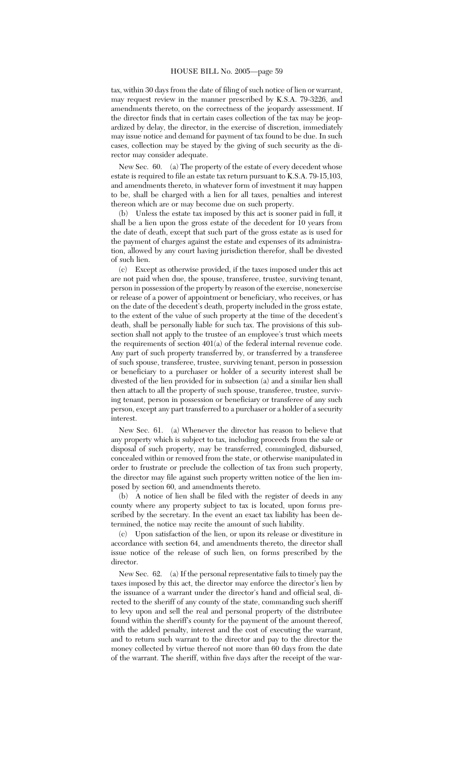tax, within 30 days from the date of filing of such notice of lien or warrant, may request review in the manner prescribed by K.S.A. 79-3226, and amendments thereto, on the correctness of the jeopardy assessment. If the director finds that in certain cases collection of the tax may be jeopardized by delay, the director, in the exercise of discretion, immediately may issue notice and demand for payment of tax found to be due. In such cases, collection may be stayed by the giving of such security as the director may consider adequate.

New Sec. 60. (a) The property of the estate of every decedent whose estate is required to file an estate tax return pursuant to K.S.A. 79-15,103, and amendments thereto, in whatever form of investment it may happen to be, shall be charged with a lien for all taxes, penalties and interest thereon which are or may become due on such property.

(b) Unless the estate tax imposed by this act is sooner paid in full, it shall be a lien upon the gross estate of the decedent for 10 years from the date of death, except that such part of the gross estate as is used for the payment of charges against the estate and expenses of its administration, allowed by any court having jurisdiction therefor, shall be divested of such lien.

(c) Except as otherwise provided, if the taxes imposed under this act are not paid when due, the spouse, transferee, trustee, surviving tenant, person in possession of the property by reason of the exercise, nonexercise or release of a power of appointment or beneficiary, who receives, or has on the date of the decedent's death, property included in the gross estate, to the extent of the value of such property at the time of the decedent's death, shall be personally liable for such tax. The provisions of this subsection shall not apply to the trustee of an employee's trust which meets the requirements of section 401(a) of the federal internal revenue code. Any part of such property transferred by, or transferred by a transferee of such spouse, transferee, trustee, surviving tenant, person in possession or beneficiary to a purchaser or holder of a security interest shall be divested of the lien provided for in subsection (a) and a similar lien shall then attach to all the property of such spouse, transferee, trustee, surviving tenant, person in possession or beneficiary or transferee of any such person, except any part transferred to a purchaser or a holder of a security interest.

New Sec. 61. (a) Whenever the director has reason to believe that any property which is subject to tax, including proceeds from the sale or disposal of such property, may be transferred, commingled, disbursed, concealed within or removed from the state, or otherwise manipulated in order to frustrate or preclude the collection of tax from such property, the director may file against such property written notice of the lien imposed by section 60, and amendments thereto.

(b) A notice of lien shall be filed with the register of deeds in any county where any property subject to tax is located, upon forms prescribed by the secretary. In the event an exact tax liability has been determined, the notice may recite the amount of such liability.

(c) Upon satisfaction of the lien, or upon its release or divestiture in accordance with section 64, and amendments thereto, the director shall issue notice of the release of such lien, on forms prescribed by the director.

New Sec. 62. (a) If the personal representative fails to timely pay the taxes imposed by this act, the director may enforce the director's lien by the issuance of a warrant under the director's hand and official seal, directed to the sheriff of any county of the state, commanding such sheriff to levy upon and sell the real and personal property of the distributee found within the sheriff's county for the payment of the amount thereof, with the added penalty, interest and the cost of executing the warrant, and to return such warrant to the director and pay to the director the money collected by virtue thereof not more than 60 days from the date of the warrant. The sheriff, within five days after the receipt of the war-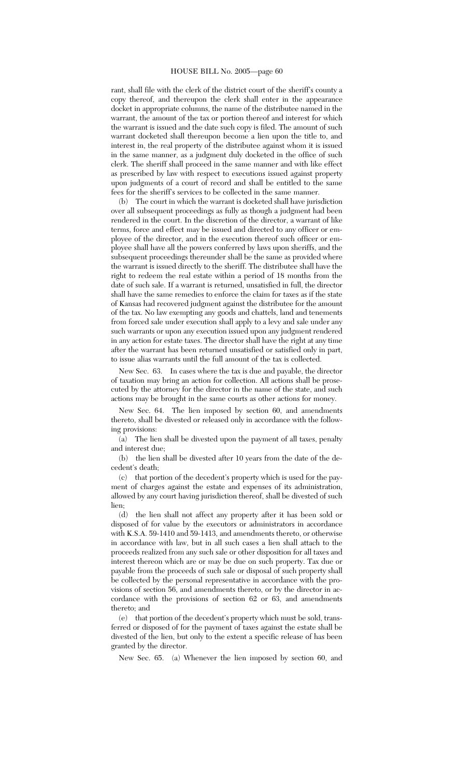rant, shall file with the clerk of the district court of the sheriff's county a copy thereof, and thereupon the clerk shall enter in the appearance docket in appropriate columns, the name of the distributee named in the warrant, the amount of the tax or portion thereof and interest for which the warrant is issued and the date such copy is filed. The amount of such warrant docketed shall thereupon become a lien upon the title to, and interest in, the real property of the distributee against whom it is issued in the same manner, as a judgment duly docketed in the office of such clerk. The sheriff shall proceed in the same manner and with like effect as prescribed by law with respect to executions issued against property upon judgments of a court of record and shall be entitled to the same fees for the sheriff's services to be collected in the same manner.

The court in which the warrant is docketed shall have jurisdiction over all subsequent proceedings as fully as though a judgment had been rendered in the court. In the discretion of the director, a warrant of like terms, force and effect may be issued and directed to any officer or employee of the director, and in the execution thereof such officer or employee shall have all the powers conferred by laws upon sheriffs, and the subsequent proceedings thereunder shall be the same as provided where the warrant is issued directly to the sheriff. The distributee shall have the right to redeem the real estate within a period of 18 months from the date of such sale. If a warrant is returned, unsatisfied in full, the director shall have the same remedies to enforce the claim for taxes as if the state of Kansas had recovered judgment against the distributee for the amount of the tax. No law exempting any goods and chattels, land and tenements from forced sale under execution shall apply to a levy and sale under any such warrants or upon any execution issued upon any judgment rendered in any action for estate taxes. The director shall have the right at any time after the warrant has been returned unsatisfied or satisfied only in part, to issue alias warrants until the full amount of the tax is collected.

New Sec. 63. In cases where the tax is due and payable, the director of taxation may bring an action for collection. All actions shall be prosecuted by the attorney for the director in the name of the state, and such actions may be brought in the same courts as other actions for money.

New Sec. 64. The lien imposed by section 60, and amendments thereto, shall be divested or released only in accordance with the following provisions:

(a) The lien shall be divested upon the payment of all taxes, penalty and interest due;

(b) the lien shall be divested after 10 years from the date of the decedent's death;

(c) that portion of the decedent's property which is used for the payment of charges against the estate and expenses of its administration, allowed by any court having jurisdiction thereof, shall be divested of such lien;

(d) the lien shall not affect any property after it has been sold or disposed of for value by the executors or administrators in accordance with K.S.A. 59-1410 and 59-1413, and amendments thereto, or otherwise in accordance with law, but in all such cases a lien shall attach to the proceeds realized from any such sale or other disposition for all taxes and interest thereon which are or may be due on such property. Tax due or payable from the proceeds of such sale or disposal of such property shall be collected by the personal representative in accordance with the provisions of section 56, and amendments thereto, or by the director in accordance with the provisions of section 62 or 63, and amendments thereto; and

(e) that portion of the decedent's property which must be sold, transferred or disposed of for the payment of taxes against the estate shall be divested of the lien, but only to the extent a specific release of has been granted by the director.

New Sec. 65. (a) Whenever the lien imposed by section 60, and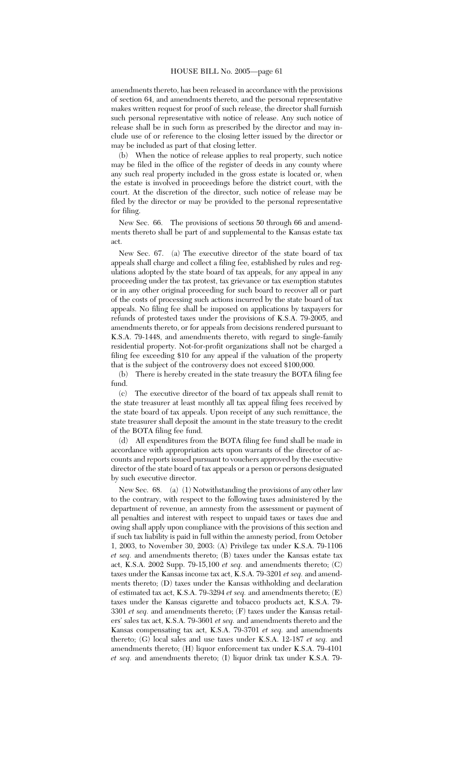amendments thereto, has been released in accordance with the provisions of section 64, and amendments thereto, and the personal representative makes written request for proof of such release, the director shall furnish such personal representative with notice of release. Any such notice of release shall be in such form as prescribed by the director and may include use of or reference to the closing letter issued by the director or may be included as part of that closing letter.

(b) When the notice of release applies to real property, such notice may be filed in the office of the register of deeds in any county where any such real property included in the gross estate is located or, when the estate is involved in proceedings before the district court, with the court. At the discretion of the director, such notice of release may be filed by the director or may be provided to the personal representative for filing.

New Sec. 66. The provisions of sections 50 through 66 and amendments thereto shall be part of and supplemental to the Kansas estate tax act.

New Sec. 67. (a) The executive director of the state board of tax appeals shall charge and collect a filing fee, established by rules and regulations adopted by the state board of tax appeals, for any appeal in any proceeding under the tax protest, tax grievance or tax exemption statutes or in any other original proceeding for such board to recover all or part of the costs of processing such actions incurred by the state board of tax appeals. No filing fee shall be imposed on applications by taxpayers for refunds of protested taxes under the provisions of K.S.A. 79-2005, and amendments thereto, or for appeals from decisions rendered pursuant to K.S.A. 79-1448, and amendments thereto, with regard to single-family residential property. Not-for-profit organizations shall not be charged a filing fee exceeding \$10 for any appeal if the valuation of the property that is the subject of the controversy does not exceed \$100,000.

(b) There is hereby created in the state treasury the BOTA filing fee fund.

(c) The executive director of the board of tax appeals shall remit to the state treasurer at least monthly all tax appeal filing fees received by the state board of tax appeals. Upon receipt of any such remittance, the state treasurer shall deposit the amount in the state treasury to the credit of the BOTA filing fee fund.

(d) All expenditures from the BOTA filing fee fund shall be made in accordance with appropriation acts upon warrants of the director of accounts and reports issued pursuant to vouchers approved by the executive director of the state board of tax appeals or a person or persons designated by such executive director.

New Sec. 68. (a) (1) Notwithstanding the provisions of any other law to the contrary, with respect to the following taxes administered by the department of revenue, an amnesty from the assessment or payment of all penalties and interest with respect to unpaid taxes or taxes due and owing shall apply upon compliance with the provisions of this section and if such tax liability is paid in full within the amnesty period, from October 1, 2003, to November 30, 2003: (A) Privilege tax under K.S.A. 79-1106 *et seq.* and amendments thereto; (B) taxes under the Kansas estate tax act, K.S.A. 2002 Supp. 79-15,100 *et seq.* and amendments thereto; (C) taxes under the Kansas income tax act, K.S.A. 79-3201 *et seq.* and amendments thereto; (D) taxes under the Kansas withholding and declaration of estimated tax act, K.S.A. 79-3294 *et seq.* and amendments thereto; (E) taxes under the Kansas cigarette and tobacco products act, K.S.A. 79- 3301 *et seq.* and amendments thereto; (F) taxes under the Kansas retailers' sales tax act, K.S.A. 79-3601 *et seq.* and amendments thereto and the Kansas compensating tax act, K.S.A. 79-3701 *et seq.* and amendments thereto; (G) local sales and use taxes under K.S.A. 12-187 *et seq.* and amendments thereto; (H) liquor enforcement tax under K.S.A. 79-4101 *et seq.* and amendments thereto; (I) liquor drink tax under K.S.A. 79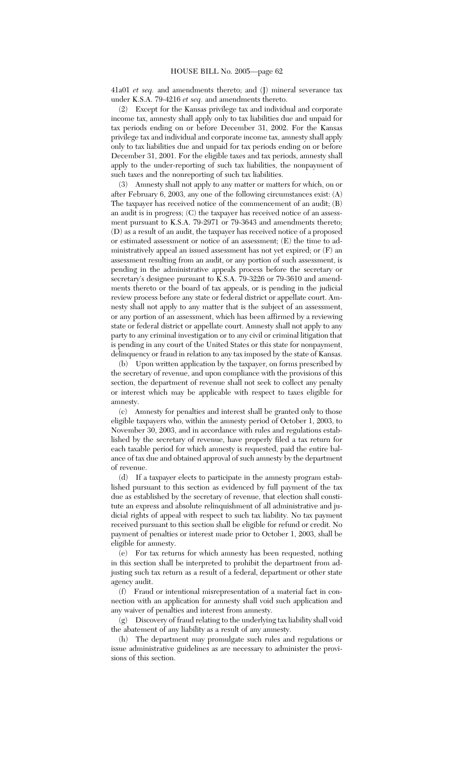41a01 *et seq.* and amendments thereto; and (J) mineral severance tax under K.S.A. 79-4216 *et seq.* and amendments thereto.

(2) Except for the Kansas privilege tax and individual and corporate income tax, amnesty shall apply only to tax liabilities due and unpaid for tax periods ending on or before December 31, 2002. For the Kansas privilege tax and individual and corporate income tax, amnesty shall apply only to tax liabilities due and unpaid for tax periods ending on or before December 31, 2001. For the eligible taxes and tax periods, amnesty shall apply to the under-reporting of such tax liabilities, the nonpayment of such taxes and the nonreporting of such tax liabilities.

(3) Amnesty shall not apply to any matter or matters for which, on or after February 6, 2003, any one of the following circumstances exist: (A) The taxpayer has received notice of the commencement of an audit; (B) an audit is in progress; (C) the taxpayer has received notice of an assessment pursuant to K.S.A. 79-2971 or 79-3643 and amendments thereto; (D) as a result of an audit, the taxpayer has received notice of a proposed or estimated assessment or notice of an assessment; (E) the time to administratively appeal an issued assessment has not yet expired; or (F) an assessment resulting from an audit, or any portion of such assessment, is pending in the administrative appeals process before the secretary or secretary's designee pursuant to K.S.A. 79-3226 or 79-3610 and amendments thereto or the board of tax appeals, or is pending in the judicial review process before any state or federal district or appellate court. Amnesty shall not apply to any matter that is the subject of an assessment, or any portion of an assessment, which has been affirmed by a reviewing state or federal district or appellate court. Amnesty shall not apply to any party to any criminal investigation or to any civil or criminal litigation that is pending in any court of the United States or this state for nonpayment, delinquency or fraud in relation to any tax imposed by the state of Kansas.

(b) Upon written application by the taxpayer, on forms prescribed by the secretary of revenue, and upon compliance with the provisions of this section, the department of revenue shall not seek to collect any penalty or interest which may be applicable with respect to taxes eligible for amnesty.

(c) Amnesty for penalties and interest shall be granted only to those eligible taxpayers who, within the amnesty period of October 1, 2003, to November 30, 2003, and in accordance with rules and regulations established by the secretary of revenue, have properly filed a tax return for each taxable period for which amnesty is requested, paid the entire balance of tax due and obtained approval of such amnesty by the department of revenue.

(d) If a taxpayer elects to participate in the amnesty program established pursuant to this section as evidenced by full payment of the tax due as established by the secretary of revenue, that election shall constitute an express and absolute relinquishment of all administrative and judicial rights of appeal with respect to such tax liability. No tax payment received pursuant to this section shall be eligible for refund or credit. No payment of penalties or interest made prior to October 1, 2003, shall be eligible for amnesty.

(e) For tax returns for which amnesty has been requested, nothing in this section shall be interpreted to prohibit the department from adjusting such tax return as a result of a federal, department or other state agency audit.

(f) Fraud or intentional misrepresentation of a material fact in connection with an application for amnesty shall void such application and any waiver of penalties and interest from amnesty.

(g) Discovery of fraud relating to the underlying tax liability shall void the abatement of any liability as a result of any amnesty.

(h) The department may promulgate such rules and regulations or issue administrative guidelines as are necessary to administer the provisions of this section.